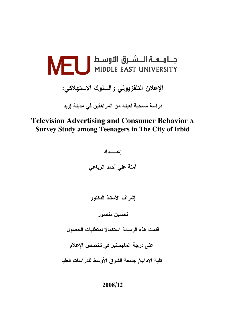

الإعلان التلفزيوني والسلوك الاستهلاكي:

در اسة مسجبة لعبنه من المر اهقبن في مدبنة ار بد

# **Television Advertising and Consumer Behavior A Survey Study among Teenagers in The City of Irbid**

إعسداد آمنة على أحمد الرباعي

إشراف الأستاذ الدكتور

تحسين منصور

قدمت هذه الرسالة استكمالا لمتطلبات الحصول

على درجة الماجستير في تخصص الإعلام

كلية الآداب/ جامعة الشرق الأوسط للدراسات العليا

2008/12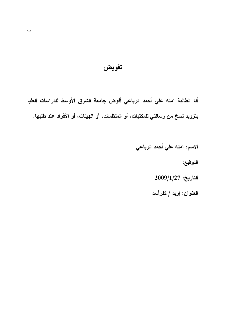### تفويض

أنا الطالبة آمنه علي أحمد الرباعي أفوض جامعة الشرق الأوسط للدراسات العليا بتزويد نسخ من رسالتي للمكتبات، أو المنظمات، أو الـهيئات، أو الأفراد عند طلبها.

> الاسم: آمنه علي أحمد الرباعي التوقيع:  $2009/1/27$  التاريخ: العنوان: إربد / كفرأسد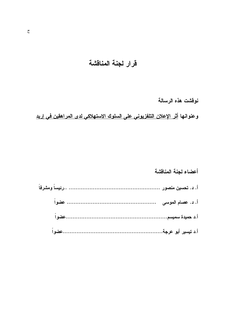# قرار لجنة المناقشة

# نوقشت هذه الرسالة

# وعنوانها أ<u>ثر الإعلان التلفزيوني على السلوك الاستهلاكي لدى المراهقين في إربد</u>

## أعضاء لجنة المناقشة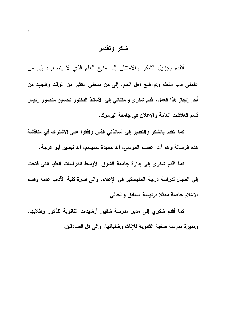# شكر وتقدير

أتقدم بجزيل الشكر والامتتان إلى منبع العلم الذي لا ينضب، إلى من علمنى أدب التعلم وتواضع أهل العلم، إلى من منحنى الكثير من الوقت والجهد من أجل إنجاز هذا العمل، أقدم شكري وامتناني إلى الأستاذ الدكتور تحسين منصور رئيس قسم العلاقات العامة والإعلان في جامعة اليرموك.

كما أتقدم بالشكر والتقدير إلى أساتذتى الذين وافقوا على الاشتراك فى مناقشة هذه الرسالة وهم أ.د عصام الموسى، أ.د حميدة سميسم، أ.د تيسير أبو عرجة.

كما أقدم شكري إلى إدارة جامعة الشرق الأوسط للدراسات العليا التي فتحت إلى المجال لدراسة درجة الماجستير في الإعلام، والى أسرة كلية الآداب عامة وقسم الإعلام خاصة ممثلا برئيسة السابق والحالي .

كما أقدم شكري إلى مدير مدرسة شفيق أرشيدات الثانوية للذكور وطلابها، ومديرة مدرسة صفية الثانوية للإناث وطالباتها، والى كل الصادقين.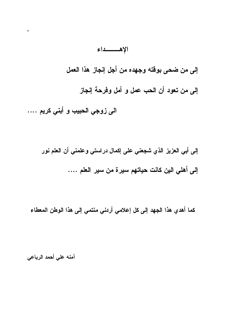## الإهسسداء

إلى من ضحى بوقته وجهده من أجل إنجاز هذا العمل

إلى من تعود أن الحب عمل و أمل وفرحة إنجاز

الى زوجي الحبيب و أبني كريم ….

 $\pmb{\circ}$ 

إلى أبي العزيز الذي شجعني على إكمال دراستي وعلمني أن العلم نور إلى أهلي الين كانت حياتهم سيرة من سير العلم ….

كما أهدي هذا الجهد إلى كل إعلامي أردني منتمي إلى هذا الوطن المعطاء

آمنه علي أحمد الرباعي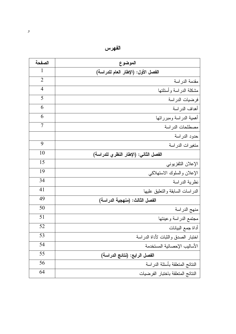| الصفحة         | الموضوع                               |  |
|----------------|---------------------------------------|--|
| 1              | الفصل الأول: (الإطار العام للدراسة)   |  |
| 2              | مقدمة الدراسة                         |  |
| $\overline{4}$ | مشكلة الدراسة وأسئلتها                |  |
| 5              | فرضيات الدراسة                        |  |
| 6              | أهداف الدراسة                         |  |
| 6              | أهمية الدراسة ومبرراتها               |  |
| $\overline{7}$ | مصطلحات الدراسة                       |  |
|                | حدود الدراسة                          |  |
| 9              | متغيرات الدراسة                       |  |
| 10             | الفصل الثاني: (الإطار النظري للدراسة) |  |
| 15             | الإعلان التلفزيوني                    |  |
| 19             | الإعلان والسلوك الاستهلاكي            |  |
| 34             | نظرية الدراسة                         |  |
| 41             | الدراسات السابقة والتعليق عليها       |  |
| 49             | الفصل الثالث: (منهجية الدراسة)        |  |
| 50             | منهج الدراسة                          |  |
| 51             | مجتمع الدراسة وعينتها                 |  |
| 52             | أداة جمع البيانات                     |  |
| 53             | اختبار الصدق والثبات لأداة الدراسة    |  |
| 54             | الأساليب الإحصائية المستخدمة          |  |
| 55             | الفصل الرابع: (نتائج الدراسة)         |  |
| 56             | النتائج المتعلقة بأسئلة الدراسة       |  |
| 64             | النتائج المتعلقة باختبار الفرضيات     |  |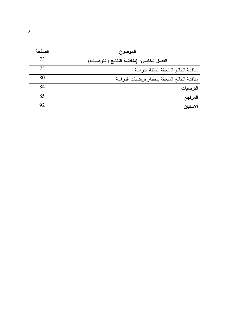| الصفحة | الموضوع                                        |
|--------|------------------------------------------------|
| 73     | الفصل الخامس: (منافشة النتائج والتوصيات)       |
| 75     | مناقشة النتائج المتعلقة بأسئلة الدراسة         |
| 80     | مناقشة النتائج المتعلقة باختبار فرضيات الدراسة |
| 84     | التو صيات                                      |
| 85     | المراجع                                        |
| 92     | الاستبان                                       |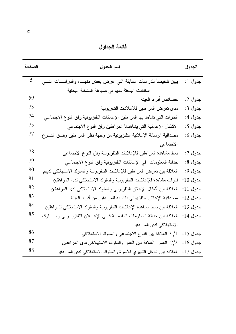فائمة الجداول

| الصفحة | اسم الجدول                                                                            | الجدول       |
|--------|---------------------------------------------------------------------------------------|--------------|
| 5      | يبين تلخيصا للدراسات السابقة التي عرض بعض منهــا، والدراســات التـــي                 | جدول 1:      |
|        | استفادت الباحثة منها في صياغة المشكلة البحثية                                         |              |
| 59     | خصائص أفراد العينة                                                                    | جدول 2:      |
| 73     | مدى نعرض المراهقين للإعلانات النلفزيونية                                              | جدول 3:      |
| 74     | الفترات التي نشاهد بها المراهقين الإعلانات النلفزيونية وفق النوع الاجتماعي            | جدول 4:      |
| 75     | الأشكال الإعلانية التي يشاهدها المراهقين وفق النوع الاجتماعي                          | جدول 5:      |
| 77     | مصداقية الرسالة الإعلانية النلفزيونية من وجهة نظر المراهقين وفسق النسوع               | جدول 6:      |
|        | الاجتماعي                                                                             |              |
| 78     | نمط مشاهدة المراهقين للإعلانات النلفزيونية وفق النوع الاجتماعي                        | جدول 7:      |
| 79     | حداثة المعلومات في الإعلانات التلفزيونية وفق النوع الاجتماعي                          | جدول 8:      |
| 80     | العلاقة بين نعرض المراهقين للإعلانات النلفزيونية والسلوك الاستهلاكي لديهم             | جدول 9:      |
| 81     | فترات مشاهدة للإعلانات النلفزيونية والسلوك الاستهلاكي لدى المراهقين                   | جدول 10:     |
| 82     | العلاقة بين أشكال الإعلان النلفزيوني والسلوك الاستهلاكي لدى المراهقين                 | جدول 11:     |
| 83     | مصداقية الإعلان النلفزيوني بالنسبة للمراهقين من أفراد العينة                          | جدول 12:     |
| 84     | العلاقة ببين نمط مشاهدة الإعلانات التلفزيونية والسلوك الاستهلاكي للمراهقين            | جدول 13:     |
| 85     | العلاقة بين حداثة المعلومات المقدمـــة فــــي الإعــــلان التلفزيــــونـي والــــسلوك | جدو ل $14$ : |
|        | الاستهلاكي لدى المراهقين                                                              |              |
| 86     | 1/ 7 العلاقة بين النوع الاجتماعي والسلوك الاستهلاكي                                   | جدول 15:     |
| 87     | 7/2 العمر العلاقة بين العمر والسلوك الاستهلاكي لدى المراهقين                          | جدول 16:     |
| 88     | العلاقة بين الدخل الشهري للأسرة والسلوك الاستهلاكي لدى المراهقين                      | جدول 17:     |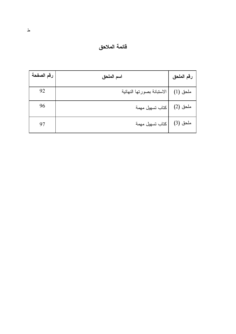# فائمة الملاحق

| رقم الصفحة | اسم الملحق                 | رقم الملحق |
|------------|----------------------------|------------|
| 92         | الاستبانة بصورتها النهائية | ملحق (1)   |
| 96         | كتاب تسهيل مهمة            | ملحق (2)   |
| 97         | كتاب تسهيل مهمة            | ملحق (3)   |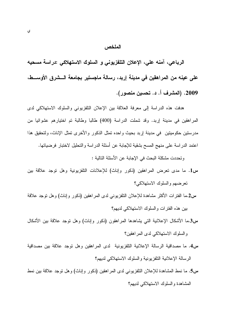#### الملخص

الرباعي، آمنه على، الإعلان التلفزيوني و السلوك الاستهلاكي :دراسة مسحيه على عينه من المراهقين في مدينة إربد، رسالة ماجستير بجامعة الـــشرق الأوســـط، 2009. (المشرف أ. د. تحسين منصور).

هدفت هذه الدراسة إلى معرفة العلاقة بين الإعلان التلفزيوني والسلوك الاستهلاكي لدى المراهقين في مدينة إربد. وقد شملت الدراسة (400) طالبا وطالبة تم اختيارهم عشوائيا من مدرستين حكوميتين في مدينة إربد بحيث واحده تمثل الذكور والأخرى تمثل الإناث، ولتحقيق هذا اعتمد الدراسة على منهج المسح بشقية للإجابة عن أسئلة الدراسة والتحليل لاختبار فرضياتها. وتحددت مشكلة البحث في الإجابة عن الأسئلة التالية :

- س1. ما مدى تعرض المراهقين (ذكور وإناث) للإعلانات النلفزيونية وهل توجد علاقة بين تعرضهم والسلوك الاستهلاكي؟
- س2.ما الفترات الأكثر مشاهدة للإعلان النلفزيوني لدى المراهقين (ذكور وإناث) وهل نوجد علاقة بين هذه الفترات والسلوك الاستهلاكي لديهم؟
- س3.ما الأشكال الإعلانية التبي يشاهدها المراهقون (ذكور وإناث) وهل نوجد علاقة بين الأشكال والسلوك الاستهلاكي لدى المراهقين؟
- س4. ما مصداقية الرسالة الإعلانية التلفزيونية لدى المراهقين وهل نوجد علاقة بين مصداقية الر سالة الإعلانية النلفز بونية و السلوك الاستهلاكي لديهم؟
- س5. ما نمط المشاهدة للإعلان التلفزيوني لدى المراهقين (ذكور وإناث) وهل توجد علاقة بين نمط المشاهدة والسلوك الاستهلاكي لديهم؟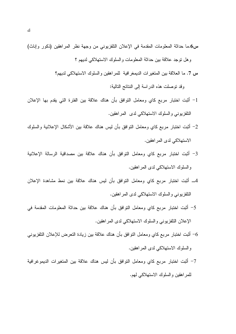- س6.ما حداثة المعلومات المقدمة في الإعلان النلفزيوني من وجهة نظر المراهقين (ذكور وإناث) و هل نوجد علاقة بين حداثة المعلومات والسلوك الاستهلاكي لديهم ؟
	- س 7. ما العلاقة بين المتغير ات الديمغر افية للمر اهقين و السلوك الاستهلاكي لديهم؟

وقد نوصلت هذه الدراسة إلى النتائج التالية:

- 1– أثبت اختبار مربع كاي ومعامل النوافق بأن هناك علاقة بين الفترة التي يقدم بها الإعلان النلفزيوني والسلوك الاستهلاكي لدى المراهقين.
- 2– أثبت اختبار مربع كاي ومعامل النوافق بأن ليس هناك علاقة بين الأشكال الإعلانية والسلوك الاستهلاكي لدى المر اهقين.
- 3– أُثبت اختبار مربع كاي ومعامل النوافق بأن هناك علاقة بين مصداقية الرسالة الإعلانية والسلوك الاستهلاكي لدى المراهقين.
- 4\_ أثبت اختبار مربع كاي ومعامل النوافق بأن ليس هناك علاقة بين نمط مشاهدة الإعلان النلفزيوني والسلوك الاستهلاكي لدى المراهقين.
- 5- أُثبت اختبار مربع كاي ومعامل النوافق بأن هناك علاقة بين حداثة المعلومات المقدمة في الإعلان التلفزيوني والسلوك الاستهلاكي لدى المراهقين.
- 6– أثبت اختبار مربع كاي ومعامل النوافق بأن هناك علاقة بين زيادة النعرض للإعلان النلفزيوني والسلوك الاستهلاكي لدى المراهقين.
- 7– أثبت اختبار مربع كاي ومعامل النوافق بأن ليس هناك علاقة بين المتغيرات الديموغرافية للمراهقين والسلوك الاستهلاكي لمهم.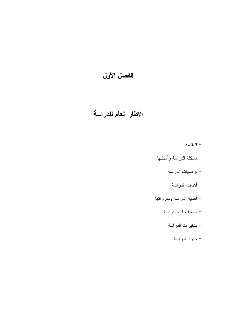الفصل الأول

# الإطار العام للدراسة

– المقدمة – مشكلة الدراسة وأسئلتها – فرضيات الدراسة – أهداف الدر اسة – أهمية الدراسة ومبرراتها – مصطلحات الدراسة – متغيرات الدراسة – حدود الدراسة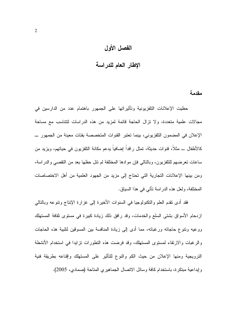#### الفصل الأول

### الإطار العام للدراسة

مقدمة

حظيت الإعلانات التلفزيونية وتأثيراتها على الجمهور باهتمام عدد من الدارسين في مجالات علمية متعددة، ولا نزال الحاجة قائمة لمزيد من هذه الدراسات لتتناسب مع مساحة الإعلان في المضمون النلفزيوني، بينما نعتبر القنوات المتخصصة بفئات معينة من الجمهور ــ كالأطفال ـــ مثلاً، قنوات حديثة، تمثّل رافداً إضافياً بدعم مكانة النلفزيون في حياتهم، ويزيد من ساعات تعرضهم للنلفزيون، وبالنالي فإن موادها المختلفة لم نتل حظها بعد من النقصبي والدراسة، ومن بينها الإعلانات التجارية التي تحتاج إلى مزيد من الجهود العلمية من أهل الاختصاصات المختلفة، ولعل هذه الدراسة نأتي في هذا السباق.

فقد أدى نقدم العلم والنكنولوجيا في السنوات الأخيرة إلى غزارة الإنتاج وننوعه وبالتالي ازدحام الأسواق بشتى السلع والخدمات، وقد رافق ذلك زيادة كبيرة في مستوى ثقافة المستهلك ووعيه وننوع حاجاته ورغباته، مما أدى إلى زيادة المنافسة بين المسوقين لنلبية هذه الحاجات والرغبات والارتقاء لمستوى المستهلك، وقد فرضت هذه التطورات نزايدا في استخدام الأنشطة الترويجية ومنها الإعلان من حيث الكم والنوع للتأثير على المستهلك وإقناعه بطريقة فنية وإبداعية مبتكرة، باستخدام كافة وسائل الاتصال الجماهيري المتاحة (صمادى، 2005).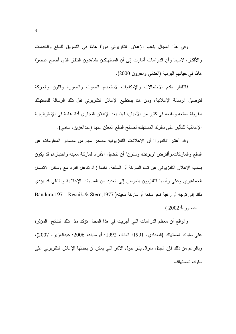وفي هذا المجال يلعب الإعلان التلفزيوني دورًا هامًا في التسويق للسلع والخدمات والأفكار، لاسبما وأن الدراسات أشارت إلى أن المستهلكين بشاهدون التلفاز الذي أصبح عنصرًا هامًا في حياتهم اليومية (العناني وأخرون 2000).

فالنلفاز يقدم الاحتمالات والإمكانيات لاستخدام الصوت والصورة واللون والحركة لتوصيل الرسالة الإعلانية، ومن هنا يستطيع الإعلان التلفزيوني نقل تلك الرسالة للمستهلك بطريقة ممتعه ومقنعه في كثير من الأحيان، لهذا يعد الإعلان التجاري أداة هامة في الإستراتيجية الإعلانية للتأثير على سلوك المستهلك لصالح السلع المعلن عنها (عبدالعزيز، سامي).

وقد أعتبر "باندورا" أن الإعلانات النلفزيونية مصدر مهم من مصادر المعلومات عن السلع والماركات،و افترض "ريزنتك وسترن" ان تفضيل الافراد لماركة معينه واختيارهم قد يكون بسبب الإعلان النلفزيوني عن نلك الماركة أو السلعة. فكلما زاد نفاعل الفرد مع وسائل الاتصال الجماهيري وعلى راسها النافزيون يتعرض إلى العديد من المنبهات الإعلانية وبالنالي قد يؤدي ذلك إلى نوجه أو رغبة نحو سلعه أو ماركة معينه( Bandura:1971, Resnik,& Stern,1977 منصور ،أ:2002 )

والواقع ان معظم الدراسات التي اجريت في هذا المجال نؤكد مثل نلك النتائج المؤثرة على سلوك المستهلك (البغدادي، 1991؛ العناد، 1992؛ أبوسنينة، 2006؛ عبدالعزيز، 2007)، وبالرغم من ذلك فإن الجدل ماز ال يثار حول الأثار التي يمكن أن يحدثها الإعلان التلفزيوني على سلوك المستهلك.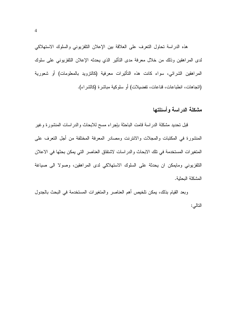هذه الدراسة تحاول التعرف على العلاقة بين الإعلان التلفزيوني والسلوك الاستهلاكي لدى المراهقين وذلك من خلال معرفة مدى التأثير الذي يحدثه الإعلان التلفزيوني على سلوك المراهقين الشرائي، سواء كانت هذه التأثيرات معرفية (كالتزويد بالمعلومات) أو شعورية (اتجاهات، انطباعات، قناعات، تفضيلات) أو سلوكية مباشرة (كالشراء).

#### مشكلة الدر اسة و أسئلتها

قبل تحديد مشكلة الدراسة قامت الباحثة بإجراء مسح للابحاث والدراسات المنشورة وغير المنشورة في المكتبات والمجلات والانترنت ومصادر المعرفة المختلفة من أجل النعرف على المتغيرات المستخدمة في تلك الابحاث والدراسات لاشتقاق العناصر التي يمكن بحثها في الاعلان النلفزيوني ومايمكن ان يحدثة على السلوك الاستهلاكي لدى المراهقين، وصولا الى صياغة المشكلة البحثية.

وبعد القيام بذلك، يمكن تلخيص أهم العناصر والمتغيرات المستخدمة في البحث بالجدول النالي: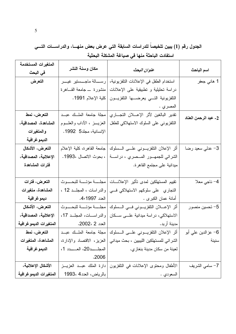# الجدول رقم (1) يبين تلخيصاً للدراسات السابقة التي عرض بعض منهــــا، والدراســــات التــــي استفادت الباحثة منها في صياغة المشكلة البحثية

| المتغيرات المستخدمة    |                                 |                                              |                      |
|------------------------|---------------------------------|----------------------------------------------|----------------------|
| في البحث               | مكان وسنة النشر                 | عنوان البحث                                  | اسم الباحث           |
| التعرض                 | رســـالة ماجـــستير غيــــر     | استخدام الطفل في الإعلانات التلفزيونية،      | 1 هاني جعفر          |
|                        | منشورة _جامعة القــاهرة         | دراسة تحليلية و تطبيقية على الإعلانات        |                      |
|                        | كلية الإعلام 1991.              | التلفزيونية التسي يعرضها التلفزيون           |                      |
|                        |                                 | المصري .                                     |                      |
| التعرض، نمط            | مجلة جامعة الملك عبد            | نقدير البالغين لأثر الإعسلان التجاري         | 2- عبد الرحمن العناد |
| المشاهدة، المصداقية،   | العزيــــز ، الأداب والعلــــوم | التلفزيوني على السلوك الاستهلاكي للطفل       |                      |
| والمتغيرات             | الإنسانية، مجلد5 1992.          |                                              |                      |
| الديمو غرافية          |                                 |                                              |                      |
| التعرض، الأشكال        | جامعة القاهرة، كلية الإعلام     | أثر الإعلان التلفزيـــوني علــــى الـــسلوك  | 3- عدلي سعيد رضا     |
| الإعلانية، المصداقية،  | ، بحوث الاتصال ،1993.           | الشرائي للجمهــور المـــصري ، دراســـة       |                      |
| فترات المشاهدة         |                                 | ميدانية على مجتمع القاهرة.                   |                      |
|                        |                                 |                                              |                      |
| التعرض، فترات          | مجلسة مؤتسة للبحسوث             | تقييم المستهلكين لمدى تأثير الإعلانسات       | 4- ناجي معلا         |
| المشاهدة، متغيرات      | والدراسات ، المجلّد 12 ،        | التجاري على سلوكهم الاستهلاكي فسي            |                      |
| ديمو غر افية           |                                 |                                              |                      |
| التعرض، الأشكال        | مجلسة مؤنسة للبحسوث             | أثر الإعسلان النافزيسوني فسي السملوك         | 5– تحسين منصور       |
| الإعلانية، المصداقية،  | والدراسات، المجلّد 17.          | الاستهلاكي، دراسة ميدانية علـــى ســكان      |                      |
| المتغيرات الديموغرافية | العدد 2 ،2002.                  | مدينة أربد.                                  |                      |
| التعرض، نمط            | مجلة جامعة الملك عبــد          | أثر الإعلان التلفزيـــونـي علــــي الـــسلوك | 6– عز الدين علي أبو  |
| المشاهدة، المتغيرات    | العزيز، الاقتصاد والإدارة،      | الشر ائي للمستهلكين الليبيين ، بحث ميداني    | سنينة                |
| الديمو غر افية         |                                 | لعينة من سكان مدينة بنغازي.                  |                      |
|                        | .2006                           |                                              |                      |
| الأشكال الإعلانية،     | دارة الملك عبــد العزيـــز      | الأطفال ومحتوى الإعلانات في التلفزيون        | 7– سامي الشريف       |
| المتغيرات الديموغرافية | بالرياض، العدد4 ،1993           | السعودي .                                    |                      |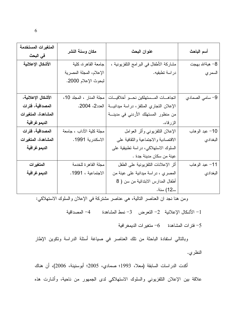| المتغيرات المستخدمة<br>في البحث | مكان وسنة النشر          | عنوان البحث                              | أسم الباحث      |
|---------------------------------|--------------------------|------------------------------------------|-----------------|
| الأشكال الإعلانية               | جامعة القاهرة، كلية      | مشاركة الأطفال في البر امج التلفزيونية ، | 8– هبةالله بهجت |
|                                 | الإعلام، المجلة المصرية  | در اسة تطبقيه.                           | السمر ي         |
|                                 | لبحوث الإعلام 2000.      |                                          |                 |
|                                 |                          |                                          |                 |
| الأشكال الإعلانية،              | مجلة المنار ، المجلد 10، | اتجاهــات المــستهلكين نحــو أخلاقيــات  | 9- سامي الصمادي |
| المصداقية، فترات                | العدد2، 2004.            | الإعلان التجاري المتلفز، دراسة ميدانية   |                 |
| المشاهدة، المتغيرات             |                          | من منظور المستهلك الأردني في مدينة       |                 |
| الديمو غر افية                  |                          | الزرقاء.                                 |                 |
| المصداقية، فترات                | مجلة كلية الآداب ، جامعة | الإعلان النلفزيوني وأثر العوامل          | 10– عبد الوهاب  |
| المشاهدة، المتغيرات             | الاسكندرية 1991.         | الاقتصادية والاجتماعية والثقافية على     | البغدادي        |
| الديمو غر افية                  |                          | السلوك الاستهلاكي، دراسة تطبيقية على     |                 |
|                                 |                          | عينة من سكان مدينة جدة .                 |                 |
| المتغيرات                       | مجلة القاهرة للخدمة      | أثر الإعلانات النلفزيونية على الطفل      | 11– عبد الوهاب  |
| الديمو غر افية                  | الاجتماعية ، 1991.       | المصري ، دراسة ميدانية على عينة من       | البغدادي        |
|                                 |                          | أطفال المدارس الابندائية من سن ( 8       |                 |
|                                 |                          | ــ12) سنة.                               |                 |

ومن هنا نجد ان العناصر النالية، هي عناصر مشتركة في الإعلان والسلوك الاستهلاكي:

1– الأشكال الإعلانية 2– التعرض 3– نمط المشاهدة 4– المصداقية

فترات المشاهدة م $-6$  متغيرات الديمغرافية

وبالنالي استفادة الباحثة من تلك العناصر في صباغة أسئلة الدراسة ونكوين الإطار النظري.

أكدت الدراسات السابقة (معلا، 1993؛ صمادي، 2005؛ أبوسنينة، 2006)، أن هناك علاقة بين الإعلان النلفزيوني والسلوك الاستهلاكي لدى الجمهور من ناحية، وأشارت هذه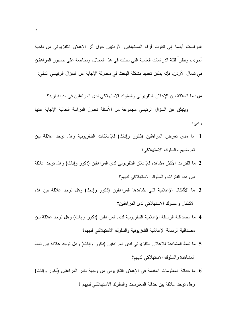الدراسات أيضا إلى تفاوت آراء المستهلكين الأردنيين حول أثر الإعلان التلفزيوني من ناحية أخرى، ونظراً لقلة الدراسات العلمية التي بحثت في هذا المجال، وبخاصة على جمهور المراهقين في شمال الأردن، فإنه يمكن تحديد مشكلة البحث في محاولة الإجابة عن السؤال الرئيسي التالي:

س: ما العلاقة بين الإعلان التلفزيوني والسلوك الاستهلاكي لدى المراهقين في مدينة اربد؟

وينبثق عن السؤال الرئيسي مجموعة من الأسئلة تحاول الدراسة الحالية الإجابة عنها و هي:

- 1. ما مدى تعرض المراهقين (ذكور وإناث) للإعلانات التلفزيونية وهل توجد علاقة بين تعرضهم والسلوك الاستهلاكي؟
- 2. ما الفترات الأكثر مشاهدة للإعلان النلفزيوني لدى المراهقين (ذكور وإناث) وهل نوجد علاقة بين هذه الفترات والسلوك الاستهلاكي لديهم؟
- 3. ما الأشكال الإعلانية التي يشاهدها المراهقون (ذكور وإناث) وهل نوجد علاقة بين هذه الأشكال والسلوك الاستهلاكي لدى المراهقين؟
- 4. ما مصداقية الرسالة الإعلانية التلفزيونية لدى المراهقين (ذكور وإناث) وهل توجد علاقة بين مصداقية الرسالة الإعلانية التلفزيونية والسلوك الاستهلاكي لديهم؟
- 5. ما نمط المشاهدة للإعلان النَّلفزيونـي لدى المراهقين (ذكور وإناث) وهل نوجد علاقة بين نمط المشاهدة والسلوك الاستهلاكي لديهم؟
- 6. ما حداثة المعلومات المقدمة في الإعلان النلفزيوني من وجهة نظر المراهقين (ذكور وإناث) وهل نوجد علاقة بين حداثة المعلومات والسلوك الاستهلاكي لديهم ؟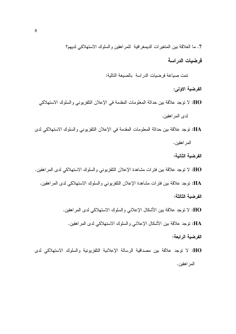7. ما العلاقة بين المتغيرات الديمغر افية للمر اهقين والسلوك الاستهلاكي لديهم؟

فرضيات الدراسة

تمت صياغة فرضيات الدراسة بالصيغة التالية:

الفرضية الاولى:

- HO: لا نوجد علاقة بين حداثة المعلومات المقدمة في الإعلان التلفزيوني والسلوك الاستهلاكي لدى المر اهقبن.
- HA: توجد علاقة بين حداثة المعلومات المقدمة في الإعلان التلفزيوني والسلوك الاستهلاكي لدى المراهقين.

الفرضية الثانية:

- HO: لا نوجد علاقة بين فنرات مشاهدة الإعلان النلفزيوني والسلوك الاستهلاكي لدى المراهقين.
	- HA: توجد علاقة بين فترات مشاهدة الإعلان التلفزيوني والسلوك الاستهلاكي لدى المراهقين.

الفر ضبة الثالثة:

HO: لا نوجد علاقة بين الأشكال الإعلاني والسلوك الاستهلاكي لدى المر اهقين.

HA: توجد علاقة بين الأشكال الإعلاني والسلوك الاستهلاكي لدى المر اهقين.

الفرضية الرابعة:

HO: لا نوجد علاقة بين مصداقية الرسالة الإعلانية التلفزيونية والسلوك الاستهلاكي لدى المر اهقين.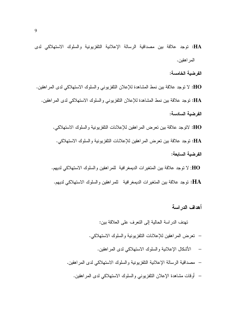HA: توجد علاقة بين مصداقية الرسالة الإعلانية التلفزيونية والسلوك الاستهلاكي لدى المر اهقين.

الفرضية الخامسة:

HO: لا توجد علاقة بين نمط المشاهدة للإعلان التلفزيوني والسلوك الاستهلاكي لدى المر اهقين. HA: توجد علاقة بين نمط المشاهدة للإعلان التلفزيوني والسلوك الاستهلاكي لدى المراهقين. الفرضية السادسة:

HO: لاتوجد علاقة بين نعرض المراهقين للإعلانات النلفزيونية والسلوك الاستهلاكي. HA: توجد علاقة بين تعرض المر اهقين للإعلانات التلفز بونية والسلوك الاستهلاكي. الفر ضبة السابعة:

HO: لا نوجد علاقة بين المنغيرات الديمغرافية للمراهقين والسلوك الاستهلاكي لديهم. نوجد علاقة بين المتغيرات الديمغرافية للمراهقين والسلوك الاستهلاكي لديهم: •:

أهداف الدر اسة

نهدف الدراسة الحالية إلى النعرف على العلاقة بين: – نعرض المراهقين للإعلانات التلفزيونية والسلوك الاستهلاكي. — الأشكال الإعلانية و السلوك الاستهلاكي لدى المر اهقبن. – مصداقية الرسالة الإعلانية النلفزيونية والسلوك الاستهلاكي لدى المراهقين. – أوقات مشاهدة الإعلان النلفزيوني والسلوك الاستهلاكي لدى المراهقين.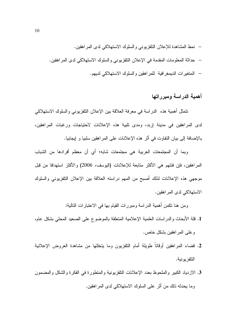#### أهمية الدراسة ومبرراتها

نتمثل أهمية هذه الدراسة في معرفة العلاقة بين الإعلان النلفزيوني والسلوك الاستهلاكي لدى المراهقين في مدينة إربد، ومدى تلبية هذه الإعلانات لاحتياجات ورغبات المراهقين، بالإضافة إلى بيان النفاوت في أثر هذه الإعلانات على المراهقين سلبيا و إيجابيا.

وبما أن المجتمعات العربية هي مجتمعات شابه؛ أي أن معظم أفرادها من الشباب المراهقين، فإن فئتهم هي الأكثر متابعة للإعلانات (اليوسف، 2006) والأكثر استهدافا من قبل موجهي هذه الإعلانات لذلك أصبح من المهم دراسته العلاقة بين الإعلان التلفزيوني والسلوك الاستهلاكي لدى المر اهقبن.

ومن هنا نكمن أهمية الدراسة ومبررات القيام بـها فـي الاعتبارات النالية:

- 1. قلة الأبحاث والدراسات العلمية الإعلامية المتعلقة بالموضوع على الصعيد المحلي بشكل عام، و علي المر اهقين بشكل خاص.
- 2. قضاء المراهقين أوقاتاً طويلة أمام التلفزيون وما يتخللها من مشاهدة العروض الإعلانية التلفز بو نبة.
- 3. الازدياد الكبير والملحوظ بعدد الإعلانات النلفزيونية والمنطورة في الفكرة والشكل والمضمون وما يحدثه ذلك من أثر على السلوك الاستهلاكي لدى المراهقين.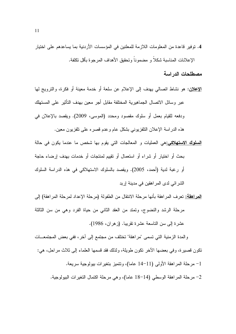4. توفير قاعدة من المعلومات اللازمة للمعلنين في المؤسسات الأردنية بما يساعدهم على اختيار الإعلانات المناسبة شكلاً و مضموناً وتحقيق الأهداف المرجوة بأقل تكلفة.

مصطلحات الدر اسة

- <mark>الإعلان</mark>: هو نشاط انصالبي بهدف إلى الإعلام عن سلعة أو خدمة معينة أو فكرة، والنزويج لها عبر وسائل الاتصال الجماهير ية المختلفة مقابل أجر معين بهدف التأثير على المستهلك ودفعه للقيام بعمل أو سلوك مقصود ومحدد (الموسى، 2009). ويقصد بالإعلان في هذه الدراسة الإعلان النافزيوني بشكل عام وعدم قصره على نافزيون معين.
- <mark>السلوك الاستهلاكي:</mark>هي العمليات و المعالجات التي يقوم بها شخص ما عندما يكون في حالة بحث أو اختيار أو شراء أو استعمال أو تقييم لمنتجات أو خدمات بهدف إرضاء حاجة أو رغبة لدية (أحمد، 2005). ويقصد بالسلوك الاستهلاكي في هذه الدراسة السلوك الشر ائے لدی المر اهقبن فی مدینة ار بد
- <mark>المراهقة:</mark> تعرف المراهقة بأنها مرحلة الانتقال من الطفولة (مرحلة الإعداد لمرحلة المراهقة) إلى مرحلة الرشد والنضوج، ونمتد من العقد الثاني من حياة الفرد وهي من سن الثالثة عشرة إلى سن الناسعة عشرة تقريبا. (زهران، 1986).

والمدة الزمنية التي تسمى "مراهقة" تختلف من مجتمع إلى آخر ، ففي بعض المجتمعــات نكون قصيرة، وفي بعضها الآخر نكون طويلة، ولذلك فقد قسمها العلماء إلى ثلاث مراحل، هي: 1– مرحلة المراهقة الأولى (11–14 عاما)، ونتميز بتغيرات بيولوجية سريعة. 2- مرحلة المراهقة الوسطى (14-18 عاما)، وهي مرحلة اكتمال التغيرات البيولوجية.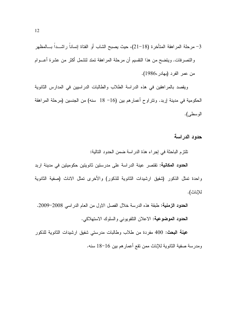ويقصد بالمراهقين في هذه الدراسة الطلاب والطالبات الدراسيين في المدارس الثانوية الحكومية في مدينة إربد. وتتراوح أعمارهم بين (16− 18 سنه) من الجنسين (مرحلة المراهقة الوسطى).

حدود الدراسة

تلتزم الباحثة في إجراء هذة الدراسة ضمن الحدود التالية:

**الحدود المكانية:** تقتصر عينة الدراسة على مدرستين ثانويتين حكوميتين في مدينة اربد واحدة تمثل الذكور (شفيق ارشيدات الثانوية للذكور) والأخرى تمثل الاناث (صفية الثانوية للإناث).

ا**لحدود الزمنية:** طبقة هذه الدرسة خلال الفصل الاول من العام الدراسي 2008–2009. الحدود الموضوعية: الاعلان النلفويوني والسلوك الاستهلاكي.

**عينة البحث: 4**00 مفردة من طلاب وطالبات مدرستي شفيق ارشيدات الثانوية للذكور ومدرسة صفية الثانوية للإناث ممن نقع أعمارهم بين 16–18 سنه.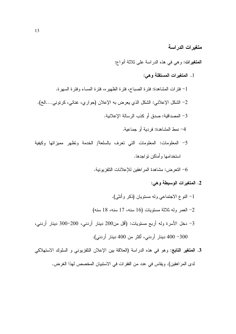متغيرات الدراسة

**المتغيرات:** وهي في هذه الدر اسة على ثلاثة أنواع:

1. المتغيرات المستقلة وهي:

1– فترات المشاهدة: فترة الصباح، فترة الظهيره، فترة المساء وفترة السهرة. 2– الشكل الإعلاني: الشكل الذي يعرض به الإعلان (حواري، غنائي، كريوني....الخ). 3– المصداقية: صدق أو كذب الر سالة الإعلانية. 4- نمط المشاهدة: فر دية أو جماعية. 5- المعلومات: المعلومات التي تعرف بالسلعة/ الخدمة وتظهر مميزاتها وكيفية استخدامها و أماكن نو اجدها.

التعرض: مشاهدة المر اهقين للإعلانات التلفزيونية. $\delta$ 

- 2. المتغيرات الوسيطة وهي:
- 1- النوع الاجتماعي وله مستويان (ذكر وأنثى). 2- العمر وله ثلاثة مستويات (16 سنه، 17 سنه، 18 سنه) 3– دخل الأسرة وله أربع مستويات: (أقل من200 دينار أردني، 200–300 دينار أردني، 400  $-300$  دبنار أر دني، أكثر من 400 دبنار أر دني).
- 3. المعتغير التابع: وهو في هذه الدراسة (العلاقة بين الإعلان التلفزيوني و السلوك الاستهلاكي لدى المراهقين). ويقاس في عدد من الفقرات في الاستبيان المخصص لهذا الغرض.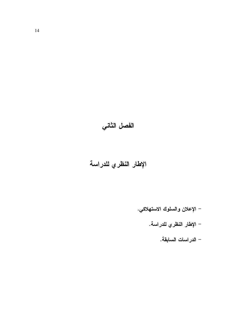# الفصل الثاني

# الإطار النظري للدراسة

- الإعلان والسلوك الاستهلاكي.
	- الإطار ا<mark>لنظري للدراسة.</mark>
		- الدراسات السابقة.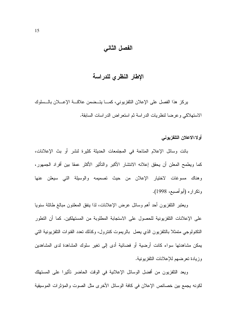## الفصل الثاني

### الإطار النظري للدراسة

يركز هذا الفصل على الإعلان التلفزيوني، كمـــا يتــضمن علاقـــة الإعــــلان بالـــسلوك الاستهلاكي وعرضا لنظريات الدراسة ثم استعراض الدراسات السابقة.

#### أولا:الاعلان التلفزيوني

باتت وسائل الإعلام المتاحة في المجتمعات الحديثة كثيرة لنشر أو بث الإعلانات، كما ويطمح المعلن أن يحقق إعلانه الانتشار الأكبر والتأثير الأكثر عمقا بين أفراد الجمهور، وهناك مسوغات لاختيار الإعلان من حيث تصميمه والوسيلة التبى سيعلن عنها وتكراره (أبوأصبع، 1998).

ويعتبر التلفزيون أحد أهم وسائل عرض الإعلانات، لذا ينفق المعلنون مبالغ طائلة سنويا على الإعلانات النلفزيونية للحصول على الاستجابة المطلوبة من المستهلكين. كما أن التطور النكنولوجي متمثلا بالتلفزيون الذي يعمل بالريموت كنترول، وكذلك نعدد القنوات التلفزيونية التبي بمكن مشاهدتها سواء كانت أرضبة أو فضائبة أدى إلى تغبر سلوك المشاهدة لدى المشاهدبن وز بادة تعر ضبهم للإعلانات النلفز بونبة.

ويعد التلفزيون من أفضل الوسائل الإعلانية في الوقت الحاضر تأثيرا على المستهلك لكونه يجمع بين خصائص الإعلان في كافة الوسائل الأخرى مثل الصوت والمؤثرات الموسيقية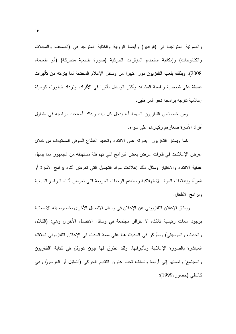والصونية المنواجدة في (الراديو) وأيضا الرواية والكتابة المنواجد في (الصحف والمجلات والكتالوجات) وإمكانية استخدام المؤثرات الحركية (صورة طبيعية متحركة) (أبو طعيمة، 2008). وبذلك بلعب التلفزيون دورا كبيرا من وسائل الإعلام المختلفة لما يتركه من تأثيرات عميقة على شخصية ونفسية المشاهد وأكثر الوسائل تأثيرا في الأفراد، ونزداد خطورته كوسيلة إعلامية تتوجه برامجه نحو المراهقين.

ومن خصائص النلفزيون المهمة أنه يدخل كل بيت وبذلك أصبحت برامجه في متناول أفراد الأسرة صغارهم وكبارهم على سواء.

كما ويمتاز التلفزيون بقدرته على الانتقاء وتحديد القطاع السوقى المستهدف من خلال عرض الإعلانات في فترات عرض بعض البرامج التي تهم فئة مستهدفه من الجمهور مما يسهل عملية الانتقاء والاختيار ومثال ذلك إعلانات مواد التجميل التي تعرض أثناء برامج الأسرة أو المرأة وإعلانات المواد الاستهلاكية ومطاعم الوجبات السريعة التبي نعرض أنثاء البرامج الشبابية وبرامج الأطفال.

ويمتاز الإعلان التلفزيوني عن الإعلان في وسائل الاتصال الأخرى بخصوصيته الاتصالية بوجود سمات رئيسية ثلاث، لا نتوافر مجتمعة في وسائل الاتصال الأخرى وهي: (الكلام، والحدث، والموسيقى) وسأركز في الحديث هنا على سمة الحدث في الإعلان التلفزيوني لعلاقته المباشرة بالصورة الإعلانية وتأثيراتها، ولقد نطرق لها **جون كورنل** في كتابة "النلفزيون والمجتمع" وفصلها إلى أربعة وظائف نحت عنوان النقديم الحركي (التمثيل أو العرض) وهي كالتالي (خضور ،1999):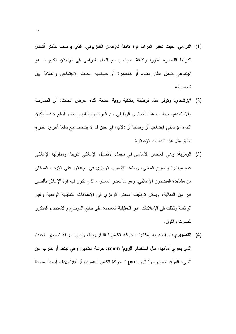- (1) الدرامي: حيث تعتبر الدراما فوة كامنة للإعلان التلفزيوني، الذي يوصف كأكثر أشكال الدراما القصيرة تطورا وكثافة، حيث يسمح البناء الدرامي في الإعلان تقديم ما هو اجتماعي ضمن إطار دفء أو كمغامرة أو حساسية الحدث الاجتماعي والعلاقة بين شخصياته.
- (2) الإرشادي: وتوفر هذه الوظيفة إمكانية رؤية السلعة أثناء عرض الحدث: أى الممارسة والاستخدام، ويناسب هذا المسنوى الوظيفي من العرض والنقديم بعض السلع عندما يكون النداء الإعلاني لِيضاحيا أو وصفيا أو دلاليا، في حين قد لا يتناسب مع سلعا أخرى ۖ خار ج نطاق مثل هذه النداءات الإعلانية.
- (3) الرمزية: وهي العنصر الأساسي في مجمل الاتصال الإعلاني تقريبا، ومدلولها الإعلاني عدم مباشرة وضوح المعنى، ويعتمد الأسلوب الرمزي في الإعلان على الإيحاء المستقى من مشاهدة المضمون الإعلانبي، وهو ما يعتبر المستوى الذي نكون فيه قوة الإعلان بأقصبي قدر من الفعالية، ويمكن توظيف المعنى الرمزي في الإعلانات التمثيلية الواقعية وغير الو اقعية وكذلك في الإعلانات غير التمثيلية المعتمدة على نتابع المونتاج والاستخدام المتكرر للصوت واللون.
- (4) ا**لتصويري:** ويقصد به إمكانيات حركة الكاميرا التلفزيونية، وليس طريقة تصوير الحدث الذي يجري أمامها، مثل استخدام "**الزوم**" **zoom: ح**ركة الكاميرا وهي نبتعد أو تقترب عن الشَّمِيء المرَّ إذ نصوبير ه و " البان pan ": حركة الكامير ! عموديا أو أفقيا بهدف إضفاء مسحة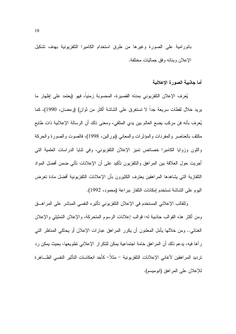بانورامية على الصورة وغيرها من طرق استخدام الكاميرا التلفزيونية بهدف تشكيل الإعلان وبنائه وفق جماليات مختلفة.

أما جاذبية الصورة الإعلانية

يُعرف الإعلان التلفزيوني بمدته القصيرة، المحسوبة زمنيا، فهو (يعتمد على إظهار ما يريد خلال لقطات سريعة جداً لا تستغرق على الشاشة أكثر من ثوان) (رمضان، 1990)، كما يُعرف بأنه فن مركب يضع العالم بين يدي المتلقي، ومعنى ذلك أن الرسالة الإعلانية ذات طابع مكثف بالعناصر والمفردات والمؤثرات والمعانبي (نورالين، 1998)، فالصوت والصورة والحركة واللون وزوايا الكاميرا خصائص تميز الإعلان التلفزيوني، وفي ثنايا الدراسات العلمية التي أجريت حول العلاقة بين المراهق والنلفزيون نأكيد على أن الإعلانات نأتي ضمن أفضل المواد النلفازية التبي يشاهدها المراهقين يعترف الكثيرون بأن الإعلانات النلفزيونية أفضل مادة نعرض اليوم على الشاشة تستخدم إمكانات النلفاز ببراعة (محمود، 1992).

وللقالب الإعلاني المستخدم في الإعلان التلفزيوني تأثيره النفسي المباشر على المراهــق ومن أكثر هذه القوالب جاذبية له: قوالب إعلانات الرسوم المتحركة، والإعلان التمثيلي والإعلان الغنائي.. ومن خلالها يأمل المعلنون أن يكرر المراهق عبارات الإعلان أو يحاكي المناظر التي ر آها فيه، يدعم ذلك أن المر اهق خامة اجتماعية يمكن للتكر ار الإعلاني تطويعها، بحيث يمكن رد ترديد المراهقين لأغاني الإعلانات النلفزيونية – مثلاً– كأحد انعكاسات التأثير النفسي الظـــاهرة للإعلان على المر اهق (ابو مبسم).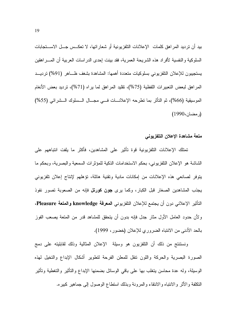بيد أن ترديد المراهق كلمات الإعلانات التلفزيونية أو شعاراتها، لا تعكــس جـــل الاســـتجابات السلوكية والنفسية لأفراد هذه الشريحة العمرية، فقد بينت إحدى الدراسات العربية أن المسر اهقين يستجيبون للإعلان التلفزيوني بسلوكيات متعددة أهمها: المشاهدة بشغف ظــاهر (91%) ترديـــد المراهق لبعض التعبيرات اللفظية (75%)، نقليد المراهق لما يراه (71%)، ترديد بعض الأنغام الموسيقية (66%)، ثم التأثر بما تطرحه الإعلانـــات فـــي مجـــال الـــسلوك الـــشرائي (55%) (ر مضان، 1990)

#### متعة مشاهدة الإعلان التلفزيوني

تمتلك الإعلانات التلفزيونية قوة تأثير على المشاهدين، فأكثر ما يلفت انتباههم على الشاشة هو الإعلان التلفزيوني، بحكم الاستخدامات الذكية للمؤثرات السمعية والبصرية، وبحكم ما يتوفر لصانعي هذه الإعلانات من إمكانات مادية ونقنية هائلة، نؤهلهم لإنتاج إعلان تلفزيوني يجذب المشاهدين الصغار قبل الكبار، وكما يرى **جون كورنل** فإنه من الصعوبة تصور نفوذ التَأثير الإعلاني دون أن يجتمع للإعلان التلفزيوني ا**لمعرفة knowledge والمتعة Pleasure**، ولأن حدود العامل الأول مثار جدل فإنه بدون أن يتحقق للمشاهد قدر من المتعة يصعب الفوز بالحد الأدنـى من الانتباه الضروري للإعلان (خضور، 1999).

ونستنتج من ذلك أن النلفزيون هو وسيلة الإعلان المثالية وذلك لقابليته على دمج الصورة البصرية والحركة واللون نتقل للمعلن الفرحة لتطوير أشكال الإبداع والتخيل لمهذه الوسيلة، وله عدة محاسن يتغلب بها على باقى الوسائل بضمنها الإبداع والتأثير والتغطية وتأثير النكلفة والأثر والانتباه والانتقاء والمرونة وبذلك استطاع الوصول إلىي جماهير كبيره.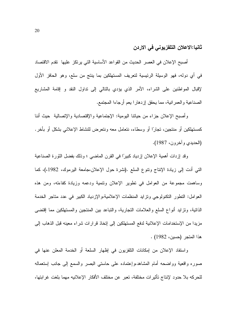ثانيا:الاعلان التلفزيوني في الاردن

أصبح الإعلان في العصر الحديث من القواعد الأساسية التي يرتكز عليها تقدم الاقتصاد في أي دوله، فهو الوسيلة الرئيسية لتعريف المستهلكين بما ينتج من سلع، وهو الحافز الأول لإقبال المواطنين على الشراء، الأمر الذي يؤدي بالنالي إلى نداول النقد و إقامة المشاريع الصناعية والعمرانية، مما يحقق إزدهارا يعم أرجاءا المجتمع.

وأصبح الإعلان جزاء من حياتنا اليومية: الإجتماعية والإقتصادية والإتصالية حيث أننا كمستهلكين أو منتجين، تجارًا أو وسطاء، نتعامل معه ونتعرض للنشاط الإعلاني بشكل أو بأخر . (الحديدي وأخرون، 1987).

وقد إزدات أهمية الإعلان إزدياد كبيرًا في القرن الماضـي ؛ وذلك بفضل الثورة الصناعية التبي أدت إلىي زيادة الإنتاج ونتوع السلع .(نشرة حول الإعلان،جامعة اليرموك، 1982،)، كما وساهمت مجموعة من العوامل في نطوير الإعلان ونتمية ودعمه وزيادة كفاءته، ومن هذه العوامل: النطور النكنولوجي ونزايد المنظمات الإعلامية،والإزدياد الكبير في عدد مناجر الخدمة الذاتية، وتزايد أنواع السلع والعلامات التجارية، والتباعد بين المنتجين والمستهلكين مما إقتضبي مزيدا من الإستخدامات الإعلانية لدفع المستهلكين إلى إتخاذ قرارات شراء معينه قبل الذهاب إلى هذا المتجر (حسين، 1982) .

واستفاد الإعلان من إمكانات النلفزيون في إظهار السلعة أو الخدمة المعلن عنها في صوره واقعية وواضحه أمام المشاهد،وإعتماده على حاستي البصر والسمع إلىي جانب إستعماله للحركه بلا حدود لإنتاج تأثيرات مختلفة، تعبر عن مختلف الأفكار الإعلانيه مهما بلغت غرابتها،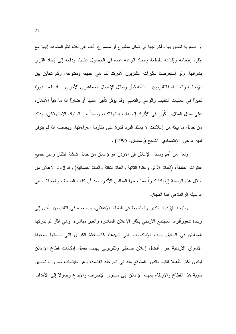أو صعوبة تصوريها وأخراجها في شكل مطبوع أو مسموع، أدت إلى لفت نظرالمشاهد إليها مع إثارة إهتمامه وإقناعه بالسلعة وايجاد الرغبه عنده في الحصول عليها، ودفعه إلى إنخاذ القرار بشرائها. ولو ٳستعرضنا تأثيرات النلفزيون لأدركنا كم هي عميقه ومنتوعه، وكم نتباين بين الإيجابية والسلبية، فالنلفزيون ـــ شأنه شأن وسائل الإنصال الجماهيري الأخرى ـــ قد بلعب دورًا كبيرًا في عمليات التثقيف والوعي والتعليم، وقد يؤثر تأثيرًا سلبيًا أو ضارًا إذا ما هيأ الأذهان، على سبيل المثال، ليكُون في الأفراد إنجاهات إستهلاكيه، ونمطاً من السلوك الاستهلاكي، وذلك من خلال ما ببنه من إعلانات لا يملك الفرد قدرة على مقاومة إغراءاتها، وبخاصه إذا لم يتوفر لديه الوعي الإقتصادي الناجح (رمضان، 1995) .

ولعل من أهم وسائل الإعلان في الاردن هوالإعلان من خلال شاشة التلفاز وعبر جميع القنوات العاملة، (القناة الأولى والقناة الثانية والقناة الثالثة والقناة الفضائية) وقد إزداد الإعلان من خلال هذه الوسيلة إزديادا كبيرا مما جعلها المنافس الأكبر ، بعد أن كانت الصحف والمجلات هي الوسيلة الرائدة في هذا المجال.

ونتيجة الإزدياد الكبير والملحوظ في النشاط الإعلاني، وبخاصه في التلفزيون ۖ أدى إلى زيادة شعورأفراد المحتمع الاردني بأثار الإعلان المباشرة والغير مباشرة، وهي أثار لم يدركها المواطن في السابق بسبب الإنتكاسات التي شهدها، كالمسابقة الكبرى التي نظمتها صحيفة الاسواق الاردنية حول أفضل إعلان صحفى وتلفزيوني بهدف تفعيل إمكانات قطاع الإعلان ليكون أكثر تأهيلا للقيام بالدور المتوقع منه في المرحلة القادمة، وهو مايتطلب ضرورة تحسين سوية هذا القطاع والإرتقاء بمهنه الإعلان إلى مسنوى الإحتراف والإبداع وصولا إلى الأهداف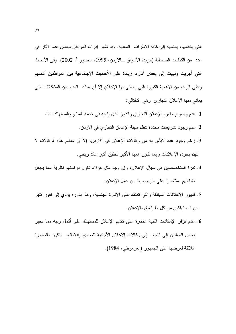التي يخدمها، بالنسبة إلى كافة الاطراف المعنية. وقد ظهر إدراك المواطن لبعض هذه الأثار في عدد من الكتابات الصحفية (جريدة الأسواق ـــالاردن، 1995، منصور أ، 2002). وفي الأبحاث التي أجريت ونبهت إلى بعض آثاره، زيادة على الأحاديث الإجتماعية بين المواطنين أنفسهم وعلى الرغم من الأهمية الكبيرة التي يحظى بها الإعلان إلا أن هناك العديد من المشكلات التي يعاني منها الإعلان النجاري وهي كالنالبي:

- 1. عدم وضوح مفهوم الإعلان النجاري والدور الذي يلعبه في خدمة المنتج والمستهلك معا. 2. عدم وجود تشريعات محددة نتظم مهنة الإعلان التجاري في الاردن.
- 3. رغم وجود عدد لابأس به من وكالات الإعلان في الاردن، إلا أن معظم هذه الوكالات لا تهتم بجودة الإعلانات وإنما بكون همها الأكبر تحقيق أكبر عائد ربحي.
- 4. ندرة المتخصصين في مجال الإعلان، وإن وجد مثل هؤلاء تكون دراستهم نظرية مما يجعل نشاطهم مقتصرًا على جزء بسيط من عمل الإعلان.
- 5. ظهور الإعلانات المبتذلة والتبي تعتمد على الإثارة الجنسية، وهذا بدوره بؤدي إلى نفور كثير من المستهلكين من كل ما يتعلق بالإعلان.
- 6. عدم توفر الإمكانات الفنية القادرة على تقديم الإعلان للمستهلك على أكمل وجه مما يجبر بعض المعلنين إلى اللجوء إلى وكالات إلاعلان الأجنبية لتصميم إعلاناتهم لتكون بالصورة اللائقة لعرضها على الجمهور (العرموطي، 1984).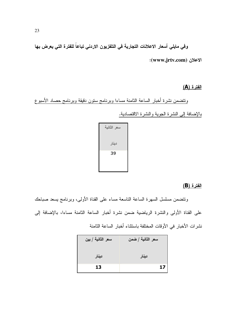وفي مايلي أسعار الاعلالات التجارية في التلفزيون الاردني تباعاً للفترة التي يعرض بها الاعلان (www.jrtv.com):

#### الفترة (A)

ونتضمن نشرة أخبار الساعة الثامنة مساءا وبرنامج ستون دقيقة وبرنامج حصاد الأسبوع بالإضافة إلى النشرة الجوية والنشرة الاقتصادية.

#### الفترة (B)

ونتضمن مسلسل السهرة الساعة الناسعة مساء على القناة الأولى، وبرنامج بسعد صباحك على القناة الأولى والنشرة الرياضية ضمن نشرة أخبار الساعة الثامنة مساءا، بالإضافة إلى نشرات الأخبار في الأوقات المختلفة باستثناء أخبار الساعة الثامنة

| سعر الثانية / بين | سعر الثانية / ضمن |
|-------------------|-------------------|
| دينار             | دينار             |
| 13                | 17                |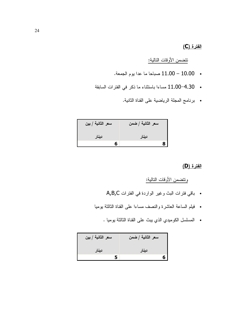#### الفترة (C)

## <u>نتضمن الأوقات التالية:</u>

- . 10.00 11.00 صباحا ما عدا يوم الجمعة.
- 4.30–11.00 مساءا باستثناء ما ذكر في الفترات السابقة
	- برنامج المجلة الرياضية على القناة الثانية.

| سعر الثانية / بين | سعر الثانية / ضمن |
|-------------------|-------------------|
| دينار             | دينار             |
| ĥ                 |                   |

#### الفترة (D)

# ونتضمن الأوقات التالية:

- . باقي فترات البث وغير الواردة في الفترات A,B,C
- فيلم الساعة العاشرة والنصف مساءا على القناة الثالثة بوميا
	- المسلسل الكوميدي الذي يبث على القناة الثالثة يوميا .

| سعر الثانية / بين | سعر الثانية / ضمن |
|-------------------|-------------------|
| دينار             | دينار             |
| 5                 |                   |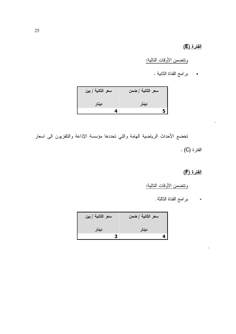### الفترة (E)

ونتضمن الأوقات النالية:

• برامج القناة الثانية .

| سعر الثانية / بين | سعر الثانية / ضمن |
|-------------------|-------------------|
| دينار             | دينار             |
| 4                 |                   |

تخضع الأحداث الرياضية الهامة والتي تحددها مؤسسة الإذاعة والتلفزيون الى اسعار الفترة (C) .

الفترة (F)

t,

J.

ونتضمن الأوقات النالية:

• بر امج القناة الثالثة .

| سعر الثانية / بين | سعر الثانية / ضمن |
|-------------------|-------------------|
| دينار             | دينار             |
|                   |                   |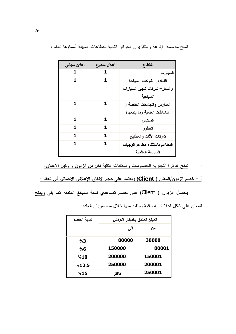| اعلان مجان <i>ی</i> | اعلان مدفوع | القطاع                         |
|---------------------|-------------|--------------------------------|
| 1                   | 1           | السيارات                       |
| 1                   | 1           | الفنادق– شركات السياحة         |
|                     |             | والسفر – شركات تأجير السيارات  |
|                     |             | السياحية                       |
| 1                   | 1           | المدارس والجامعات الخاصة (     |
|                     |             | النشاطات العلمية وما يتبعها)   |
| 1                   | 1.          | الملابس                        |
| 1                   | 1           | العطور                         |
| 1                   | 1           | شركات الأثاث والمطابخ          |
| 1.                  | 1           | المطاعم باستثناء مطاعم الوجبات |
|                     |             | السريعة العالمية               |

تمنح مؤسسة الإذاعة والنلفزيون الحوافز النالية للقطاعات المبينة أسماؤها ادناه :

# <u>أ – خصم الزيون/المعلن ( Client) ويعتمد على حجم الإنفاق الإعلاني الاجمالي في العقد :</u>

يحصل الزبون ( Client) على خصم تصاعدي نسبة للمبالغ المنفقة كما يلي ويمنح

للمعلن على شكل اعلانات إضافية يستفيد منها خلال مدة سريان العقد:

| نسبة الخصم | المبلغ المنفق بالدينار الاردنى |        |  |
|------------|--------------------------------|--------|--|
|            | المی                           | من     |  |
| %3         | 80000                          | 30000  |  |
| %6         | 150000                         | 80001  |  |
| %10        | 200000                         | 150001 |  |
| %12.5      | 250000                         | 200001 |  |
| %15        | فاكثر                          | 250001 |  |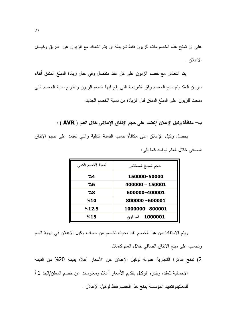على ان تمنح هذه الخصومات للزبون فقط شريطة ان يتم النعاقد مع الزبون عن طريق وكيــل الاعلان .

يتم النعامل مع خصم الزبون على كل عقد منفصل وفي حال زيادة المبلغ المنفق أثناء سريان العقد يتم منح الخصم وفق الشريحة التي يقع فيها خصم الزبون ونطرح نسبة الخصم التي منحت للزبون على المبلغ المنفق قبل الزيادة من نسبة الخصم الجديد.

### <u>ب – مكافأة وكيل الإعلان /تعتمد على حجم الإنفاق الإعلاني خلال العام ( AVR ) :</u>

يحصل وكيل الإعلان على مكافأة حسب النسبة التالية والتي تعتمد على حجم الإنفاق الصافى خلال العام الواحد كما يلي:

| نسبة الخصم الكمى | حجم المبلغ المستثمر |
|------------------|---------------------|
| $\%4$            | 150000-50000        |
| %6               | 400000 - 150001     |
| %8               | 600000-400001       |
| %10              | 800000 -600001      |
| %12.5            | 1000000-800001      |
| %15              | 1000001 – فما فوق   |

ويتم الاستفادة من هذا الخصم نقدا بحيث تخصم من حساب وكيل الاعلان في نهاية العام

وتحسب على مبلغ الانفاق الصافي خلال العام كاملا.

2) تمنح الدائرة التجارية عمولة لوكيل الإعلان عن الأسعار أعلاه بقيمة 20% من القيمة الاجمالية للعقد، ويلتزم الوكيل بتقديم الأسعار أعلاه ومعلومات عن خصم المعلن/البند 1 أ للمعلنينونتعهد المؤسسة بمنح هذا الخصم فقط لوكيل الإعلان .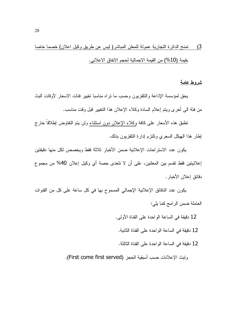# 3) تمنح الدائر ة النجارية عمولة للمعلن المباشر( ليس عن طريق وكيل اعلان) خصما خاصا بقيمة (10%) من القيمة الاجمالية لحجم الانفاق الاعلاني.

#### شروط عامة

يحق لمؤسسة الإذاعة والنلفزيون وحسب ما نراه مناسبا نغيير فئات الاسعار لأوقات البث من فئة الى أخرى ويتم إعلام السادة وكلاء الإعلان هذا التغيير قبل وقت مناسب.

نطبق هذه الأسعار على كافة وكلاء الإعلان دون استثناء ولن بتم النفاوض إطلاقاً خارج إطار هذا الهيكل السعرى ونلتزم إدارة النلفزيون بذلك.

يكون عدد الاستر احات الإعلانية ضمن الأخبار ثلاثة فقط ويخصص لكل منها دقيقتين إعلانيتين فقط تقسم بين المعلنين، على أن لا تتعدى حصة أي وكيل إعلان 40% من مجموع دقائق إعلان الأخبار .

يكون عدد الدقائق الإعلانية الإجمالي المسموح بها في كل ساعة على كل من القنوات العاملة ضمن الرامج كما يلي:

12 دقيقة في الساعة الو احدة على القناة الأولى.

12 دقيقة في الساعة الواحدة على القناة الثانية.

12 دقيقة في الساعة الواحدة على القناة الثالثة.

وتبث الإعلانات حسب أسبقية الحجز (First come first served).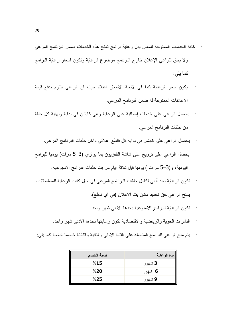- كافة الخدمات الممنوحة للمعلن بدل رعاية برامج تمنح هذه الخدمات ضمن البرنامج المرعي ولا يحق للراعي الإعلان خارج البرنامج موضوع الرعاية ونكون اسعار رعاية البرامج كما يلي:
- يكون سعر الرعاية كما في لائحة الاسعار اعلاه حيث ان الراعي يلتزم بدفع قيمة الاعلانات الممنوحة له ضمن البرنامج المرعى.
- يحصل الراعي على خدمات إضافية على الرعاية وهي كابشن في بداية ونهاية كل حلقة من حلقات البرنامج المرعي.
	- يحصل الراعي على كابشن في بداية كل قاطع اعلاني داخل حلقات البرنامج المرعي.
- بِحصل الراعي على نرويج على شاشة النلفزيون بما بوازي (3–5 مرات) بوميا للبرامج اليومية، و(3–5 مرات ) يوميا قبل ثلاثة ايام من بث حلقات البرامج الاسبوعية.
- نكون الرعاية بحد أدنى لكامل حلقات البرنامج المرعي في حال كانت الرعاية للمسلسلات.  $\ddot{\phantom{0}}$ 
	- يمنح الراعي حق تحديد مكان بث الاعلان (في اي قاطع).  $\bar{\phantom{a}}$
	- نكون الرعاية للبرامج الاسبوعية بحدها الادنى شهر واحد.

J,

- النشرات الجوية والرياضية والاقتصادية نكون رعايتها بحدها الادنى شهر واحد.
- يتم منح الراعي للبر امج المتصلة على القناة الاولى والثانية والثالثة خصما خاصا كما يلي:

| نسبة الخصم | مدة الرعاية |
|------------|-------------|
| %15        | 3 شھور      |
| %20        | 6 شھور      |
| %25        | 9 شھور      |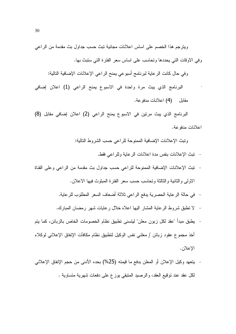ويترجم هذا الخصم على اساس اعلانات مجانية تبث حسب جداول بث مقدمة من الراعي وفي الاوقات التي يحددها وتحاسب على اساس سعر الفترة التي ستبث بها.

وفي حال كانت الرعاية لبرنامج أسبوعي يمنح الراعي الإعلانات الإضافية التالية:

البرنامج الذي يبث مرة واحدة في الاسبوع يمنح الراعي (1) اعلان إضافي مقابل (4) اعلانات مدفوعة.

البرنامج الذي يبث مرتين في الاسبوع يمنح الراعي (2) اعلان إضافي مقابل (8) اعلانات مدفو عة.

ونبِث الإعلانات الإضافية الممنوحة للر اعى حسب الشر وط التالية:

- تبث الإعلانات بنفس مدة اعلانات الر عاية وللر اعي فقط.
- نبث الإعلانات الإضافية الممنوحة للراعي حسب جداول بث مقدمة من الراعي وعلى القناة الاولى والثانية والثالثة وتحاسب حسب سعر الفترة المبثوث فيها الاعلان.
	- في حالة الرعاية الحصرية يدفع الراعي ثلاثة أضعاف السعر المطلوب للرعاية.
	- لا نطبق شروط الرعاية المشار اليها اعلاه خلال رعايات شهر رمضان المبارك.  $\overline{\phantom{0}}$
- يطبق مبدأ "عقد لكل زبون معلن" ليتسنى تطبيق نظام الخصومات الخاص بالزبائن، كما يتم أخذ مجموع عقود زبائن / معلني نفس الوكيل لنطبيق نظام مكافآت الإنفاق الإعلاني لوكلاء الإعلان.
- يتعهد وكيل الإعلان أو المعلن بدفع ما قيمته (25%) بحده الأدنبي من حجم الإنفاق الإعلانبي لكل عقد عند نوقيع العقد، والرصيد المنبقى بوزع على دفعات شهرية متساوية .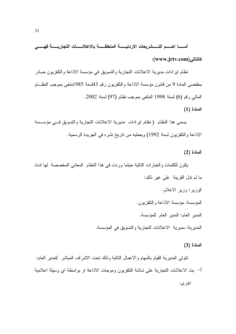أمســا اهــــم التــــــــثىريعات الاردنيـــــــة المتعلقـــــة بالاعلانــــــات التجاريــــــة فهـــــى كالتالي)(www.jrtv.com):

نظام اير ادات مديرية الاعلانات النجارية والتسويق في مؤسسة الاذاعة والتلفزيون صادر بمقتضىي المادة 9 من قانون مؤسسة الاذاعة والتلفزيون رقم 43لسنة 1985ملغى بموجب النظـــام المالي رقم (6) لسنة 1998 الملغي بموجب نظام (97) لسنة 2002.

المادة (1)

يسمى هذا النظام (نظام ايرادات مديرية الاعلانات التجارية والتسويق فسى مؤسسة الاذاعة والنلفزيون لسنة 1992) ويعملبه من ناريخ نشره في الجريدة الرسمية.

المادة (2)

يكون للكلمات والعبارات النالية حيثما وردت في هذا النظام المعاني المخصصة لها ادناه ما لم ندل القرينة على غير ذلك: الوزبر: وزبر الإعلام. المؤسسة: مؤسسة الاذاعة والتلفزيون. المدير العام: المدير العام للمؤسسة. المدير ية: مدير ية الاعلانات النجار ية و النسو يق في المؤسسة.

المادة (3)

نتولى المديرية القيام بالمهام والاعمال النالية وذلك نحت الاشراف المباشر للمدير العام: أ– بث الاعلانات التجارية على شاشة التلفزيون وموجات الاذاعة او بواسطة اي وسيلة اعلامية اخر ي.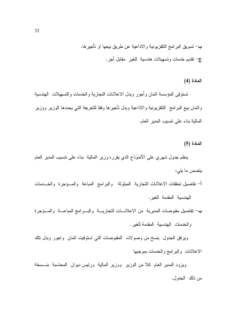ب– تسويق البرامج النلفزيونية والاذاعية عن طريق بيعها او تأجيرها. ج– نقديم خدمات وتسهيلات هندسية للغير ًمقابل أجر.

المادة (4)

تستوفى المؤسسة اثمان وأجور وبدل الاعلانات التجارية والخدمات والتسهيلات الهندسية واثمان بيع البرامج النلفزيونية والاذاعية وبدل نأجيرها وفقا للنعريفة التى يحددها الوزير ووزير المالية بناء على نتسيب المدير العام.

المادة (5)

ينظم جدول شهري على الأنموذج الذي يقرره وزير المالية بناء على نتسيب المدير العام يتضمن ما يلي:

أ– نفاصيل تحققات الاعلانات التجارية المبثوثة والبرامج المباعة والمسؤجرة والخــدمات الهندسية المقدمة للغير.

ب- نفاصيل مقبوضات المديرية من الاعلانـــات النجاريــــة والبــــرامج المباعــــة والمـــؤجرة والخدمات الهندسية المقدمة للغير .

ويرفق الجدول بنسخ من وصولات المقبوضات التي استوفيت اثمان واجور وبدل نلك الاعلانات والبرامج والخدمات بموجبها

ويزود المدير العام كلا من الوزير ووزير المالية ورئيس ديوان المحاسبة بنــسخة من ذلك الجدول.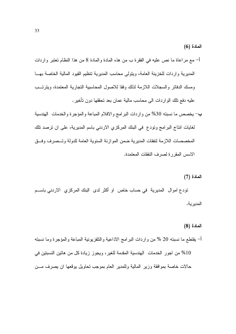المادة (6)

- أ– مع مراعاة ما نص عليه في الفقرة ب من هذه المادة والمادة 8 من هذا النظام تعتبر واردات المديرية وإردات للخزينة العامة، ويتولى محاسب المديرية نتظيم القيود المالية الخاصة بهــا ومسك الدفاتر والسجلات اللازمة لذلك وفقا للاصول المحاسبية التجارية المعتمدة، ويترتسب عليه دفع نلك الواردات الى محاسب مالية عمان بعد نحققها دون نأخير .
- ب- يخصص ما نسبته 30% من واردات البرامج والافلام المباعة والمؤجرة والخدمات الهندسية لغايات انتاج البرامج وتودع في البنك المركزي الاردني باسم المديرية، على ان ترصد تلك المخصصات اللاز مة لنفقات المدبر بة ضمن المو از نة السنوية العامة للدولة و تــصر ف وفــق الاسس المقررة لصرف النفقات المعتمدة.

المادة (7)

تودع اموال المديرية في حساب خاص او أكثر لدى البنك المركزي الاردني باســـم المدير ية.

#### المادة (8)

أ– يقتطع ما نسبته 20 % من واردات البرامج الاذاعية والتلفزيونية المباعة والمؤجرة وما نسبته 10% من اجور الخدمات الهندسية المقدمة للغير، ويجوز زيادة كل من هاتين النسبتين في حالات خاصة بموافقة وزير المالية وللمدير العام بموجب تحاويل بوقعها ان يصرف مـــن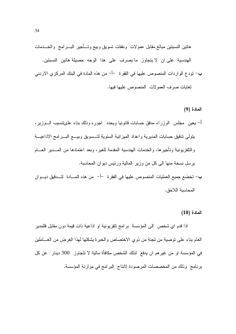هانتين النسبنتين مبالغ مقابل عمولات ونفقات نسويق وبيع وتسأجير البسرامج والخسدمات الهندسية على ان لا يتجاوز ما يصرف على هذا الوجه حصيلة هاتين النسبتين. ب— تودع الواردات المنصوص عليها في الفقرة —أ– من هذه المادة في البنك المركزي الاردني لغايات صرف العمولات المنصوص عليها فيها.

#### المادة (9)

- أ– يعين ً مجلس "الوزراء مدقق حسابات قانونيا ويحدد "اجوره وذلك بناء علىتتسيب الــــوزير، يتولى ندقيق حسابات المديرية وإعداد الميزانية السنوية لتسسويق وبيسع البسرامج الاذاعيسة والنلفزيونية وتأجيرها، والخدمات الهندسية المقدمة للغير، وبعد اعتمادها من المسدير العسام يرسل نسخة منها الى كل من وزير المالية ورئيس ديوان المحاسبة.
- ب- تخضع جميع العمليات المنصوص عليها في الفقرة –أ– من هذه المسادة لتسدقيق ديسوان المحاسنة اللاحق.

 $(10)$  المادة

اذا قدم اي شخص الى المؤسسة برامج نلفزيونية او اذاعية ذات قيمة دون مقابل فللمدير العام بناء على نوصية من لجنة من ذوي الاختصاص والخبرة يشكلها لهذا الغرض من العــاملين في المؤسسة او من غيرهم ان يدفع لذلك الشخص مكافأة مالية لا تتجاوز 300 دينار عن كل برنامج وذلك من المخصصات المرصودة لانتاج البرامج في موازنة المؤسسة.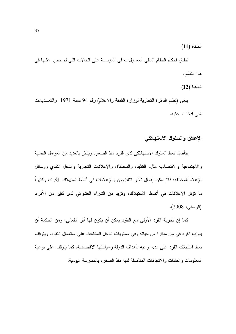$(11)$  المادة

تطبق احكام النظام المالي المعمول به في المؤسسة على الحالات التي لم ينص عليها في هذا النظام.

المادة (12)

يلغي (نظام الدائرة التجارية لوزارة الثقافة والاعلام) رقم 94 لسنة 1971 والتعــديلات التي ادخلت عليه.

# الاعلان والسلوك الاستهلاكي

يتأصل نمط السلوك الاستهلاكي لدى الفرد منذ الصغر، ويتأثر بالعديد من العوامل النفسية والاجتماعية والاقتصادية مثل: النقليد، والمحاكاة، والإعلانات التجارية والدخل النقدي ووسائل الإعلام المختلفة؛ فلا يمكن إهمال تأثير النلفزيون والإعلانات في أنماط استهلاك الأفراد، وكثيراً ما نؤثر الإعلانات في أنماط الاستهلاك، وتزيد من الشراء العشوائي لدى كثير من الأفراد (الرماني، 2008).

كما إن تجربة الفرد الأولى مع النقود يمكن أن يكون لها أثر انفعالي، ومن الحكمة أن يدرّب الفرد في سن مبكرة من حياته وفي مستويات الدخل المختلفة، على استعمال النقود. ويتوقف نمط استهلاك الفرد على مدى وعيه بأهداف الدولة وسياستها الاقتصادية، كما يتوقف على نوعية المعلومات والعادات والاتجاهات المتأصلة لديه منذ الصغر، بالممارسة اليومية.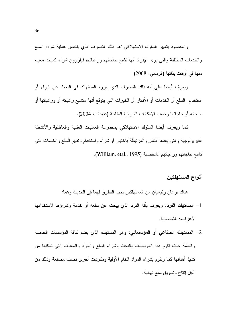والمقصود بتعبير السلوك الاستهلاكي "هو ذلك التصرف الذي يلخص عملية شراء السلع والخدمات المختلفة والتبي برى الإفراد أنها نتثىبع حاجاتهم ورغباتهم فيقررون شراء كميات معينه منها في أوقات بذاتها (الرماني، 2008).

ويعرف أيضا على أنه ذلك التصرف الذي يبرزه المستهلك في البحث عن شراء أو استخدام السلع أو الخدمات أو الأفكار أو الخبر ات التي يتوقع أنها ستثنبع ر غباته أو ور غباتها أو حاجاته أو حاجاتها وحسب الإمكانات الشرائية المتاحة (عبيدات، 2004).

كما ويعرف أيضا السلوك الاستهلاكي بمجموعة العمليات العقلية والعاطفية والأنشطة الفيزيولوجية والتي يعدها الناس والمرتبطة باختيار أو شراء واستخدام وتقييم السلع والخدمات التبي نشبع حاجاتهم ورغباتهم الشخصية (William, etal., 1995).

# أنواع المستهلكين

هناك نوعان رئيسيان من المستهلكين يجب النطرق لهما في الحديث وهما:

- 1– المستهلك الفرد: ويعرف بأنه الفرد الذي يبحث عن سلعه أو خدمة وشراؤها لاستخدامها لأغر اضه الشخصبة.
- 2– ا**لمستهلك الصناعي أو المؤسساتي:** وهو المستهلك الذي يضم كافة المؤسسات الخاصة والعامة حيث نقوم هذه المؤسسات بالبحث وشراء السلع والمواد والمعدات التي تمكنها من نتفيذ أهدافها كما وتقوم بشراء المواد الخام الأولية ومكونات أخرى نصف مصنعة وذلك من أجل إنتاج وتسويق سلع نهائية.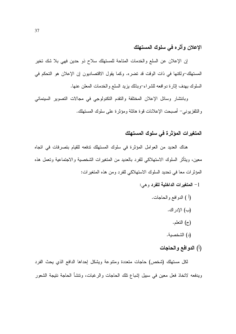# الإعلان وأثره في سلوك المستهلك

إن الإعلان عن السلع والخدمات المتاحة للمستهلك سلاح ذو حدين فهي بلا شك تخير المستهلك-ولكنها في ذات الوقت قد تضره. وكما يقول الاقتصاديون إن الإعلان هو التحكم في السلوك بهدف إثارة دو افعه للشر اء–وبذلك بزيد السلع والخدمات المعلن عنها.

وبانتشار وسائل الإعلان المختلفة والنقدم التكنولوجي في مجالات التصوير السينمائي والنلفزيوني– أصبحت الإعلانات قوة هائلة ومؤثرة على سلوك المستهلك.

# المتغيرات المؤثرة فى سلوك المستهلك

هناك العديد من العوامل المؤثرة في سلوك المستهلك تدفعه للقيام بتصرفات في اتجاه معين، ويتأثَّر السلوك الاستهلاكي للفرد بالعديد من المتغيرات الشخصية والاجتماعية وتعمل هذه المؤثرات معا في تحديد السلوك الاستهلاكي للفرد ومن هذه المتغيرات:

- 1– المتغيرات الداخلية للفرد وهي:
	- (أ ) الدوافع والحاجات.
		- (ب) الإدر اك.
			- (ج) النّعلم.
		- (د) الشخصية.
		- (أ) الدوافع والحاجات

لكل مستهلك (شخص) حاجات متعددة ومتنوعة ويشكل إحداها الدافع الذي يحث الفرد ويدفعه لاتخاذ فعل معين في سبيل إشباع تلك الحاجات والرغبات، وتتشأ الحاجة نتيجة الشعور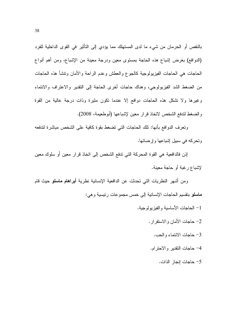بالنقص أو الحرمان من شيء ما لدى المستهلك مما يؤدي إلى التأثير في القوى الداخلية للفرد (الدوافع) بغرض إشباع هذه الحاجة بمستوى معين ودرجة معينة من الإشباع، ومن أهم أنواع الحاجات هي الحاجات الفيزيولوجية كالجوع والعطش وعدم الراحة والأمان ونتشأ هذه الحاجات من الضغط الشد الفيزيولوجي، وهناك حاجات أخرى الحاجة إلى النقدير والاعتراف والانتماء وغيرها ولا نشكل هذه الحاجات دوافع إلا عندما نكون مثيرة وذات درجة عالية من القوة والضغط لتدفع الشخص لاتخاذ قرار معين لإشباعها (أبوطعيمة، 2008).

وتعرف الدوافع بأنها: تلك الحاجات التي تضغط بقوة كافية على الشخص مباشرة لتدفعه و تحر که فی سبیل اِشباعها و اِر ضائها.

إذن فالدافعية هي القوة المحركة التي تدفع الشخص إلى اتخاذ قرار معين أو سلوك معين لإشباع رغبة أو حاجة معبنة.

ومن أشهر النظريات التي تحدثت عن الدافعية الإنسانية نظرية **أبراهام ماسلو** حيث قام ماسلو بتقسيم الحاجات الإنسانية إلى خمس مجموعات رئيسية وهي:

- 1– الحاجات الأساسية والفيزيولوجية.
	- 2- حاجات الأمان والاستقر ار . 3– حاجات الانتماء والحب. 4– حاجات النقدير والاحترام.
		- 5– حاجات إنجاز الذات.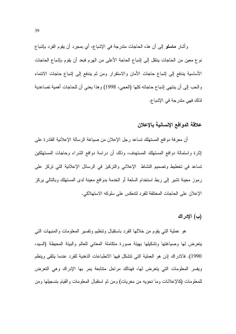وأشار ماسلو إلى أن هذه الحاجات متدرجة في الإشباع، أي بمجرد أن يقوم الفرد بإشباع نوع معين من الحاجات ينتقل إلى إشباع الحاجة الأعلى من الهرم فبعد أن يقوم بإشباع الحاجات الأساسية يندفع إلىي إشباع حاجات الأمان والاستقرار ومن ثم يندفع إلىي إشباع حاجات الانتماء و الحب إلى أن ينتهي إشباع حاجاته كلها (العجي، 1998) و هذا يعني أن للحاجات أهمية تصاعدية لذلك فهي متدرجة في الإشباع.

# علاقة الدوافع الإنسانية بالإعلان

أن معرفة دوافع المستهلك تساعد رجل الإعلان من صباغة الرسالة الإعلانية القادرة على إثارة واستمالة دوافع المستهلك المستهدف، وذلك أن دراسة دوافع الشراء وحاجات المستهلكين تساعد في تخطيط وتصميم النشاط الإعلاني والتركيز في الرسائل الإعلانية التي تركز على رموز معينة تشير إلى ربط استخدام السلعة أو الخدمة بدوافع معينة لدى المستهلك وبالنالي بركز الإعلان على الحاجات المختلفة للفر د لنتعكس على سلوكه الاستهلاكي.

### (ب) الإدراك

هو عملية التي يقوم من خلالها الفرد باستقبال ونتظيم ونفسير المعلومات والمنبهات التبي بنعرض لها وصباغتها وتشكيلها بهيئة صورة متكاملة المعانبي للعالم والببئة المحيطة (السبد، 1990). فالادراك إذن هو العملية التي تتشكل فيها الانطباعات الذهنية للفرد عندما يتلقى وينظم ويفسر المعلومات التي يتعرض لها، فهنالك مراحل منتابعة بمر بها الإدراك وهي التعرض للمعلومات (كالإعلانات وما نحويه من مغريات) ومن ثم استقبال المعلومات والقيام بتسجيلها ومن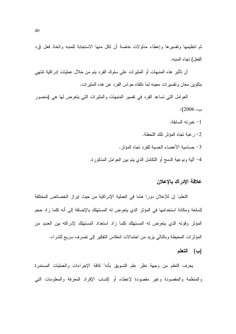ثم تنظيمها ونفسيرها وإعطاء مدلولات خاصة أن لكل منها الاستجابة للمنبه واتخاذ فعل (رد الفعل) تجاه المنبه.

أن تأثير هذه المنبهات أو المثيرات على سلوك الفرد يتم من خلال عمليات إدراكية تتتهي بنكوين معان ونفسيرات معينه لما نتلقاه حواس الفرد عن هذه المثيرات.

العوامل التبي تساعد الفرد في تفسير المنبهات والمثيرات التبي يتعرض لها هي (منصور ب، 2006):

- 1– خبر ته السابقة.
- 2- رغبة تجاه المؤثر تلك اللحظة.
- 3- حساسية الأعضاء الحسية للفرد نجاه المؤثر.

4– ألية ونوعية الدمج أو النكامل الذي يتم بين العوامل المذكورة.

#### علاقة الادر اك بالاعلان

النعلم: إن للإعلان دورًا هاما في العملية الإدراكية من حيث إبراز الخصائص المختلفة للسلعة ومكانة استخدامها في المؤثر الذي يتعرض له المستهلك بالإضافة إلى أنه كلما زاد حجم المؤثِّر وقوته الذي يتعرَّض له المستهلُّك كلَّما زاد استعداد المستهلُّك لإدراكه بين العديد من المؤثِّرات المحيطة وبالتالي يزيد من احتمالات انعكاس التفكير إلى تصرف سريع للشراء.

### (ب) التعلم

يعرف النعلم من وجهة نظر علم التسويق بأنه" كافة الإجراءات والعمليات المستمرة والمنظمة والمقصودة وغير مقصودة لإعطاء أو إكساب الإفراد المعرفة والمعلومات التبي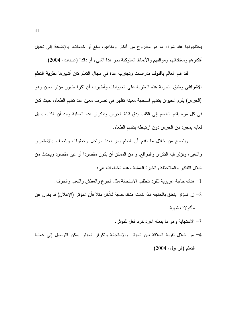يحتاجونها عند شراء ما هو مطروح من أفكار ومفاهيم، سلع أو خدمات، بالإضافة إلى تعديل أفكار هم ومعتقداتهم ومواقفهم والأنماط السلوكية نحو هذا الشيء أو ذاك" (عبيدات، 2004).

لقد قام العالم **بافلوف** بدراسات وتجارب عدة في مجال التعلم كان أشهرها **نظرية التعل**م الا**شراط**ي وطبق تجربة هذه النظرية على الحيوانات وأظهرت أن تكرا ظهور مؤثر معين وهو (الجرس) يقوم الحيوان بتقديم استجابة معينه تظهر في تصرف معين عند تقديم الطعام، حيث كان في كل مرة يقدم الطعام إلى الكلب يدق قبلة الجرس وبتكرار هذه العملية وجد أن الكلب يسيل لعابه بمجرد دق الجرس دون ارتباطه بنقديم الطعام.

وينضح من خلال ما نقدم أن النعلم بمر بعدة مراحل وخطوات ويتصف بالاستمرار والنغير، ونؤثر فيه النكرار والدوافع، و من الممكن أن يكون مقصودا أو غير مقصود ويحدث من خلال النفكير والملاحظة والخبرة العملية وهذه الخطوات هي:

1– هناك حاجة غريزية للفرد نتطلب الاستجابة مثل الجوع والعطش والنعب والخوف.

- 2– إن المؤثر يتعلق بالحاجة فإذا كانت هناك حاجة للأكل مثلا فأن المؤثر (الإعلان) قد يكون عن مأكو لات شهبة.
	- 3- الاستجابة وهو ما بفعله الفرد كرد فعل للمؤثر .
- 4– من خلال نقوية العلاقة بين المؤثر والاستجابة ونكرار المؤثر يمكن التوصل إلى عملية النعلم (الزغول، 2004).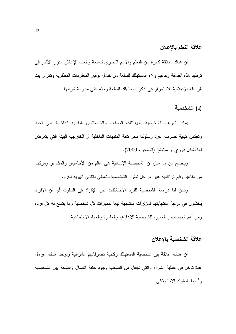### علاقة التعلم بالإعلان

أن هناك علاقة كبيرة بين النعلم والاسم النجاري للسلعة ويلعب الإعلان الدور الأكبر في توطيد هذه العلاقة وندعيم ولاء المستهلك للسلعة من خلال توفير المعلومات المطلوبة ونكر ار بث الرسالة الإعلانية للاستمرار في تذكر المستهلك للسلعة وحثه على مداومة شرائها.

# (د) الشخصية

يمكن تعريف الشخصية بأنها:"تلك الصفات والخصائص النفسية الداخلية التي تحدد و تعكس كيفية تصر ف الفر د وسلوكه نحو كافة المنبهات الداخلية أو الخار جية البيئة التي بتعر ض لمها بشكل دور ي أو منتظم" (الصحن، 2000).

ويتضح من ما سبق أن الشخصية الإنسانية هي عالم من الأحاسيس والمشاعر ومركب من مفاهيم وقيم نراكمية عبر مراحل نطور الشخصية ونعطى بالنالي الهوية للفرد.

وتبين لنا دراسة الشخصية للفرد الاختلافات بين الإفراد في السلوك أي أن الإفراد يختلفون في درجة استجابتهم لمؤثرات متشابهة تبعا لمميزات كل شخصية وما يتمتع به كل فرد، ومن أهم الخصائص المميزة للشخصية الاندفاع، والغامرة والحياة الاجتماعية.

## علاقة الشخصية بالإعلان

أن هناك علاقة بين شخصية المستهلك وكيفية تصرفاتهم الشرائية وتوجد هناك عوامل عدة تدخل في عملية الشراء والتي تجعل من الصعب وجود حلقة اتصال واضحة بين الشخصية وأنماط السلوك الاستهلاكي.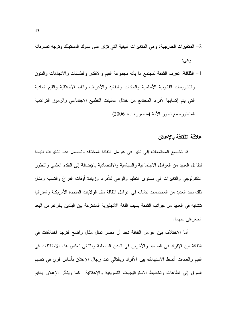- 2– ال**متغيرات الخارجية:** وهي المتغيرات البيئية التي تؤثر على سلوك المستهلك وتوجه تصرفاته وهي:
- 1– ا**لثقافة:** تعرف الثقافة لمجتمع ما بأنه مجموعة القيم والأفكار والفلسفات والاتجاهات والفنون والنشريعات القانونية الأساسية والعادات والنقاليد والأعراف والقيم الأخلاقية والقيم المادية التي يتم إكسابها لأفراد المجتمع من خلال عمليات التطبيع الاجتماعي والرموز التراكمية المنطورة مع نطور الأمة (منصور، ب، 2006)

### علاقة الثقافة بالاعلان

قد تخضع المجتمعات إلى تغير في عوامل الثقافة المختلفة وتحصل هذه التغيرات نتيجة لتفاعل العديد من العوامل الاجتماعية والسياسية والاقتصادية بالإضافة إلى التقدم العلمي والتطور النكنولوجي والتغيرات في مستوى التعليم والوعى للأفراد وزيادة أوقات الفراغ والتسلية ومثال ذلك نجد العديد من المجتمعات تتشابه في عوامل الثقافة مثل الولايات المتحدة الأمريكية واستراليا تتشابه في العديد من جوانب الثقافة بسبب اللغة الانجليزية المشتركة بين البلدين بالرغم من البعد الجغرافي بينهما.

أما الاختلاف بين عوامل الثقافة نجد أن مصر تمثّل مثال واضح فتوجد اختلافات في الثقافة بين الإفراد في الصعيد والأخرين في المدن الساحلية وبالتالي تعكس هذه الاختلافات في القيم والعادات أنماط الاستهلاك ببن الأفراد وبالنالي نمد رجال الإعلان بأساس قوي في نقسيم السوق إلى قطاعات وتخطيط الاسترانيجيات التسويقية والإعلانية كما ويتأثر الإعلان بالقيم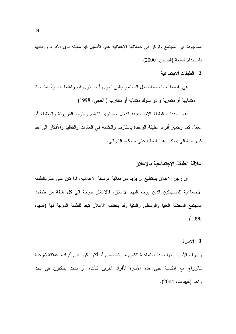الموجودة في المجتمع وتركز في حملاتها الإعلانية على تأصيل قيم معينة لدى الأفراد وربطها باستخدام السلعة (الصحن، 2000).

#### 2– الطبقات الاجتماعية

هي نقسيمات متجانسة داخل المجتمع والتبي نحوي أناسا ذوي قيم واهتمامات وأنماط حياة متشابهة أو متقاربة و ذو سلوك متشابه أو متقارب ( العجي، 1998).

أهم محددات الطبقة الاجتماعية: الدخل ومستوى التعليم والثروة الموروثة والوظيفة أو العمل كما ويتميز أفراد الطبقة الواحدة بالتقارب والتشابه في العادات والنقاليد والأفكار إلى حد كبير وبالتالي ينعكس هذا التشابه على سلوكهم الشر ائي.

## علاقة الطبقة الاجتماعية بالاعلان

ان رجل الاعلان يستطيع ان يزيد من فعالية الرسالة الاعلانية، اذا كان على علم بالطبقة الاجتماعية للمستهلكين الذين يوجه اليهم الاعلان، فالاعلان ينوجة الى كل طبقة من طبقات المجتمع المختلفة العليا والوسطى والدنيا وقد يختلف الاعلان تبعا للطبقة الموجة لها (السيد،  $(1990)$ 

### 3- الأسرة

ونعرف الأسرة بأنها وحدة اجتماعية تتكون من شخصين أو أكثر يكون بين أفرادها علاقة شرعية كالزواج مع إمكانية تبنى هذه الأسرة لأفراد آخرين كأبناء أو بنات يسكنون في بيت واحد (عبيدات، 2004).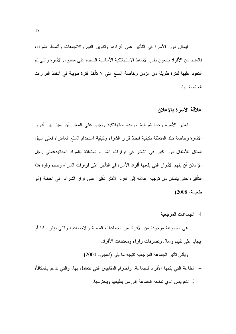ليمكن دور الأسرة في التأثير على أفرادها ونكوين القيم والاتجاهات وأنماط الشراء، فالعديد من الأفراد يتبعون نفس الأنماط الاستهلاكية الأساسية السائدة على مستوى الأسرة والتبي تم النعود عليها لفترة طويلة من الزمن وخاصة السلع التي لا نأخذ فترة طويلة في انخاذ القرارات الخاصة بها.

# علاقة الأسرة بالإعلان

تعتبر الأسرة وحدة شرائية ووحدة استهلاكية ويجب على المعلن أن يميز بين أدوار الأسرة وخاصة نلك المتعلقة بكيفية اتخاذ قرار الشراء وكيفية استخدام السلع المشتراه فعلى سبيل المثال للأطفال دور كبير في التأثير في قرارات الشراء المتعلقة بالمواد الغذائية،فعلى رجل الإعلان أن يفهم الأدوار التي يلعبها أفراد الأسرة في التأثير على قرارات الشراء وحجم وقوة هذا التأثير، حتى يتمكن من توجيه إعلانه إلى الفرد الأكثر تأثيرا على قرار الشراء في العائلة (أبو طعيمة، 2008).

### 4– الجماعات المرجعية

هي مجموعة موجودة من الأفراد من الجماعات المهنية والاجتماعية والتبي نؤثر سلبا أو ايجابا علمي نقييم و أمال ونصر فات و أر اء و معتقدات الأفر اد.

ويأتي تأثير الجماعة المرجعية نتيجة ما يلي (العجي، 2000):

– الطاعة التـى يكنـها الأفراد للجماعة، واحترام المقابيس التـي تتعامل بـها، والتـي تدعم بالمكافأة أو التعويض الذي تمنحه الجماعة إلى من يطيعها ويحترمها.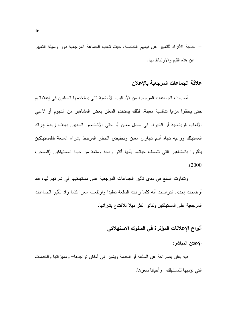– حاجة الأفراد للنعبير عن قيمهم الخاصة، حيث نلعب الجماعة المرجعية دور وسيلة النعبير عن هذه القيم والارتباط بها.

### علاقة الجماعات المرجعية بالإعلان

أصبحت الجماعات المرجعية من الأساليب الأساسية التي يستخدمها المعلنين في إعلاناتهم حتى يحققوا مزايا نتافسية معينة، لذلك يستخدم المعلن بعض المشاهير من النجوم أو لاعبى الألعاب الرياضية أو الخبراء في مجال معين أو حتى الأشخاص العاديين بهدف زيادة إدراك المستهلك ووعيه نجاه أسم نجاري معين ونخفيض الخطر المرنبط بشراء السلعة فالمستهلكين بتأثَّروا بالمشاهير التي نتصف حياتهم بأنها أكثر راحة ومتعة من حياة المستهلكين (الصحن،  $. (2000)$ 

وتتفاوت السلع في مدى تأثير الجماعات المرجعية على مستهلكيها في شرائهم لها، فقد أوضحت إحدى الدر اسات أنه كلما زادت السلعة تعقبدا وارتفعت سعرا كلما زاد تأثير الجماعات المرجعية على المستهلكين وكانوا أكثر ميلا للاقتناع بشرائها.

# أنواع الإعلانات المؤثرة في السلوك الاستهلاكي

الإعلان المباشر:

فيه يعلن بصراحة عن السلعة أو الخدمة ويشير إلى أماكن نواجدها– ومميزاتها والخدمات التي نؤدبها للمستهلك- و أحبانا سعر ها.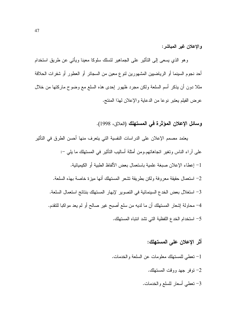والإعلان غير المباشر:

وهو الذي يسعى إلى النأثير على الجماهير لتسلك سلوكا معينا ويأتي عن طريق استخدام أحد نجوم السينما أو الرياضيين المشهورين لنوع معين من السجائر أو العطور أو شفرات الحلاقة مثلاً دون أن يذكر أسم السلعة ولكن مجرد ظهور إحدى هذه السلع مع وضوح ماركتها من خلال عرض الفيلم يعتبر نوعا من الدعاية والإعلان لهذا المنتج.

وسائل الإعلان المؤثرة في المستهلك (العلاق، 1998).

يعتمد مصمم الإعلان على الدراسات النفسية التي يتعرف منها أحسن الطرق في التأثير على أراء الناس وتغير اتجاهاتهم.ومن أمثلة أساليب النَّاثير في المستهلك ما يلي –: 1– إعطاء الإعلان صبغة علمية باستعمال بعض الألفاظ الطبية أو الكيميائية. 2– استعمال حقيقة معروفة ولكن بطريقة تشعر المستهلك أنها ميزة خاصة بهذه السلعة. 3– استغلال بعض الخدع السينمائية في التصوير لإبهار المستهلك بنتائج استعمال السلعة. 4– محاولة إشعار المستهلك أن ما لديه من سلع أصبح غير صالح أو لم يعد مواكبا للنقدم. 5– استخدام الخدع اللفظية التي نشد انتباه المستهلك.

- أثر الإعلان على المستهلك:
- 1- تعطي للمستهلك معلومات عن السلعة والخدمات. توفر جهد ووقت المستهلك.  $-2$ 3- تعطي أسعار للسلع والخدمات.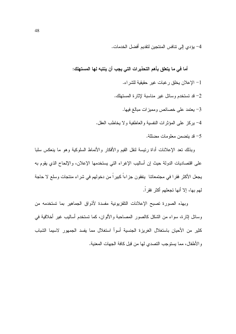4– يؤدي إلى تنافس المنتجين لتقديم أفضل الخدمات.

أما في ما يتعلق بأهم التحذيرات التي يجب أن ينتبه لها المستهلك: 1– الإعلان يخلق رغبات غير حقيقية للشراء. 2- قد تستخدم وسائل غير مناسبة لإثارة المستهلك. 3- يعتمد على خصائص ومميزات مبالغ فيها. 4- يركز على المؤثرات النفسية والعاطفية ولا يخاطب العقل. 5– قد بتضمن معلومات مضللة.

وبذلك نعد الإعلانات أداة رئيسة لنقل القيم والأفكار والأنماط السلوكية وهو ما ينعكس سلبا على اقتصاديات الدولة حيث إن أساليب الإغراء التي يستخدمها الإعلان، والإلحاح الذي يقوم به يجعل الأكثر فقرا في مجتمعاتنا ينفقون جزاءاً كبيراً من دخولهم في شراء منتجات وسلع لا حاجة لهم بها، إلا أنها تجعلهم أكثر فقراً.

وبهذه الصورة تصبح الإعلانات التلفزيونية مفسدة لأذواق الجماهير بما تستخدمه من وسائل إثارة، سواء من الشكل كالصور المصاحبة والألوان، كما تستخدم أساليب غير أخلاقية في كثير من الأحيان باستغلال الغريزة الجنسية أسوأ استغلال مما يفسد الجمهور لاسيما الشباب والأطفال، مما يستوجب التصدي لها من قبل كافة الجهات المعنية.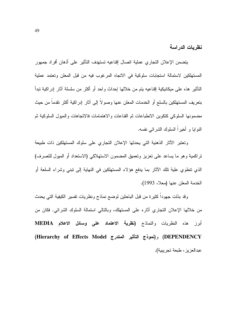نظر بات الدر اسة

يتضمن الإعلان التجاري عملية اتصال إقناعيه تستهدف التأثير على أذهان أفراد جمهور المستهلكين لاستمالة استجابات سلوكية في الاتجاه المرغوب فيه من قبل المعلن وتعتمد عملية التأثير هذه على ميكانيكية إقناعيه بنم من خلالها إحداث و احد أو أكثر من سلسلة آثار إدر اكية تبدأ بنعر بف المستهلكين بالسلع أو الخدمات المعلن عنها وصو لا إلى آثار إدر اكية أكثر نقدماً من حيث مضمونها السلوكي كتكوين الانطباعات ثم القناعات والاهتمامات فالاتجاهات والمبول السلوكية ثم الَّذو ابا و أُخير اً السلوك الشَّر ائے، نفسه.

وتعتبر الآثار الذهنية التي يحدثها الإعلان التجاري على سلوك المستهلكين ذات طبيعة تراكمية وهو ما يساعد على تعزيز وتعميق المضمون الاستهلاكي (الاستعداد أو المبول للتصرف) الذي نتطوى علية تلك الآثار بما يدفع هؤلاء المستهلكين في النهاية إلى نبني وشراء السلعة أو الخدمة المعلن عنها (معلا، 1993).

وقد بذلت جهوداً كثيرة من قبل الباحثين لوضع نماذج ونظريات تفسير الكيفية التي يحدث من خلالها الإعلان التجاري آثاره على المستهلك، وبالتالي استمالة السلوك الشرائي. فكان من أبرز هذه النظريات والنماذج (نظرية الاعتماد على وسائل الاعلام MEDIA (DEPENDENCY) و(نموذج التأثير المتدرج Hierarchy of Effects Model) عبدالعز بز ، طبعة تجر بببة).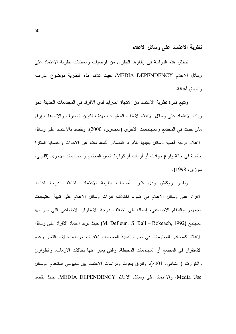### نظرية الاعتماد على وسائل الاعلام

نتطلق هذه الدراسة في إطارها النظري من فرضيات ومعطيات نظرية الاعتماد على وسائل الاعلام MEDIA DEPENDENCY، حيث تلائم هذه النظرية موضوع الدراسة وتححق أهدافة.

ونتبع فكرة نظرية الاعتماد من الاتجاة المتزايد لدى الافراد في المجتمعات الحديثة نحو زيادة الاعتماد على وسائل الاعلام لاستقاء المعلومات بهدف نكوين المعارف والاتجاهات إزاء ماي حدث في المجتمع والمجتمعات الاخرى (المصرى، 2000). ويقصد بالاعتماد على وسائل الاعلام درجة أهمية وسائل بعينها للأفراد كمصادر للمعلومات عن الاحداث والقضايا المثارة خاصة في حالة وقوع حوادث أو أزمات أو كوارث نمس المجتمع والمجتمعات الاخرى (القليني، سوزان، 1998).

ويفسر روكتش ودي فلير –أصحاب نظرية الاعتماد– اختلاف درجة اعتماد الافراد على وسائل الاعلام في ضوء اختلاف قدرات وسائل الاعلام على تلبية احتياجات الجمهور والنظام الاجتماعي، إضافة الى اختلاف درجة الاستقرار الاجتماعي التي يمر بها المجتمع (M. Defleur , S. Ball – Rokeach, 1992) حيث يزيد اعتماد الافراد على وسائل الاعلام كمصادر للمعلومات في ضوء أهمية المعلومات للافراد، وزيادة حالات التغير وعدم الاستقرار في المجتمع أو المجتمعات المحيطة، والتي يعبر عنها بحالات الازمات، والطوارئ والكوارث ( الشامي، 2001). وتفرق بحوث ودراسات الاعتماد بين مفهومي استخدام الوسائل Media Use، والاعتماد على وسائل الاعلام MEDIA DEPENDENCY، حيث يقصد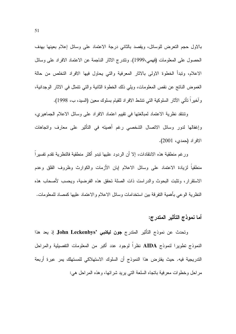بالاول حجم النعرض للوسائل، ويقصد بالثاني درجة الاعتماد على وسائل إعلام بعينها بهدف الحصول على المعلومات (فهمي،1999). ونتدرج الاثار الناجمة عن الاعتماد الافراد على وسائل الاعلام، وتبدأ الخطوة الاولى بالاثار المعرفية والتي يحاول فيها الافراد التخلص من حالة الغموض الناتج عن نقص المعلومات، ويلي ذلك الخطوة الثانية والتي نتمثل في الاثار الوجدانية، وآخيراً نأتـى الآثار السلوكية التـى تتشط الافراد للقيام بسلوك معين (السيد، ب، 1998).

ونتنقد نظرية الاعتماد لمبالغتها في نقييم اعتماد الافراد على وسائل الاعلام الجماهيري، وإغفالها لدور وسائل الاتصال الشخصبي رغم أهميته في التأثير على معارف واتجاهات الافر اد (حمدي، 2001).

ورغم منطقية هذه الانتقادات، إلا أن الردود عليها نبدو أكثر منطقية فالنظرية تقدم تفسيراً منطقياً لزيادة الاعتماد على وسائل الاعلام إبان الأزمات والكوارث وظروف القلق وعدم الاستقرار، وتثبت البحوث والدراست ذات الصلة نحقق هذه الفرضية، ويحسب لأصحاب هذه النظرية الوعى بأهمية التفرقة بين استخدامات وسائل الاعلام والاعتماد عليها كمصاد للمعلومات.

# أما نموذج التأثير المتدرج:

وتحدث عن نموذج التأثير المتدرج جون ليكنبي 'John Leckenbys إذ يعد هذا النموذج تطويرا لنموذج AIDA نظراً لوجود عدد أكبر من المعلومات التفصيلية والمراحل الندريجية فيه. حيث يفترض هذا النموذج أن السلوك الاستهلاكي للمستهلك يمر عبرة أربعة مراحل وخطوات معرفية بانجاه السلعة التي يريد شرائها، وهذه المراحل هي: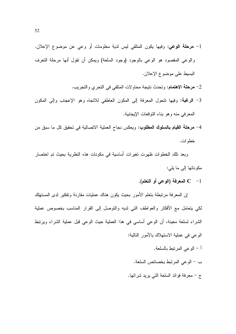- 1- مرحلة الوعى: وفيها يكون المتلقى ليس لدية معلومات أو وعى عن موضوع الإعلان. والوعي المقصود هو الوعي بالوجود (وجود السلعة) ويمكن أن نقول أنها مرحلة التعرف البسيط على موضوع الإعلان.
	- 2– **مرحلة الاهتمام:** وتحدث نتيجة محاولات المتلقى في التحري والتجريب.
- 3- **الرغبة:** وفيها نتحول المعرفة إلى المكون العاطفي للانجاه وهو الإعجاب وإلى المكون المعرفي منه وهو بناء التوقعات الإيجابية.
- 4– مرحلة القيام بالسلوك المطلوب: ويعكس نجاح العملية الانصالية في تحقيق كل ما سبق من خطو ات.

وبعد نلك الخطوات ظهرت نغيرات أساسية في مكونات هذه النظرية بحيث تم اختصار مكوناتها إلى ما يلي:

C -1 المعرفة (الوعي أو التعلم).

إن المعرفة مرتبطة بتعلم الأمور بحيث يكون هناك عمليات مقارنة وتفكير لدى المستهلك لكي يتعامل مع الأفكار والعواطف التي لديه والنوصل إلى القرار المناسب بخصوص عملية الشراء لسلعة معينة، أن الوعي أساسي في هذا العملية حيث الوعي قبل عملية الشراء ويرتبط الوعي في عملية الاستهلاك بالأمور التالية:

- أ الوعبي المرتبط بالسلعة.
- ب الوعي المرتبط بخصائص السلعة.
- ج معرفة فوائد السلعة التي بريد شرائها.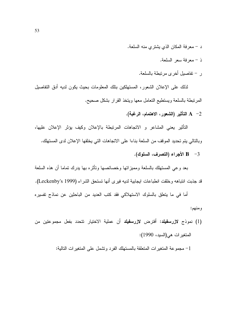- د معرفة المكان الذي يشتري منه السلعة.
	- ذ معرفة سعر السلعة.
	- ر تفاصيل أخرى مرتبطة بالسلعة.

لذلك على الإعلان الشعور، المستهلكين بتلك المعلومات بحيث يكون لديه أدق التفاصيل المرتبطة بالسلعة ويستطيع التعامل معها ويتخذ القرار بشكل صحيح.

A -2 التأثير (الشعور، الاهتمام، الرغبة).

التأثير يعني المشاعر و الاتجاهات المرتبطة بالإعلان وكيف يؤثر الإعلان عليها، وبالتالي بِتم تحديد الموقف من السلعة بناءا على الاتجاهات التي يخلقها الإعلان لدى المستهلك.

B - 3 الأجراء (التصرف، السلوك).

بعد وعي المستهلك بالسلعة ومميزاتها وخصائصها ونأثره بها بدرك تماما أن هذه السلعة قد جذبت انتباهه وخلقت انطباعات ايجابية لديه فيرى أنها تستحق الشراء (Leckenby's 1999).

أما في ما يتعلق بالسلوك الاستهلاكي فقد كتب العديد من الباحثين عن نماذج تفسيره ومنهم:

(1) نموذج لازرس**فيلد**: أفترض لازرسفيلد أن عملية الاختيار نتحدد بفعل مجموعتين من المتغير ات هي(السيد، 1990):

1– مجموعة المتغيرات المتعلقة بالمستهلك الفرد ونتنمل على المتغيرات التالية: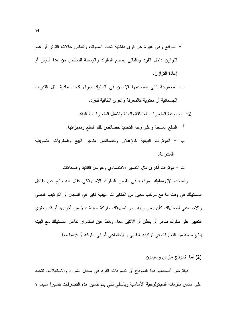- أ– الدوافع وهي عبرة عن قوى داخلية تحدد السلوك، وتعكس حالات النوتر أو عدم النوازن داخل الفرد وبالنالي يصبح السلوك والوسيلة للتخلص من هذا النونز أو إعادة النو از ن.
- ب– مجموعة التي يستخدمها الإنسان في السلوك سواء كانت مادية مثل القدرات الجسمانية أو معنوية كالمعرفة والقوى النقافية للفرد.
	- مجموعة المتغير ات المتعلقة بالبيئة وتشمل المتغير ات التالية:  $-2$
	- أ السلع المناحة وعلى وجه النحديد خصائص نلك السلع ومميز انها.
- ب المؤثرات البيعية كالإعلان وخصائص متاجر البيع والمغريات التسويقية المتنو عة.
	- ت مؤثَّرات أخرى مثل النفسير الاقتصادي وعوامل النقليد والمحاكاة.

واستخدم لازرسفيلد نموذجه في تفسير السلوك الاستهلاكي فقال أنه ينتج عن تفاعل المستهلك في وقت ما مع مركب معين من المتغيرات البيئية تغير في المجال أو التركيب النفسي والاجتماعي للمستهلك كأن يغير رأيه نحو استهلاك ماركة معينة بدلا من أخرى، أو قد ينطوى النغيير على سلوك ظاهر أو باطن أو الاثنين معا، وهكذا فإن استمرار نفاعل المستهلك مع البيئة ينتج سلسة من التغيرات في تركيبه النفسي والاجتماعي أو في سلوكه أو فيهما معا.

(2) أما نموذج مارش وسيمون

فيفترض أصحاب هذا النموذج أن تصرفات الفرد في مجال الشراء والاستهلاك، تتحدد على أساس مقوماته السيكولوجية الأساسية وبالتالي لكي يتم تفسير هذه التصرفات تفسيرا سليما لا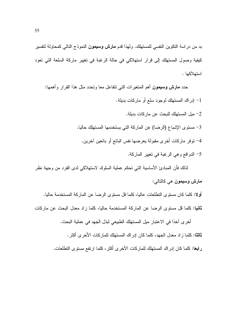بد من دراسة النكوين النفسي للمستهلك. ولهذا قدم **مارش وسيمون** النموذج التالي كمحاولة لتفسير كيفية وصول المستهلك إلى قرار استهلاكي في حالة الرغبة في تغيير ماركة السلعة التي تعود استهلاكها .

حدد مارش وسيمون أهم المنغيرات التي نتفاعل معا ونحدد مثل هذا القرار وأهمها: 1- إدراك المستهلك لوجود سلع أو ماركات بديلة. 2– ميل المستهلك للبحث عن مار كات بديلة. 3– مستوى الإشباع (الرضا) عن الماركة التي يستخدمها المستهلك حاليا. 4– توفر ماركات أخرى مقبولة بعرضها نفس البائع أو بائعين آخرين. 5– الدوافع وهي الرغبة في تغيير الماركة.

لذلك فأن المبادئ الأساسية التي تحكم عملية السلوك لاستهلاكي لدى الفرد من وجهة نظر مارش وسيمون هي كالتالي:

أولا: كلما كان مستوى التطلعات عاليا، كلما فل مستوى الرضا عن الماركة المستخدمة حاليا. **ثانيا:** كلما قل مستوى الرضا عن الماركة المستخدمة حاليا، كلما زاد معدل البحث عن ماركات

أخرى آخذا في الاعتبار ميل المستهلك الطبيعي لبذل الجهد في عملية البحث. ثالثًا: كلما زاد معدل الجهد، كلما كان إدراك المستهلك للماركات الأخرى أكثر . **رابعا:** كلما كان إدراك المستهلك للماركات الأخرى أكثر ، كلما ارتفع مستوى التطلعات.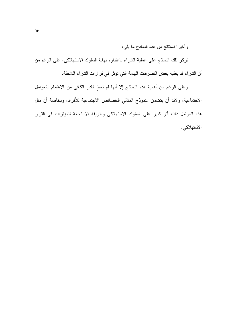وأخيرا نستنتج من هذه النماذج ما يلي:

تركز نلك النماذج على عملية الشراء باعتباره نهاية السلوك الاستهلاكي، على الرغم من أن الشراء قد يعقبه بعض النصرفات الهامة التي نؤثر في قرارات الشراء اللاحقة.

وعلى الرغم من أهمية هذه النماذج إلا أنها لم تعط القدر الكافي من الاهتمام بالعوامل الاجتماعية، ولابد أن يتضمن النموذج المثالي الخصائص الاجتماعية للأفراد، وبخاصة أن مثل هذه العوامل ذات أثر كبير على السلوك الاستهلاكي وطريقة الاستجابة للمؤثرات في القرار الاستهلاكي.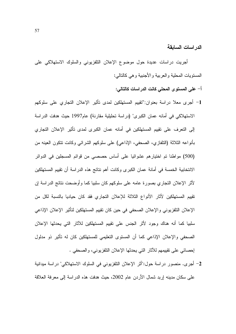الدر اسات السابقة

أجريت دراسات عديدة حول موضوع الإعلان النلفزيوني والسلوك الاستهلاكي على المستويات المحلية والعربية والأجنبية وهي كالتالي:

- أ– على المستوى المحلي كانت الدراسات كالتالي:
- 1– أجر ي معلا در اسة بعنوان:''تقييم المستهلكين لمدى تأثير الإعلان التجار ي على سلوكهم الاستهلاكي في أمانه عمان الكبري" (دراسة تحليلية مقارنة) عام1997 حيث هدفت الدراسة إلى النعرف على نقييم المستهلكين في أمانه عمان الكبرى لمدى تأثير الإعلان التجاري بأنواعه الثلاثة (النلفازي، الصحفي، الإذاعي) على سلوكهم الشرائي وكانت تتكون العينه من (500) مواطنا تم اختيارهم عشوائيا على أساس حصصبي من قوائم المسجلين في الدوائر الانتخابية الخمسة في أمانة عمان الكبرى وكانت أهم نتائج هذه الدراسة أن تقييم المستهلكين لأثر الإعلان التجاري بصورة عامه على سلوكهم كان سلبيا كما وأوضحت نتائج الدراسة إن تقييم المستهلكين لأثار الأنواع الثلاثة للإعلان التجاري فقد كان حياديا بالنسبة لكل من الإعلان التلفزيوني والإعلان الصحفى في حين كان تقييم المستهلكين لتأثير الإعلان الإذاعي سلبيا كما أنه هناك وجود لأثر الجنس على نقييم المستهلكين للأثار التي يحدثها الإعلان الصحفي والإعلان الإذاعي كما أن المستوى التعليمي للمستهلكين كان له تأثير ذو مدلول إحصائي على تقييمهم للآثار التي يحدثها الإعلان التلفزيوني، والصحفي .
- 2- أجرى. منصور در اسة حول:"أثر الإعلان النلفزيوني في السلوك الاستهلاكي" در اسة ميدانية على سكان مدينه إربد شمال الأردن عام 2002، حيث هدفت هذه الدراسة إلى معرفة العلاقة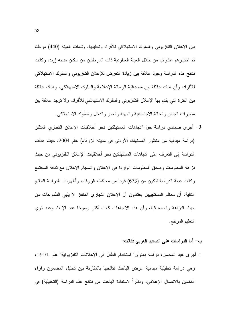بين الإعلان النلفزيوني والسلوك الاستهلاكي للأفراد وتحليلها، وشملت العينة (440) مواطنا تم اختيار هم عشوائيا من خلال العينة العنقودية ذات المرحلتين من سكان مدينه إربد، وكانت نتائج هذه الدراسة وجود علاقة بين زيادة التعرض للإعلان التلفزيوني والسلوك الاستهلاكي للأفراد، وأن هناك علاقة بين مصداقية الرسالة الإعلانية والسلوك الاستهلاكي، وهناك علاقة بين الفترة التي يقدم بها الإعلان النلفزيوني والسلوك الاستهلاكي للأفراد، ولا توجد علاقة بين متغيرات الجنس والحالة الاجتماعية والمهنة والعمر والدخل والسلوك الاستهلاكي.

3- أجرى صمادى دراسة حول"اتجاهات المستهلكين نحو أخلاقيات الإعلان التجارى المتلفز (در اسة ميدانية من منظور المستهلك الأردني في مدينه الزرقاء) عام 2004، حيث هدفت الدر اسة إلى التعرف على اتجاهات المستهلكين نحو أخلاقيات الإعلان التلفزيوني من حيث نزاهة المعلومات وصدق المعلومات الواردة في الإعلان وانسجام الإعلان مع ثقافة المجتمع وكانت عينة الدراسة نتكون من (673) فردا من محافظه الزرقاء، وأظهرت الدراسة النتائج النالية: أن معظم المستجيبين يعتقدون أن الإعلان التجاري المتلفز لا يلبي الطموحات من حيث النزاهة والمصداقية، وأن هذه الاتجاهات كانت أكثر رسوخا عند الإناث وعند ذوى التعليم المرتفع.

### ب– أما الدراسات على الصعيد العربي فكانت:

1-أجرى عبد المحسن، دراسة بعنوان" استخدام الطفل في الإعلانات التلفزيونية" عام 1991، وهي دراسة تحليلية ميدانية عرض الباحث نتائجها بالمقارنة بين تحليل المضمون وأراء القائمين بالاتصال الإعلاني، ونظراً لاستفادة الباحث من نتائج هذه الدراسة (التحليلية) في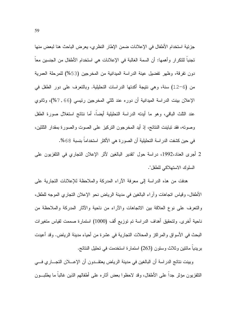جزئية استخدام الأطفال في الإعلانات ضمن الإطار النظري، يعرض الباحث هنا لبعض منها تجنباً للتكرار وأهمها: أن السمة الغالبة في الإعلانات هي استخدام الأطفال من الجنسين معاً دون نفرقة، وظهر نفضيل عينة الدراسة الميدانية من المخرجين (53%) للمرحلة العمرية من (6–12) سنة، وهي نتيجة أكدتها الدراسات التحليلية. وبالتعرف على دور الطفل في الإعلان بينت الدراسة الميدانية أن دوره عند ثلثي المخرجين رئيسي (66 ـ 7%)، وثانوي عند الثلث الباقي، وهو ما أيدته الدراسة التحليلية أيضاً، أما نتائج استغلال صورة الطفل وصوته، فقد نباينت النتائج، إذ أيد المخرجون التركيز على الصوت والصورة بمقدار الثلثين، في حين كشفت الدراسة التحليلية أن الصورة هي الأكثر استخداماً بنسبة 68%.

2 أجرى العناد،1992، دراسة حول "تقدير البالغين لأثر الإعلان النجاري في التلفزيون على السلوك الاستهلاكي للطفل".

هدفت من هذه الدراسة إلى معرفة الأراء المدركة والملاحظة للإعلانات النجارية على الأطفال، وقياس اتجاهات وأراء البالغين في مدينة الرياض نحو الإعلان التجاري الموجه للطفل، والنعرف على نوع العلاقة بين الانجاهات والأراء من ناحية والأثار المدركة والملاحظة من ناحية أخرى. ولتحقيق أهداف الدراسة تم توزيع ألف (1000) استمارة صممت لقياس متغيرات البحث في الأسواق والمراكز والمحلات النجارية في عشرة من أحياء مدينة الرياض. وقد أعيدت بريديا مائتين وثلاث وستون (263) استمارة استخدمت في تحليل النتائج.

وبينت نتائج الدراسة أن البالغين في مدينة الرياض يعتقـــدون أن الإعــــلان التجـــار ي فـــي النلفز يون مؤثر جدا على الأطفال، وقد لاحظو ا بعض آثار م على أطفالهم الذين غالبا ما يطلب ون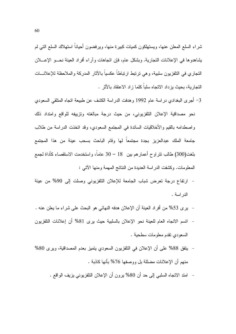شراء السلع المعلن عنها، ويستهلكون كميات كبيرة منها، ويرفضون أحياناً استهلاك السلع التي لم يشاهدوها في الإعلانات التجارية. وبشكل عام، فإن اتجاهات وأراء أفراد العينة نحـــو الإعــــلان النجاري في النلفزيون سلبية، وهي نرتبط ارتباطاً عكسياً بالآثار المدركة والملاحظة للإعلانـــات النجار ية، بحيث يز داد الاتجاه سلبا كلما ز اد الاعتقاد بالأثر .

- 3– أجرى البغدادي دراسة عام 1992 وهدفت الدراسة الكشف عن طبيعة اتجاه المتلقى السعودي نحو مصداقية الإعلان التلفزيوني، من حيث درجة مبالغته وتزييفه للواقع وامتداد ذلك واصطدامه بالقيم والأخلاقيات السائدة في المجتمع السعودي، وقد اتخذت الدراسة من طلاب جامعة الملك عبدالعزيز بجدة مجتمعاً لمها وقام الباحث بسحب عينة من هذا المجتمع بلغت(300) طالب نتر لوح أعمار هم بين 18 – 30 عاما، واستخدمت الاستقصاء كأداة لجمع المعلومات. وكشفت الدراسة العديدة من النتائج المهمة ومنها الآتي :
- ارتفاع درجة نعرض شباب الجامعة للإعلان التلفزيوني وصلت إلى 90% من عينة الدر اسة .
- يري 53% من أفراد العينة أن الإعلان هدفه النهائي هو البحث على شراء ما يعلن عنه .
- اتسم الاتجاه العام للعينة نحو الإعلان بالسلبية حيث يرى 81% أن إعلانات التلفزيون السعودي نقدم معلومات سطحية .
- يتفق 88% على أن الإعلان في التلفزيون السعودي يتميز بعدم المصداقية، ويرى 80% منهم أن الإعلانات مضللة بل ووصفها 76% بأنها كاذبة .
	- امتد الاتجاه السلبي إلى حد أن 80% برون أن الإعلان النلفزيوني بزيف الواقع .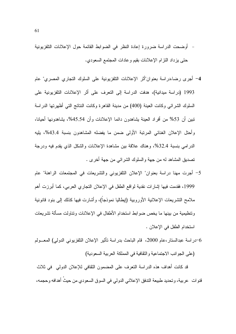- أوضحت الدراسة ضرورة إعادة النظر في الضوابط القائمة حول الإعلانات التلفزيونية حتى يزداد النزام الإعلانات بقيم وعادات المجتمع السعودي.
- 4– أجرى رضا،دراسة بعنوان"أثر الإعلانات النلفزيونية على السلوك التجاري المصري" عام 1993 (دراسة ميدانية)، هدفت الدراسة إلى التعرف على أثر الإعلانات التلفزيونية على السلوك الشرائبي وكانت العينة (400) من مدينة القاهرة وكانت النتائج التبي أظهرتها الدراسة تبين أن 53% من أفراد العينة بِشاهدون دائما الإعلانات وأن 45.54%، بِشاهدونِها أحيانا، وأحتل الإعلان الغنائي المرتبة الأولى ضمن ما يفضله المشاهدون بنسبة 43.4%، يليه الدر امي بنسبة 32.4%، وهناك علاقة بين مشاهدة الإعلانات والشكل الذي يقدم فيه ودرجة نصديق المشاهد له من جهة والسلوك الشرائبي من جهة أخرى .
- 5– أجرت مهنا دراسة بعنوان" الإعلان التلفزيوني والتشريعات في المجتمعات الراهنة" عام 1999، فقدمت فيها إشارات نقدية لواقع الطفل في الإعلان النجاري العربي، كما أبرزت أهم ملامح التشريعات الإعلانية الأوروبية (ايطاليا نموذجاً)، وأشارت فيها كذلك إلى بنود قانونية ونتظيمية من بينها ما يخص ضوابط استخدام الأطفال في الإعلانات ونتاولت مسألة تشريعات استخدام الطفل في الإعلان .
- 6–دراسة عبدالستار،عام 2000، قام الباحث بدراسة تأثير الإعلان التلفزيوني الدولي) المعـــولم (على الجو انب الاجتماعية و الثقافية في المملكة العربية السعودية)

قد كانت أهداف هذه الدراسة النعرف على المضمون الثقافي للإعلان الدولمي في ثلاث قنوات عربية، وتحديد طبيعة الندفق الإعلاني الدولي في السوق السعودي من حيثُ أهدافه وحجمه،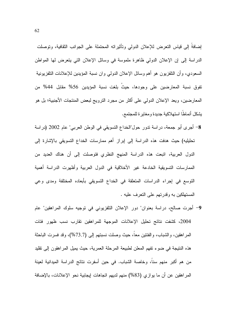إضافةَ إلى قياس التعرض للإعلان الدولي وتأثيراته المحتملة على الجوانب الثقافية، وتوصلت الدراسة إلى إن الإعلان الدولمي ظاهرة ملموسة في وسائل الإعلان التي يتعرض لها المواطن السعودي، وأن التلفزيون هو أهم وسائل الإعلان الدولمي وان نسبة المؤيدين للإعلانات التلفزيونية تفوق نسبة المعارضين على وجودها، حيثُ بلغت نسبة المؤيدين 56% مقابل 44% من المعارضين، ويعد الإعلان الدولي على أكثر من مجرد النرويج لبعض المنتجات الأجنبية؛ بل هو يشكل أنماطًا استهلاكية جديدة ومغايرة للمجتمع.

- 8– أجرى أبو جمعة، دراسة ندور حول"الخداع التسويقي في الوطن العربي" عام 2002 (دراسة تحليليه) حيث هدفت هذه الدراسة إلى إبراز أهم ممارسات الخداع التسويقي بالإشارة إلى الدول العربية، انبعت هذه الدراسة المنهج النظري فتوصلت إلى أن هناك العديد من الممارسات التسويقية الخادعة غير الأخلاقية في الدول العربية وأظهرت الدراسة أهمية النوسع في إجراء الدراسات المتعلقة في الخداع النسويقي بأبعاده المختلفة ومدى وعي المستهلكين به وقدرتهم على النعرف عليه .
- 9- أجرت صالح، دراسة بعنوان" دور الإعلان التلفزيوني في توجيه سلوك المراهقين" عام 2004، كشفت نتائج تحليل الإعلانات الموجهة للمراهقين تقارب نسب ظهور فئات المراهقين، والشباب، والفئتين معا، حيث وصلت نسبتهم إلى (73.7%)، وقد فسرت الباحثة هذه النتيجة في ضوء تفهم المعلن لطبيعة المرحلة العمرية، حيث يميل المراهقون إلى تقليد من هم أكبر منهم سنا، وخاصة الشباب. في حين أسفرت نتائج الدراسة الميدانية لعينة المراهقين عن أن ما يوازي (83%) منهم لديهم اتجاهات إيجابية نحو الإعلانات، بالإضافة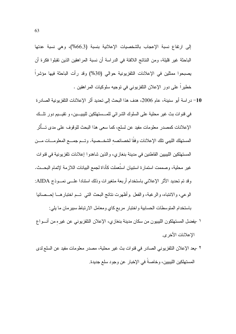إلى ارتفاع نسبة الإعجاب بالشخصيات الإعلانية بنسبة (66.3%)، وهي نسبة عدتها الباحثة غير قليلة، ومن النتائج اللافتة في الدراسة أن نسبة المراهقين الذين تقبلوا فكرة أن يصبحوا ممثلين في الإعلانات التلفزيونية حوالي (30%) وقد رأت الباحثة فيها مؤشراً خطيراً على دور الإعلان التلفزيوني في توجيه سلوكيات المراهقين .

- 10– در اسة أبو سنينة، عام 2006، هدف هذا البحث إلى تحديد أثر الإعلانات التلفزيونية الصادرة في فنوات بث غير محلية على السلوك الشرائي للمــستهلكين لليبيـــين، و نقيـــيم دور نلـــك الإعلانات كمصدر معلومات مفيد عن لسلع، كما سعى هذا البحث للوقوف على مدى تـــأثر المستهلك الليبي تلك الإعلانات وفقًا لخصائصه الشخــصية. وتــم جمـــع المعلومـــات مـــن المستهلكين الليبيين القاطنين في مدينة بنغازي، و الذين شاهدو ا إعلانات تلفز يونية في قنوات غير محلية، وصممت استمارة استبيان استُعملت كأداة لجمع البيانات اللازمة لإتمام البحـــث. وقد تم تحديد الأثر الإعلاني باستخدام أربعة متغير ات وذلك استنادا علـــي نصــوذج AIDA: الوعي، والانتباه، والرغبة، والفعل وأظهرت نتائج البحث التي تــم اختبارهـــا إحـــصائيا باستخدام المنوسطات الحسابية واختبار مربع كاي ومعامل الارتباط سبيرمان ما يلي:
- ١ -يفضل المستهلكون الليبيون من سكان مدينة بنغازي، الإعلان التلفزيوني عن غيره من أنـــواع الاعلانات الأخر ي.
- ٢ -يعد الإعلان التلفزيوني الصادر في قنوات بث غير محلية، مصدر معلومات مفيد عن السلع لدى المستهلكين الليبيين، وخاصةً في الإخبار عن وجود سلع جديدة.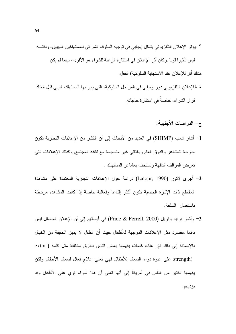- ٣ -يؤثر الإعلان النلفزيوني بشكل إيجابي في نوجيه السلوك الشرائي للمستهلكين الليبيين، ولكنــــه ليس نأثيرًا قويًا .وكان أثر الإعلان في استثارة الرغبة للشراء هو الأقوى، بينما لم يكن هناك أثر للإعلان عند الاستجابة السلوكية) الفعل.
- ٤ -للإعلان النلفزيوني دور إيجابي في المراحل السلوكية، التي يمر بها المستهلك الليبي قبل اتخاذ قرار الشراء، خاصةً في استثارة حاجاته.

ج– الدر اسات الأجنبية:

- 1– أشار شمب (SHIMP) في العديد من الأبحاث إلى أن الكثير من الإعلانات التجارية تكون جارحة للمشاعر والذوق العام وبالنالبي غير منسجمة مع نقافة المجتمع, وكذلك الإعلانات النبي نعرض المواقف النافهة وتستخف بمشاعر المستهلك .
- 2- أجرى لاتور (Latour, 1990) دراسة حول الإعلانات التجارية المعتمدة على مشاهدة المقاطع ذات الإثارة الجنسية نكون أكثر إقناعا وفعالية خاصة إذا كانت المشاهدة مرتبطة باستعمال السلعة.
- 3- وأشار برايد وفريل (Pride & Ferrell, 2000) في أبحاثهم إلى أن الإعلان المضلل ليس دائما مقصود مثل الإعلانات الموجهة للأطفال حيث أن الطفل لا يميز الحقيقة من الخيال بالإضافة إلى ذلك فإن هناك كلمات يفهمها بعض الناس بطرق مختلفة مثل كلمة ( extra strength) على عبوة دواء السعال للأطفال فهي تعني علاج فعال لسعال الأطفال ولكن

يفهمها الكثير من الناس في أمريكا إلى أنها تعني أن هذا الدواء قوي على الأطفال وقد يؤذيهم.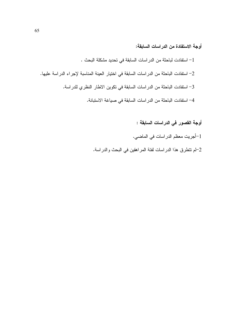# أوجة الاستفادة من الدراسات السابقة:

1– استفادت لباحثة من الدر اسات السابقة في تحديد مشكلة البحث . 2– استفادت الباحثة من الدراسات السابقة في اختيار العينة المناسبة لإجراء الدراسة عليها. 3– استفادت الباحثة من الدر اسات السابقة في تكوين الاطار النظري للدر اسة. 4– استفادت الباحثة من الدر اسات السابقة في صباغة الاستبانة.

أوجة القصور في الدراسات السابقة :

1-أجريت معظم الدراسات في الماضي.

2–لم نتطرق هذا الدراسات لفئة المراهقين في البحث والدراسة.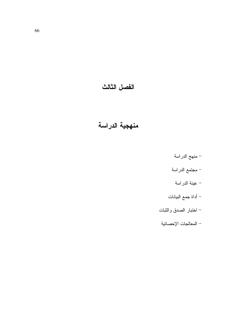# الفصل الثالث

# منهجية الدراسة

- منهج الدراسة
- مجتمع الدراسة
	- عينة الدراسة
- أداة جمع البيانات
- اختبار الصدق والثبات
- المعالجات الإحصائية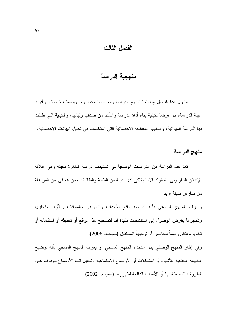#### الفصل الثالث

# منهجية الدراسة

بتناول هذا الفصل إيضاحا لمنهج الدراسة ومجتمعها وعينتها، ووصف خصائص أفراد عينة الدراسة، ثم عرضا لكيفية بناء أداة الدراسة والنأكد من صدقها وثباتها، والكيفية التـي طبقت بها الدراسة الميدانية، وأساليب المعالجة الإحصائية التي استخدمت في تحليل البيانات الإحصائية.

## منهج الدراسة

تعد هذه الدراسة من الدراسات الوصفيةالتي تستهدف دراسة ظاهرة معينة وهي علاقة الإعلان التلفزيوني بالسلوك الاستهلاكي لدى عينة من الطلبة والطالبات ممن هم في سن المراهقة من مدارس مدينة إربد.

وبعرف المنهج الوصفي بأنه "دراسة واقع الأحداث والظواهر والمواقف والآراء وتحلبلها ونفسيرها بغرض الوصول إلى استنتاجات مفيدة إما لنصحيح هذا الواقع أو نحديثه أو استكماله أو تطويره لتكون فهماً للحاضر أو توجيهاً المستقبل (حجاب، 2006).

وفي إطار المنهج الوصفي يتم استخدام المنهج المسحي، و يعرف المنهج المسحي بأنه توضيح الطبيعة الحقيقية للأشياء أو المشكلات أو الأوضاع الاجتماعية وتحليل تلك الأوضاع للوقوف على الظروف المحيطة بها أو الأسباب الدافعة لظهورها (سميسم، 2002).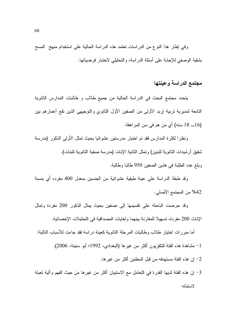وفي إطار هذا النوع من الدراسات تعتمد هذه الدراسة الحالية على استخدام منهج المسح بشقية الوصفي للإجابة على أسئلة الدراسة، والتحليلي لاختبار فرضياتها.

# مجتمع الدراسة وعينتها

يتحدد مجتمع البحث في الدراسة الحالية من جميع طلاب و طالبات المدارس الثانوية التابعة لمديرية تربية إربد الأولى من الصفين الأول الثانوي والتوجيهي الذين تقع أعمارهم بين (16\_ 18 سنه) أي من هم في سن المراهقة.

ونظرا لكثرة المدارس فقد تم اختيار مدرستين عشوائيا بحيث تمثل الأولى الذكور (مدرسة شفيق أرشيدات الثانوية للبنين) وتمثل الثانية الإناث (مدرسة صفية الثانوية للبنات). وبلغ عدد الطلبة في هذين الصفين 950 طالبا وطالبة.

وقد طبقة الدراسة على عينة طبقية عشوائية من الجنسين بمعدل 400 مفرده أي بنسبة 42% من المجتمع الأصلي.

وقد حرصت الباحثه على نقسيمها إلى نصفين بحيث يمثل الذكور 200 مفردة وتمثل الإناث 200 مفردة، تسهيلا للمقارنة بينهما ولغايات المصداقية في التحليلات الإحصائية.

أما مبررات اختيار طلاب وطالبات المرحلة الثانوية كعينة دراسة فقد جاءت للأسباب التالية: 1– مشاهدة هذه الفئة للتلفزيون أكثر من غيرها (البغدادي، 1992؛ أبو سنينة، 2006). 2– إن هذه الفئة مستهدفه من قبل المعلنين أكثر من غير ها.

3– إن هذه الفئة لديها القدرة في التعامل مع الاستبيان أكثر من غيرها من حيث الفهم وآلية تعبئة لاستيانه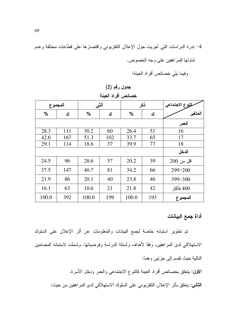4– ندرة الدراسات التي أجريت حول الإعلان النلفزيوني واقتصارها على قطاعات مختلفة وعدم نتاولها للمراهقين على وجه الخصوص.

وفيما يلي خصائص أفراد العينة:

|  |  | جدول رقم (2) |
|--|--|--------------|
|--|--|--------------|

|         | - - - - <del>-</del> |       |       |               |     |                 |  |  |  |  |  |  |  |
|---------|----------------------|-------|-------|---------------|-----|-----------------|--|--|--|--|--|--|--|
| المجموع |                      | أنشى  |       |               | ذكر | للووع الاجتماعي |  |  |  |  |  |  |  |
| $\%$    | ك                    | %     | ك     | $\frac{0}{0}$ | ك   | المتغير         |  |  |  |  |  |  |  |
|         |                      |       | العمر |               |     |                 |  |  |  |  |  |  |  |
| 28.3    | 111                  | 30.2  | 60    | 26.4          | 51  | 16              |  |  |  |  |  |  |  |
| 42.6    | 167                  | 51.3  | 102   | 33.7          | 65  | 17              |  |  |  |  |  |  |  |
| 29.1    | 114                  | 18.6  | 37    | 39.9          | 77  | 18              |  |  |  |  |  |  |  |
|         |                      |       |       |               |     | الدخل           |  |  |  |  |  |  |  |
| 24.5    | 96                   | 28.6  | 57    | 20.2          | 39  | اقل من 200      |  |  |  |  |  |  |  |
| 37.5    | 147                  | 40.7  | 81    | 34.2          | 66  | $299 - 200$     |  |  |  |  |  |  |  |
| 21.9    | 86                   | 20.1  | 40    | 23.8          | 46  | 399-300         |  |  |  |  |  |  |  |
| 16.1    | 63                   | 10.6  | 21    | 21.8          | 42  | 400 فأكثر       |  |  |  |  |  |  |  |
| 100.0   | 392                  | 100.0 | 199   | 100.0         | 193 | المجموع         |  |  |  |  |  |  |  |

خصائص أفراد العنبة

أداة جمع البيانات

تم تطوير استبانه خاصة لجمع البيانات والمعلومات عن أثر الإعلان على السلوك الاستهلاكي لدى المر اهقين، وفقا لأهداف وأسئلة الدر اسة وفرضياتها. وشملت لاستبانه المضامين التالية حيث نقسم إلى جزئين وهما:

الأول: يتعلق بخصائص أفراد العينة كالنوع الاجتماعي والعمر ودخل الأسرة.

**الثاني:** يتعلق بأثر الإعلان النلفزيوني على السلوك الاستهلاكي لدى المراهقين من حيث: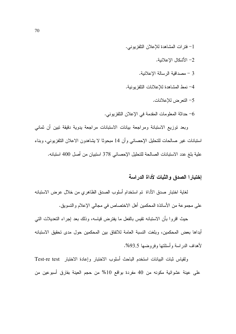- 1- فترات المشاهدة للإعلان التلفزيوني.
	- 2– الأشكال الإعلانية.
	- 3 مصداقية الرسالة الإعلانية.
- 4– نمط المشاهدة للإعلانات التلفز بونية.
	- 5– التعرض للإعلانات.
- 6- حداثة المعلومات المقدمة في الإعلان النلفزيوني.

وبعد نوزيع الاستبانة ومراجعة بيانات الاستبانات مراجعة بدوية دقيقة تبين أن ثماني استبانات غير صالحات للتحليل الإحصائي وأن 14 مبحوثا لا يشاهدون الاعلان التلفزيوني، وبناء علية بلغ عدد الاستبانات الصالحة للتحليل الإحصائي 378 استبيان من أصل 400 استبانه.

## إختبارا الصدق والثبات لأداة الدراسة

لغاية اختبار صدق الأداة تم استخدام أسلوب الصدق الظاهري من خلال عرض الاستبانه على مجموعة من الأساتذة المحكمين أهل الاختصاص في مجالي الإعلام والتسويق.

حيث اقروا بأن الاستبانه نقيس بالفعل ما يفترض قياسه، وذلك بعد اِجراء التعديلات التي أبداها بعض المحكمين، وبلغت النسبة العامة للاتفاق بين المحكمين حول مدى تحقيق الاستبانه لأهداف الدر اسة و أسئلتها وفر وضبها 93.5%.

ولقياس ثبات البيانات استخدم الباحث أسلوب الاختبار وإعادة الاختبار Test-re test على عينة عشوائية مكونه من 40 مفردة بواقع 10% من حجم العينة بفارق أسبوعين من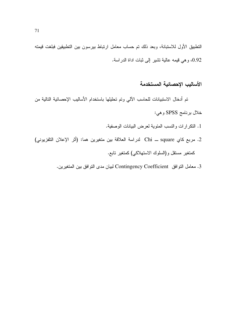النطبيق الأول للاستبانة، وبعد ذلك تم حساب معامل ارتباط بيرسون بين النطبيقين فبلغت قيمته 0.92، وهي قيمه عالية تشير إلى ثبات اداة الدراسة.

### الأساليب الاحصائبة المستخدمة

تم أدخال الاستبيانات للحاسب الآلي وتم تحليلها باستخدام الأساليب الإحصائية التالية من خلال برنامج SPSS وهي:

1. النكر ارات والنسب المئوية لعرض البيانات الوصفية.

- 2. مربع كاي Chi square لدراسة العلاقة بين متغيرين هما: (أثر الإعلان التلفزيوني) كمنغير مسنقل و(السلوك الاستهلاكي)كمنغير نابع.
	- 3. معامل التوافق Contingency Coefficient لبيان مدى التوافق بين المتغيرين.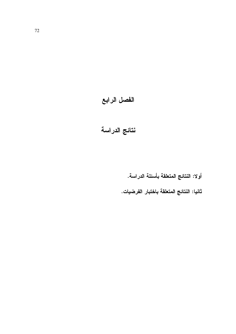# الفصل الرابع

# نتائج الدراسة

أولا: النتائج المتعلقة بأسئلة الدراسة.

ثانيا: النتائج المتعلقة باختبار الفرضيات.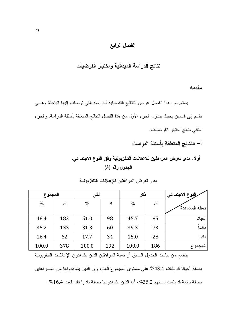### الفصل الرابع

### نتائج الدراسة الميدانية واختبار الفرضيات

مقدمه

يستعرض هذا الفصل عرض للنتائج التفصيلية للدراسة التي توصلت إليها الباحثة وهبى نقسم إلى قسمين بحيث ينتاول الجزء الأول من هذا الفصل النتائج المتعلقة بأسئلة الدراسة، والجزء الثاني نتائج اختبار الفرضيات.

أ– النتائج المتعلقة بأسئلة الدراسة:

أولا: مدى تعرض المراهقين للاعلانات التلفزيونية وفق النوع الاجتماعى. الجدول رقم (3)

| المجموع |     | أنشى  |     | ذكر   |     | رالنوع الاجتماعي |
|---------|-----|-------|-----|-------|-----|------------------|
| $\%$    | ك   | %     | ك   | $\%$  | ك   | صفة المشاهدة     |
| 48.4    | 183 | 51.0  | 98  | 45.7  | 85  | أحيانا           |
| 35.2    | 133 | 31.3  | 60  | 39.3  | 73  | دائماً           |
| 16.4    | 62  | 17.7  | 34  | 15.0  | 28  | نادر ا           |
| 100.0   | 378 | 100.0 | 192 | 100.0 | 186 | المجموع          |

## مدى تعرض المراهقين للإعلالات التلفزيونية

يتضح من بيانات الجدول السابق أن نسبة المراهقين الذين يشاهدون الإعلانات التلفزيونية

بصفة أحيانا قد بلغت 48.4% على مستوى المجموع العام، وان الذين بشاهدونها من المــــراهقين بصفة دائمة قد بلغت نسبتهم 35.2%، أما الذين يشاهدونها بصفة نادرا فقد بلغت 16.4%.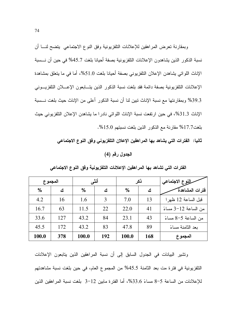وبمقارنة تعرض المراهقين للإعلانات التلفزيونية وفق النوع الاجتماعي يتضىح لنــــا ان نسبة الذكور الذين يشاهدون الإعلانات التلفزيونية بصفة أحيانا بلغت 45.7% في حين أن نـــسبة الإناث اللواتي يشاهدن الإعلان التلفزيوني بصفة أحيانا بلغت 51.0%، أما في ما يتعلق بمشاهدة الإعلانات التلفزيونية بصفة دائمة فقد بلغت نسبة الذكور الذين يتـــابعون الإعــــلان التلفزيـــونـي 39.3% وبمقارنتها مع نسبة الإناث تبين لنا أن نسبة الذكور أعلى من الإناث حيث بلغت نـــسبة الإناث 31.3%، في حين ارتفعت نسبة الإناث اللواتي نادرا ما يشاهدن الإعلان التلفزيوني حيث بلغت17.7% مقارنة مع الذكور الذين بلغت نسبتهم 15.0%.

ثانيا: الفترات التي يشاهد بها المراهقين الإعلان التلفزيوني وفق النوع الاجتماعي

#### الجدول رقم (4)

الفترات التي تشاهد بها المراهقين الإعلانات التلفزيونية وفق النوع الاجتماعي

|               | المجموع | أنشى          |     |               | ذكر |                      |
|---------------|---------|---------------|-----|---------------|-----|----------------------|
| $\frac{0}{0}$ | ك       | $\frac{0}{0}$ | ك   | $\frac{0}{0}$ | ٹ   | فترات المشاهدة       |
| 4.2           | 16      | 1.6           | 3   | 7.0           | 13  | قبل الساعة 12 ظهر ا  |
| 16.7          | 63      | 11.5          | 22  | 22.0          | 41  | من الساعة 12-3 مساءً |
| 33.6          | 127     | 43.2          | 84  | 23.1          | 43  | من الساعة 5–8 مساءً  |
| 45.5          | 172     | 43.2          | 83  | 47.8          | 89  | بعد الثامنة مساءً    |
| 100.0         | 378     | 100.0         | 192 | 100.0         | 168 | المجموع              |

ونشير البيانات في الجدول السابق إلى أن نسبة المراهقين الذين يتابعون الإعلانات التلفزيونية في فترة مت بعد الثامنة 45.5% من المجموع العام، في حين بلغت نسبة مشاهدتهم للإعلانات من الساعة 5−8 مساءً 33.6%، أما الفترة مابين 12−3 بلغت نسبة المراهقين الذين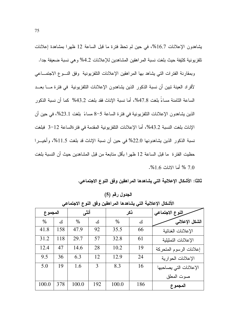يشاهدون الإعلانات 16.7%، في حين لم تحظ فترة ما قبل الساعة 12 ظهرا بمشاهدة إعلانات تلفزيونية كثيفة حيث بلغت نسبة المراهقين المشاهدين للإعلانات 4.2% وهي نسبة ضعيفة جدا.

وبمقارنة الفترات التى يشاهد بها المراهقين الإعلانات النلفزيونية وفق النسوع الاجتمــاعى لأفراد العينة تبين أن نسبة الذكور الذين يشاهدون الإعلانات التلفزيونية في فترة مـــا بعــد الساعة الثامنة مساءً بلغت 47.8%، أما نسبة الإناث فقد بلغت 43.2% كما أن نسبة الذكور الذين يشاهدون الإعلانات النلفزيونية في فترة الساعة 5–8 مساءً بلغت 23.1%، في حين أن الإناث بلغت النسبة 43.2%، أما الإعلانات النلفزيونية المقدمة في فتر ةالساعة 12−3 فبلغت نسبة الذكور الذين يشاهدونها 22.0% في حين أن نسبة الإناث قد بلغت 11.5%، وأخيــرا حظيت الفتر ة ما قبل الساعة 12 ظهر ا بأقل متابعة من قبل المشاهدين حيث أن النسبة بلغت 7.0 % أما الاناث 1.6%.

ثالثا: الأشكال الإعلانية التي يشاهدها المراهقين وفق النوع الاجتماعي.

الجدول رقم (5)

| المجموع |     | أنشى  |     | ذكر   |     | النوع الاجتماعي         |
|---------|-----|-------|-----|-------|-----|-------------------------|
| $\%$    | ك   | $\%$  | ك   | $\%$  | ك   | الشكل الإعلاني          |
| 41.8    | 158 | 47.9  | 92  | 35.5  | 66  | الإعلانات الغنائية      |
| 31.2    | 118 | 29.7  | 57  | 32.8  | 61  | الإعلانات التمثيلية     |
| 12.4    | 47  | 14.6  | 28  | 10.2  | 19  | إعلانات الرسوم المتحركة |
| 9.5     | 36  | 6.3   | 12  | 12.9  | 24  | الإعلانات الحوارية      |
| 5.0     | 19  | 1.6   | 3   | 8.3   | 16  | الإعلانات التي يصاحبها  |
|         |     |       |     |       |     | صوت المعلق              |
| 100.0   | 378 | 100.0 | 192 | 100.0 | 186 | المجموع                 |

الأشكال الإعلانية التي يشاهدها المراهقين وفق النوع الاجتماعي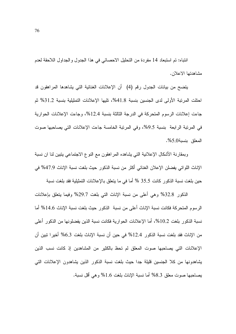انتباه: تم استبعاد 14 مفردة من التحليل الاحصائي في هذا الجدول والجداول اللاحقة لعدم مشاهدتها الاعلان.

يتضح من بيانات الجدول رقم (4) أن الإعلانات الغنائية التي يشاهدها المراهقون قد احتلت المرتبة الأولى لدى الجنسين بنسبة 41.8%، تليها الإعلانات التمثيلية بنسبة 31.2% ثم جاءت إعلانات الرسوم المتحركة في الدرجة الثالثة بنسبة 12.4%، وجاءت الإعلانات الحوارية في المرتبة الرابعة بنسبة 9.5%، وفي المرتبة الخامسة جاءت الإعلانات التي بصاحبها صوت المعلق بنسبة5.0%.

وبمقارنة الأشكال الإعلانية التي يشاهده المراهقون مع النوع الاجتماعي يتبين لنا ان نسبة الإناث اللواتي يفضلن الإعلان الغنائي أكثر من نسبة الذكور حيث بلغت نسبة الإناث 47.9% في حين بلغت نسبة الذكور كانت 35.5 % أما في ما يتعلق بالإعلانات التمثيلية فقد بلغت نسبة

الذكور 32.8% وهي أعلى من نسبة الإناث التي بلغت 29.7% وفيما بنعلق بإعلانات الرسوم المتحركة فكانت نسبة الإناث أعلى من نسبة الذكور حيث بلغت نسبة الإناث 14.6% أما نسبة الذكور بلغت 10.2%، أما الإعلانات الحوارية فكانت نسبة الذين يفضلونها من الذكور أعلى من الإناث فقد بلغت نسبة الذكور 12.4% في حين أن نسبة الإناث بلغت 6.3% أخيرا نبين أن الإعلانات التي يصاحبها صوت المعلق لم تحظ بالكثير من المشاهدين إذ كانت نسب الذين يشاهدونها من كلا الجنسين قليلة جدا حيث بلغت نسبة الذكور الذين يشاهدون الإعلانات التي بصاحبها صوت معلق 3.3% أما نسبة الإناث بلغت 1.6% و هي أقل نسبة.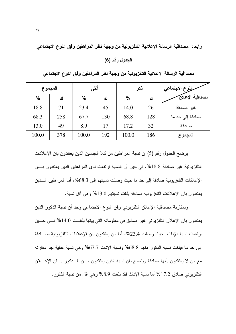رابعا: مصداقية الرسالة الإعلانية التلفزيونية من وجهة نظر المراهقين وفق النوع الاجتماعي

الجدول رقم (6)

| المجموع       |     |               | أنشى | ذكر           |     | للووع الاجتماعي |
|---------------|-----|---------------|------|---------------|-----|-----------------|
| $\frac{0}{0}$ | ك   | $\frac{0}{0}$ | ك    | $\frac{0}{0}$ | ك   | مصداقية الإعلان |
| 18.8          | 71  | 23.4          | 45   | 14.0          | 26  | غير صادقة       |
| 68.3          | 258 | 67.7          | 130  | 68.8          | 128 | صادقة إلى حد ما |
| 13.0          | 49  | 8.9           | 17   | 17.2          | 32  | صادقة           |
| 100.0         | 378 | 100.0         | 192  | 100.0         | 186 | المجموع         |

مصداقية الرسالة الإعلانية التلفزيونية من وجهة نظر المراهقين وفق النوع الاجتماعي

يوضح الجدول رقم (5) إن نسبة المراهقين من كلا الجنسين الذين يعتقدون بان الإعلانات التلفزيونية غير صادقة 18.8%، في حين أن النسبة ارتفعت لدى المراهقين الذين يعتقدون بـــان الإعلانات التلفزيونية صادقة إلى حد ما حيث وصلت نسبتهم إلى 68.3%، أما المراهقين السذين يعتقدون بان الإعلانات النلفزيونية صادقة بلغت نسبتهم 13.0% وهي أقل نسبة.

وبمقارنة مصداقية الإعلان التلفزيوني وفق النوع الاجتماعي وجد أن نسبة الذكور الذين يعتقدون بان الإعلان النلفزيوني غير صادق في معلوماته التي يبثها بلغــت 14.0% فـــي حـــين ارتفعت نسبة الإناث حيث وصلت 23.4%، أما من يعتقدون بان الإعلانات النلفزيونية صــــادقة إلى حد ما فبلغت نسبة الذكور منهم 68.8% ونسبة الإناث 67.7% وهي نسبة عالية جدا مقارنة مع من لا يعتقدون بأنها صادقة ويتضح بان نسبة الذين يعتقدون مـــن الـــذكور بــــان الإعــــلان التلفزيوني صادق 17.2% أما نسبة الإناث فقد بلغت 8.9% وهي اقل من نسبة الذكور .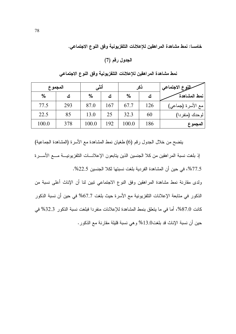خامسا: نمط مشاهدة المراهقين للإعلالات التلفزيونية وفق النوع الاجتماعي.

الجدول رقم (7)

|               | المجموع | أنشى          |     | نكر           |          | سلووع الاجتماعي   |
|---------------|---------|---------------|-----|---------------|----------|-------------------|
| $\frac{0}{0}$ | ٹ       | $\frac{0}{0}$ | ٹ   | $\frac{0}{0}$ | <u>ئ</u> | نمط المشاهدة      |
| 77.5          | 293     | 87.0          | 167 | 67.7          | 126      | مع الأسرة (جماعي) |
| 22.5          | 85      | 13.0          | 25  | 32.3          | 60       | لوحدك (منفردا)    |
| 100.0         | 378     | 100.0         | 192 | 100.0         | 186      | المجموع           |

نمط مشاهدة المراهقين للإعلانات التلفزيونية وفق النوع الاجتماعي

يتضح من خلال الجدول رقم (6) طغيان نمط المشاهدة مع الأسرة (المشاهدة الجماعية) إذ بلغت نسبة المراهقين من كلا الجنسين الذين يتابعون الإعلانـــات التلفزيونيـــة مــــع الأســــرة 77.5%، في حين أن المشاهدة الفردية بلغت نسبتها لكلا الجنسين 22.5%.

ولدى مقارنة نمط مشاهدة المراهقين وفق النوع الاجتماعي نبين لنا أن الإناث أعلى نسبة من الذكور في متابعة الإعلانات التلفزيونية مع الأسرة حيث بلغت 67.7% في حين أن نسبة الذكور كانت 87.0%، أما في ما يتعلق بنمط المشاهدة للإعلانات منفردا فبلغت نسبة الذكور 32.3% في حين أن نسبة الإناث قد بلغت13.0% وهي نسبة قليلة مقارنة مع الذكور .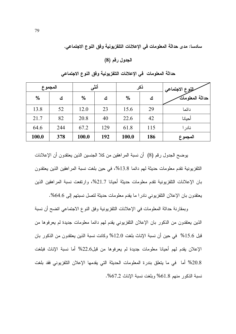سادسا: مدى حداثة المعلومات في الإعلانات التلفزيونية وفق النوع الاجتماعي.

#### الجدول رقم (8)

| المجموع       |     |               | أنشى |               | ذكر | للووع الاجتماعي |  |  |
|---------------|-----|---------------|------|---------------|-----|-----------------|--|--|
| $\frac{0}{0}$ | ك   | $\frac{0}{0}$ | ك    | $\frac{0}{0}$ | ك   | حداثة المعلومات |  |  |
| 13.8          | 52  | 12.0          | 23   | 15.6          | 29  | دائما           |  |  |
| 21.7          | 82  | 20.8          | 40   | 22.6          | 42  | أحيانا          |  |  |
| 64.6          | 244 | 67.2          | 129  | 61.8          | 115 | نادر ا          |  |  |
| 100.0         | 378 | 100.0         | 192  | 100.0         | 186 | المجموع         |  |  |

حداثة المعلومات ًفي الإعلانات التلفزيونية وفق النوع الاجتماعي

يوضح الجدول رقم (8) أن نسبة المراهقين من كلا الجنسين الذين يعتقدون أن الإعلانات النلفزيونية تقدم معلومات حديثة لمهم دائما 13.8%، في حين بلغت نسبة المر اهقين الذين يعتقدون بان الإعلانات التلفزيونية نقدم معلومات حديثة أحيانا 21.7%، وارتفعت نسبة المراهقين الذين يعتقدون بان الإعلان التلفزيوني نادرا ما يقدم معلومات حديثة لتصل نسبتهم إلى 4.6%.

وبمقارنة حداثة المعلومات في الإعلانات التلفزيونية وفق النوع الاجتماعي اتضح أن نسبة الذين يعتقدون من الذكور بان الإعلان التلفزيوني يقدم لمهم دائما معلومات جديدة لم يعرفوها من قبل 15.6% في حين أن نسبة الإناث بلغت 12.0% وكانت نسبة الذين يعتقدون من الذكور بان الإعلان بقدم لهم أحيانا معلومات جديدة لم يعرفوها من قبل22.6% أما نسبة الإناث فبلغت 20.8% أما في ما يتعلق بندرة المعلومات الحديثة التي يقدمها الإعلان التلفزيوني فقد بلغت نسبة الذكور منهم 1.8% وبلغت نسبة الإناث 67.2%.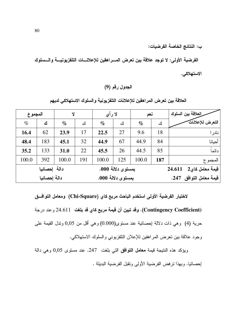ب: النتائج الخاصة الفرضيات:

الفرضية الأولى: لا توجد علاقة بين تعرض المسراهقين للإعلانسات التلفزيونيسة والسسلوك الاستهلاكي.

### الجدول رقم (9)

العلاقة بين تعرض المراهقين للإعلانات التلفزيونية والسلوك الاستهلاكي لديهم

|              | المجموع      |       | Y   |       | لا رأي            |       | نعم | رالعلاقة بين السلوك       |  |  |
|--------------|--------------|-------|-----|-------|-------------------|-------|-----|---------------------------|--|--|
| $\%$         | ك            | $\%$  | ك   | $\%$  | ك                 | $\%$  | ك   | التعرض للإعلانات          |  |  |
| 16.4         | 62           | 23.9  | 17  | 22.5  | 27                | 9.6   | 18  | نادر ا                    |  |  |
| 48.4         | 183          | 45.1  | 32  | 44.9  | 67                | 44.9  | 84  | أحيانا                    |  |  |
| 35.2         | 133          | 31.0  | 22  | 45.5  | 26                | 44.5  | 85  | دائماً                    |  |  |
| 100.0        | 392          | 100.0 | 191 | 100.0 | 125               | 100.0 | 187 | المجمو ع                  |  |  |
| دالة إحصائيا |              |       |     |       | بمستوى دلالة 000. |       |     | قيمة معامل كاي2<br>24.611 |  |  |
|              | دالة إحصائيا |       |     |       | بمستوى دلالة 000. |       |     | قيمة معامل التوافق 247.   |  |  |

لاختبار الفرضية الأولى استخدم الباحث مربع كاي (Chi-Square) ومعامل التوافــق (Contingency Coefficient). وقد تبين أن قيمة مربع كاي قد بلغت 24.611 و عند درجة حرية (4) وهي ذات دلالة إحصائية عند مستوى(0.000) وهي أقل من 0,05 وندل القيمة على وجود علاقة بين تعرض المراهقين للإعلان التلفزيوني والسلوك الاستهلاكي.

ويؤكد هذه النتيجة قيمة **معامل التوافق** التي بلغت 247. عند مستوى 0,05 وهي دالة إحصائيا. وبهذا تر فض الفر ضبة الأولى وتقبل الفر ضبة البديلة .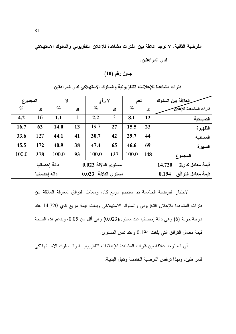الفرضية الثانية: لا توجد علاقة بين الفترات مشاهدة للإعلان التلفزيوني والسلوك الاستهلاكي

لدى المراهقين.

### جدول رقم (10)

| العلاقة بين السلوك          |     | نعم   |               | لا رأي              |    | Y     |              | المجموع |
|-----------------------------|-----|-------|---------------|---------------------|----|-------|--------------|---------|
| فترات المشاهدة للإعلان      | ك   | $\%$  | ك             | $\%$                | ك  | $\%$  | ك            | $\%$    |
| الصباحية                    | 12  | 8.1   | 3             | 2.2                 | 1  | 1.1   | 16           | 4.2     |
| الظهيرة                     | 23  | 15.5  | 27            | 19.7                | 13 | 14.0  | 63           | 16.7    |
| المسائبة                    | 44  | 29.7  | 42            | 30.7                | 41 | 44.1  | 127          | 33.6    |
| السهرة                      | 69  | 46.6  | 65            | 47.4                | 38 | 40.9  | 172          | 45.5    |
| المجموع                     | 148 | 100.0 | 137           | 100.0               | 93 | 100.0 | 378          | 100.0   |
| قيمة معامل كاي2<br>14.720   |     |       |               | مستوى الدلالة 0.023 |    |       | دالة إحصائيا |         |
| فيمة معامل التوافق<br>0.194 |     |       | مستوى الدلالة | 0.023               |    |       | دالة إحصائيا |         |

فترات مشاهدة للإعلالات التلفزيونية والسلوك الاستهلاكي لدى المراهقين

لاختبار الفرضية الخامسة تم استخدم مربع كاي ومعامل التوافق لمعرفة العلاقة بين فترات المشاهدة للإعلان النلفزيوني والسلوك الاستهلاكي وبلغت فيمة مربع كاي 14.720 عند درجة حرية (6) وهي دالة اِحصائيا عند مستوى(0.023) وهي أقل من 0.05، ويدعم هذه النتيجة قيمة معامل النوافق التي بلغت 0.194 وعند نفس المستوى.

أى انه نوجد علاقة بين فترات المشاهدة للإعلانات النلفزيونيـــة والـــسلوك الاســـتهلاكي للمر اهقين، وبهذا ترفض الفرضية الخامسة وتقبل البديلة.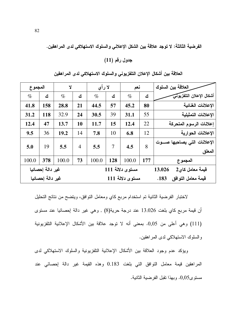الفرضية الثالثة: لا توجد علاقة بين الشكل الإعلاني والسلوك الاستهلاكي لدى المراهقين.

جدول رقم (11)

| المجموع          |                  | Ÿ     |                | لا رأى |                 | نعم             |                           | العلاقة بين السلوك            |
|------------------|------------------|-------|----------------|--------|-----------------|-----------------|---------------------------|-------------------------------|
| $\%$             | ك                | $\%$  | ك              | $\%$   | ك               | $\%$            | ك                         | أشكال الإعلان التلفزيونى      |
| 41.8             | 158              | 28.8  | 21             | 44.5   | 57              | 45.2            | 80                        | الإعلانات الغنائية            |
| 31.2             | 118              | 32.9  | 24             | 30.5   | 39              | 31.1            | 55                        | الاعلانات التمثبلبة           |
| 12.4             | 47               | 13.7  | 10             | 11.7   | 15              | 12.4            | 22                        | إعلانات الرسوم المتحركة       |
| 9.5              | 36               | 19.2  | 14             | 7.8    | 10              | 6.8             | 12                        | الإعلانات الحوارية            |
| 5.0              | 19               | 5.5   | $\overline{4}$ | 5.5    | $\overline{7}$  | 8<br>4.5        |                           | الإعلانات التى يصاحبها صـــوت |
|                  |                  |       |                |        |                 |                 |                           | المعلق                        |
| 100.0            | 378              | 100.0 | 73             | 100.0  | 128             | 100.0           | 177                       | المجموع                       |
| غير دالة إحصائيا |                  |       |                |        | مستوى دلالة 111 |                 | قيمة معامل كاي2<br>13.026 |                               |
|                  | غير دالة إحصائيا |       |                |        |                 | مستوى دلالة 111 |                           | قيمة معامل التوافق<br>.183    |

العلاقة بين أشكال الإعلان التلفزيوني والسلوك الاستهلاكي لدى المراهقين

لاختبار الفرضية الثانية تم استخدام مربع كاي ومعامل التوافق، ويتضح من نتائج التحليل أن قيمة مربع كاي بلغت 13.026 عند درجة حرية(8) , وهي غير دالة إحصائيا عند مستوى (111) وهي أعلى من 0,05. بمعنى أنه لا توجد علاقة بين الأشكال الإعلانية التلفزيونية والسلوك الاستهلاكي لدى المراهقين.

ويؤكد عدم وجود العلاقة بين الأشكال الإعلانية النلفزيونية والسلوك الاستهلاكي لدى المراهقين قيمة معامل النوافق التي بلغت 0.183 وهذه القيمة غير دالة إحصائي عند مستوى0,05. وبهذا تقبل الفرضية الثانية.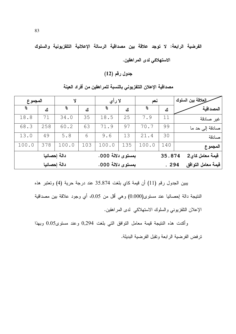الفرضية الرابعة: لا توجد علاقة بين مصداقية الرسالة الإعلانية التلفزيونية والسلوك

الاستهلاكي لدى المراهقين.

جدول رقم (12)

| طلعلاقة بين السلوك |        | نعم    |     | لا رأي            |     | Y            |     | المجموع |
|--------------------|--------|--------|-----|-------------------|-----|--------------|-----|---------|
| المصداقبة          | ك      | o<br>8 | ك   | o<br>8            | ك   | g            | ك   | န္      |
|                    |        |        |     |                   |     |              |     |         |
| غير صادقة          | 11     | 7.9    | 25  | 18.5              | 35  | 34.0         | 71  | 18.8    |
| صادقة إلى حد ما    | 99     | 70.7   | 97  | 71.9              | 63  | 60.2         | 258 | 68.3    |
| صادقة              | 30     | 21.4   | 13  | 9.6               | 6   | 5.8          | 49  | 13.0    |
| المجموع            | 140    | 100.0  | 135 | 100.0             | 103 | 100.0        | 378 | 100.0   |
| فيمة معامل كاي2    | 35.874 |        |     | بمستوى دلالة 000. |     | دالة إحصائيا |     |         |
| فيمة معامل التوافق | .294   |        |     | بمستوى دلالة 000. |     | دالة إحصائيا |     |         |

مصداقية الإعلان التلفزيوني بالنسبة للمراهقين من أفراد العينة

يبين الجدول رقم (11) أن قيمة كاي بلغت 35.874 عند درجة حرية (4) وتعتبر هذه النتيجة دالة إحصائيا عند مستوى(0.000) وهي أقل من 0.05، أي وجود علاقة بين مصداقية الإعلان النلفزيوني والسلوك الاستهلاكي لدى المراهقين.

وأكدت هذه النتيجة قيمة معامل التوافق التبي بلغت 0,294 وعند مستوى0.05 وبهذا ترفض الفرضية الرابعة وتقبل الفرضية البديلة.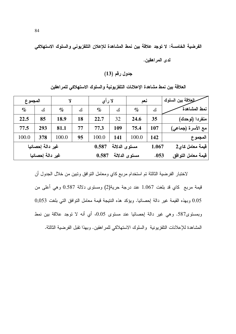الفرضية الخامسة: لا توجد علاقة بين نمط المشاهدة للإعلان التلفزيوني والسلوك الاستهلاكي

لدى المراهقين.

جدول رقم (13)

العلاقة بين نمط مشاهدة الإعلانات التلفزيونية والسلوك الاستهلاكي للمراهقين

| المجموع |                  | Y     |       | لا رأى                 |               | نعم   |                    | سللعلاقة بين السلوك |
|---------|------------------|-------|-------|------------------------|---------------|-------|--------------------|---------------------|
| $\%$    | ك                | $\%$  | ك     | $\%$                   | ك             | $\%$  | ك                  | نمط المشاهدة        |
| 22.5    | 85               | 18.9  | 18    | 22.7                   | 32            | 24.6  | 35                 | منفردا (لوحدك)      |
| 77.5    | 293              | 81.1  | 77    | 77.3                   | 109           | 75.4  | 107                | مع الأسرة (جماعي)   |
| 100.0   | 378              | 100.0 | 95    | 100.0                  | 141           | 100.0 | 142                | المجموع             |
|         | غير دالة إحصائيا |       |       | مستوى الدلالة<br>0.587 |               | 1.067 | قيمة معامل كاي2    |                     |
|         | غير دالة إحصائيا |       | 0.587 |                        | مستوى الدلالة | .053  | قيمة معامل التوافق |                     |

لاختبار الفرضية الثالثة تم استخدام مربع كاي ومعامل التوافق وتبين من خلال الجدول أن قيمة مربع كاي قد بلغت 1.067 عند درجة حرية(2) ومستوى دلالة 0.587 وهي أعلى من 0.05 وبهذه القيمة غير دالة إحصائيا. ويؤكد هذه النتيجة قيمة معامل التوافق التي بلغت 0,053 وبمستوى587. وهي غير دالة إحصائيا عند مستوى 0.05، أي أنه لا نوجد علاقة بين نمط المشاهدة للإعلانات النلفز بونية والسلوك الاستهلاكي للمر اهقين. وبهذا نقبل الفر ضبية الثالثة.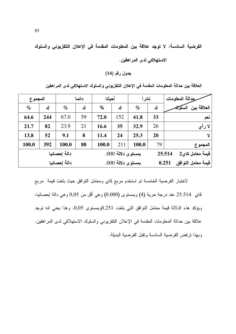الفرضية السادسة: لا توجد علاقة بين المعلومات المقدمة في الإعلان التلفزيوني والسلوك

الاستهلاكي لدى المراهقين.

جدول رقم (14)

العلاقة بين حداثة المعلومات المقدمة في الإعلان التلفزيوني والسلوك الاستهلاكي لدى المراهقين

| المجموع |     | دائما        |                   | أحبانا |     | نادر ا |                             | رحداثة المعلومات       |
|---------|-----|--------------|-------------------|--------|-----|--------|-----------------------------|------------------------|
| $\%$    | ك   | $\%$         | ك                 | $\%$   | ك   | $\%$   | ك                           | العلاقة بين<br>المسلكم |
| 64.6    | 244 | 67.0         | 59                | 72.0   | 152 | 41.8   | 33                          | نعم                    |
| 21.7    | 82  | 23.9         | 21                | 16.6   | 35  | 32.9   | 26                          | لا رأي                 |
| 13.8    | 52  | 9.1          | 8                 | 11.4   | 24  | 25.3   | 20                          | Y                      |
| 100.0   | 392 | 100.0        | 88                | 100.0  | 211 | 100.0  | 79                          | المجموع                |
|         |     | دالة إحصائيا | بمستوى دلالة 000. |        |     |        | قيمة معامل كاي2<br>25.514   |                        |
|         |     | دالة إحصائيا | بمستوى دلالة 000. |        |     |        | فيمة معامل التوافق<br>0.251 |                        |

لاختبار الفرضية الخامسة تم استخدم مربع كاي ومعامل النوافق حيث بلغت قيمة مربع كاي 25.514 عند درجة حرية (4) وبمستوى (0.000) وهي أقل من 0,05 وهي دالة إحصائيا، ويؤكد هذه الدلالة قيمة معامل النوافق التبي بلغت 0.251وبمستوى 0,05. وهذا يعني انه نوجد علاقة بين حداثة المعلومات المقدمة في الإعلان النافزيوني والسلوك الاستهلاكي لدى المراهقين. وبهذا ترفض الفرضية السادسة وتقبل الفرضية البديلة.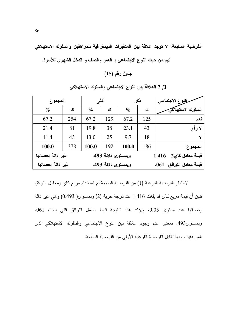الفرضية السابعة: لا توجد علاقة بين المتغيرات الديمغرافية للمراهقين والسلوك الاستهلاكي

جدول رقم (15)

| المجموع          | أنثم               |               |     | ذكر                        | للنوع الاجتماعي |                   |  |
|------------------|--------------------|---------------|-----|----------------------------|-----------------|-------------------|--|
| $\%$             | ك                  | $\frac{0}{0}$ | ك   | $\%$                       | ٹ               | السلوك الاستهلاكي |  |
| 67.2             | 254                | 67.2          | 129 | 67.2                       | 125             | نعم               |  |
| 21.4             | 81                 | 19.8          | 38  | 23.1                       | 43              | لا رأى            |  |
| 11.4             | 43                 | 13.0          | 25  | 9.7                        | 18              | Ÿ                 |  |
| 100.0            | 378                | 100.0         | 192 | 100.0                      | 186             | المجموع           |  |
| غير دالة إحصائبا | وبمستوى دلالة 493. |               |     | قيمة معامل كاي2<br>1.416   |                 |                   |  |
| غير دالة إحصائيا | وبمستوى دلالة 493. |               |     | قيمة معامل التوافق<br>.061 |                 |                   |  |

1/ 7 العلاقة بين النوع الاجتماعي والسلوك الاستهلاكي

لاختبار الفرضية الفرعية (1) من الفرضية السابعة تم استخدام مربع كاي ومعامل النوافق نبين أن قيمة مربع كاي قد بلغت 1.416 عند درجة حرية (2) وبمستوى( 0.493) وهي غير دالة إحصائيا عند مستوى 0.05، ويؤكد هذه النتيجة قيمة معامل التوافق التي بلغت 061. وبمستوى493. بمعنى عدم وجود علاقة بين النوع الاجتماعي والسلوك الاستهلاكي لدى المر اهقين. وبهذا نقبل الفر ضبية الفر عية الأولى من الفر ضبية السابعة.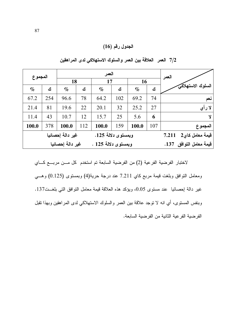# الجدول رقم (16)

| المجموع                                |                  |                         |     | العمر | العمر |           |     |                          |
|----------------------------------------|------------------|-------------------------|-----|-------|-------|-----------|-----|--------------------------|
|                                        |                  | 18                      |     | 17    |       | <b>16</b> |     |                          |
| $\%$                                   | ك                | $\%$                    | ك   | $\%$  | ك     | $\%$      | ك   | السلوك الاستهلاكي        |
| 67.2                                   | 254              | 96.6                    | 78  | 64.2  | 102   | 69.2      | 74  | نعم                      |
| 21.4                                   | 81               | 19.6                    | 22  | 20.1  | 32    | 25.2      | 27  | لا رأي                   |
| 11.4                                   | 43               | 10.7                    | 12  | 15.7  | 25    | 5.6       | 6   | Y                        |
| 100.0                                  | 378              | 100.0                   | 112 | 100.0 | 159   | 100.0     | 107 | المجموع                  |
| وبمستوى دلالة 125.<br>غير دالة إحصائيا |                  |                         |     |       |       |           |     | قيمة معامل كاي2<br>7.211 |
|                                        | غير دالة إحصائيا | فيمة معامل التوافق 137. |     |       |       |           |     |                          |

7/2 العمر العلاقة بين العمر والسلوك الاستهلاكي لدى المراهقين

لاختبار الفرضية الفرعية (2) من الفرضية السابعة تم استخدم كل مـــن مربـــع كــــاي ومعامل النوافق وبلغت قيمة مربع كاي 7.211 عند درجة حرية(4) وبمستوى (0.125) وهــي غير دالة إحصائيا عند مستوى 0.05، ويؤكد هذه العلاقة فيمة معامل النوافق التي بلغــت137. وبنفس المستوى، أي انه لا نوجد علاقة بين العمر والسلوك الاستهلاكي لدى المراهقين وبهذا نقبل الفرضية الفرعية الثانية من الفرضية السابعة.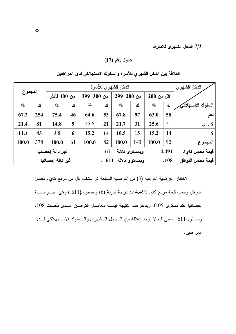7/3 الدخل الشهر ي للأسرة.

جدول رقم (17)

| المجموع          |     |                  | الدخل الشهر ي |            |                             |                       |                 |            |                    |                   |
|------------------|-----|------------------|---------------|------------|-----------------------------|-----------------------|-----------------|------------|--------------------|-------------------|
|                  |     | من 400 فأكثر     |               | من 300-399 |                             | من 290-299            |                 | اقل من 200 |                    |                   |
| $\%$             | ك   | $\%$             | ك             | $\%$       | ك                           | $\%$                  | ك               | $\%$       | ك                  | السلوك الاستهلاكي |
| 67.2             | 254 | 75.4             | 46            | 64.6       | 53                          | 67.8                  | 97              | 63.0       | 58                 | نعم               |
| 21.4             | 81  | 14.8             | 9             | 25.6       | 21                          | 21.7                  | 31              | 25.6       | 21                 | لا رأى            |
| 11.4             | 43  | 9.8              | 6             | 15.2       | 14                          | 10.5                  | 15              | 15.2       | 14                 | Y                 |
| 100.0            | 378 | 100.0            | 61            | 100.0      | 82                          | 100.0                 | 143             | 100.0      | 92                 | المجموع           |
| غير دالة إحصائيا |     |                  |               |            |                             | وبمستوى دلالة<br>.611 | فيمة معامل كاي2 |            |                    |                   |
|                  |     | غير دالة إحصائيا |               |            | وبمستوى دلالة 611 .<br>.108 |                       |                 |            | قيمة معامل التوافق |                   |

العلاقة بين الدخل الشهري للأسرة والسلوك الاستهلاكي لدى المراهقين

لاختبار الفرضية الفرعية (3) من الفرضية السابعة تم استخدم كل من مربع كاي ومعامل النوافق وبلغت قيمة مربع كاي 4.491عند درجة حرية (6) وبمستوى(611.) وهي غيـــر دالــــة إحصائيا عند مستوى 0.05، ويدعم هذه النتيجة قيمـــة معامـــل النوافـــق الـــذي بلغــت 108. وبمستوى511. بمعنى انه لا توجد علاقة بين السدخل السشهري والسسلوك الاستهلاكي لسدى المر اهقين.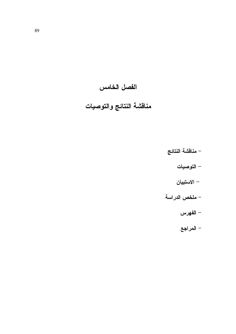# الفصل الخامس

# مناقشة النتائج والتوصيات

- مناقشة النتائج
	- التوصيات
	- الاستبيان
- ملخص الدراسة
	- الفهرس
	- المراجع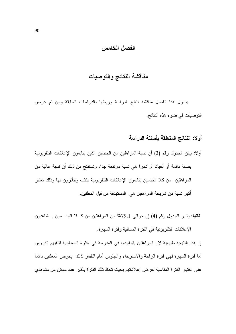#### الفصل الخامس

# مناقشة النتائج والتوصيات

يتتاول هذا الفصل مناقشة نتائج الدراسة وربطها بالدراسات السابقة ومن ثم عرض التوصيات في ضوء هذه النتائج.

# أولا: النتائج المتعلقة بأسئلة الدراسة

- أولا: يبين الجدول رقم (3) أن نسبة المراهقين من الجنسين الذين يتابعون الإعلانات التلفزيونية بصفة دائمة أو أحيانا أو نادرا هي نسبة مرتفعة جدا، ونستتتج من ذلك أن نسبة عالية من المراهقين ً من كلا الجنسين بتابعون الإعلانات النلفزيونية بكثب ويتأثرون بها وذلك تعتبر أكبر نسبة من شريحة المراهقين هي المستهدفة من قبل المعلنين.
- **ثانيا:** يشير الجدول رقم (4) إن حوالي 79.1% من المراهقين من كـــلا الجنـــسين يـــشاهدون الإعلانات النلفزيونية في الفترة المسائية وفترة السهرة.

إن هذه النتيجة طبيعية لان المراهقين يتواجدوا في المدرسة في الفترة الصباحية لتلقيهم الدروس أما فترة السهرة فهي فترة الراحة والاسترخاء والجلوس أمام التلفاز لذلك يحرص المعلنين دائما على اختيار الفترة المناسبة لعرض إعلاناتهم بحيث تحظ تلك الفترة بأكبر عدد ممكن من مشاهدي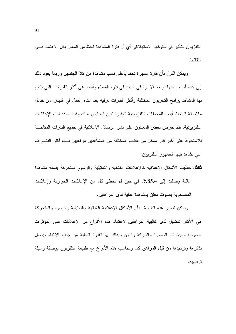النلفزيون للتأثير في سلوكهم الاستهلاكي أي أن فترة المشاهدة تحظ من المعلن بكل الاهتمام فسي انتقائها.

ويمكن القول بأن فترة السهرة تحظ بأعلى نسب مشاهدة من كلا الجنسين وربما يعود ذلك إلى عدة أسباب منها نواجد الأسرة في البيت في فترة المساء وأيضا هي أكثر الفترات التي يتابع بـها المشاهد بر امـج التلفزيون المختلفة وأكثر الفترات ترفيه بـعد عنـاء الـعمل فـي النـهار، من خلال ملاحظة الباحث أيضا للمحطات التلفزيونية الوفيرة نبين انه ليس هناك وقت محدد لبث الإعلانات النلفزيونية، فقد حرص بعض المعلنون على نشر الرسائل الإعلانية في جميع الفترات المتاحـــة للاستحو اذ على أكبر قدر ًممكن من الفئات المختلفة من المشاهدين مر اعبين بذلك أكثر الفتـــر ات التي بشاهد فيها الجمهور النلفزيون.

ثالثًا: حظبت الأشكال الإعلانية كالإعلانات الغنائية والتمثيلية والرسوم المتحركة بنسبة مشاهدة

عالية وصلت إلى 85.4%، في حين لم تحظى كل من الإعلانات الحوارية وإعلانات المصحوبة بصوت معلق بمشاهدة عالية لدى المراهقين.

وبمكن نفسير هذه النتيجة بأن الأشكال الإعلانية الغنائية والتمثيلية والرسوم والمتحركة هي الأكثر تفضيل لدى غالبية المراهقين لاعتماد هذه الأنواع من الإعلانات على المؤثرات الصونية ومؤثرات الصورة والحركة واللون وبذلك لها القدرة العالية من جذب الانتباه ويسهل تذكرها ونرديدها من قبل المراهق كما ونتناسب هذه الأنواع مع طبيعة التلفزيون بوصفة وسيلة ترفيهية.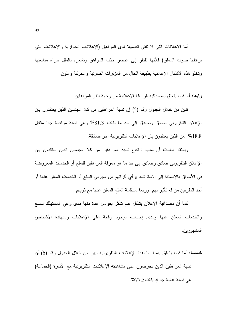أما الإعلانات التي لا نلقى نفضيلا لدى المراهق (الإعلانات الحوارية والإعلانات التي برافقها صوت المعلق) فلأنها تفتقر إلى عنصر جذب المراهق وتشعره بالملل جراء متابعتها وتخلو هذه الأشكال الإعلانية بطبيعة الحال من المؤثرات الصوتية والحركة واللون.

را**بعا:** أما فيما يتعلق بمصداقية الرسالة الإعلانية من وجهة نظر المر اهقين

تبين من خلال الجدول رقم (5) إن نسبة المراهقين من كلا الجنسين الذين يعتقدون بان الإعلان التلفزيوني صادق وصادق إلى حد ما بلغت 81.3% وهي نسبة مرتفعة جدا مقابل 18.8% من الذين يعتقدون بان الإعلانات التلفز يونية غير صادقة.

ويعتقد الباحث أن سبب ارتفاع نسبة المراهقين من كلا الجنسين الذين يعتقدون بان الإعلان النلفزيوني صادق وصادق إلى حد ما هو معرفة المراهقين للسلع أو الخدمات المعروضة في الأسواق بالإضافة إلى الاسترشاد برأي أقرانهم من مجربي السلع أو الخدمات المعلن عنها أو أحد المقربين من له نأثير بهم ۖ وربما لمناقشة السلع المعلن عنها مع ذويهم.

كما أن مصداقية الإعلان بشكل عام نتأثر بعوامل عدة منها مدى وعى المستهلك للسلع والخدمات المعلن عنها ومدى إحساسه بوجود رقابة على الإعلانات وبشهادة الأشخاص المشهورين.

**خامسا:** أما فيما يتعلق بنمط مشاهدة الإعلانات التلفزيونية تبين من خلال الجدول رقم (6) أن نسبة المراهقين الذين يحرصون على مشاهدته الإعلانات التلفزيونية مع الأسرة (الجماعة) هي نسبة عالية جد إذ بلغت7.5%.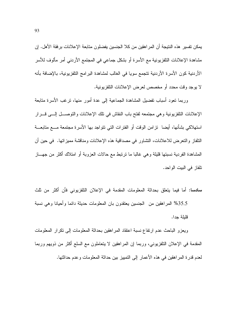يمكن تفسير هذه النتيجة أن المراهقين من كلا الجنسين يفضلون متابعة الإعلانات برفقة الأهل. إن مشاهدة الإعلانات النلفزيونية مع الأسرة أو بشكل جماعي في المجتمع الأردني أمر مألوف للأسر الأردنية كون الأسرة الأردنية تتجمع سويا في الغالب لمشاهدة البرامج التلفزيونية، بالإضافة بأنه لا يوجد وقت محدد أو مخصص لعرض الإعلانات التلفزيونية.

وربما نعود أسباب نفضيل المشاهدة الجماعية إلى عدة أمور منها، نرغب الأسرة منابعة الإعلانات التلفزيونية وهي مجتمعه لفتح باب النقاش في تلك الإعلانات والتوصـــل إلـــي قــــرار استهلاكي بشأنها، أيضا تزامن الوقت أو الفترات التي نتواجد بها الأسرة مجتمعة مـــع متابعـــة النلفاز والنعر ض للاعلانات، النشاور في مصداقية هذه الإعلانات ومناقشة مميز اتها. في حين أن المشاهدة الفردية نسبتها قليلة وهي غالبا ما نرتبط مع حالات العزوبة أو امتلاك أكثر من جهـــاز تلفاز في البيت الواحد.

**سادسا:** أما فيما يتعلق بحداثة المعلومات المقدمة في الإعلان التلفزيوني فأن أكثر من ثلث

35.5% المراهقين من الجنسين يعتقدون بان المعلومات حديثة دائما وأحيانا وهي نسبة قللة حدا.

ويعزو الباحث عدم ارتفاع نسبة اعتقاد المراهقين بحداثة المعلومات إلىي نكرار المعلومات المقدمة في الإعلان النافزيوني، وربما إن المراهقين لا يتعاملون مع السلع أكثر من ذويهم وربما لعدم قدرة المراهقين في هذه الأعمار إلى النمييز بين حداثة المعلومات وعدم حداثتها.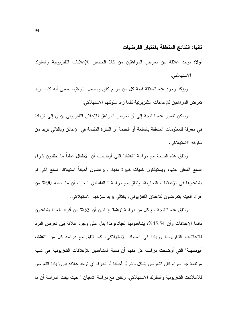#### ثانيا: النتائج المتعلقة باختبار الفرضيات

أولا: توجد علاقة بين تعرض المراهقين من كلا الجنسين للإعلانات التلفزيونية والسلوك الاستهلاكي.

ويؤكد وجود هذه العلاقة قيمة كل من مربع كاي ومعامل التوافق، بمعنى أنه كلما زاد تعرض المر اهقين للإعلانات النلفز يونية كلما ز اد سلوكهم الاستهلاكي.

ويمكن تفسير هذه النتيجة إلى أن تعرض المراهق للإعلان التلفزيوني يؤدي إلى الزيادة في معرفة للمعلومات المتعلقة بالسلعة أو الخدمة أو الفكرة المقدمة في الإعلان وبالتالي تزيد من سلوكه الاستهلاكي.

ونتفق هذه النتيجة مع دراسة "ا**لعناد**" التي أوضحت أن الأطفال غالباً ما يطلبون شراء السلع المعلن عنها، ويستهلكون كميات كبيرة منها، ويرفضون أحياناً استهلاك السلع التي لم يشاهدوها في الإعلانات التجارية، وتتفق مع دراسة " ا**لبغداد**ي " حيث أن ما نسبته 90% من افراد العينة يتعرضون للاعلان التلفزيوني وبالنالي يزيد سلزكهم الاستهلاكي.

ونتفق هذه النتيجة مع كل من در اسة "رضا" إذ نبين أن 53% من أفراد العينة يشاهدون دائما الإعلانات وأن 45.54%، يشاهدونها أحيانا،وهذا يدل على وجود علاقة بين تعرض الفرد للإعلانات النلفزيونية وزيادة في السلوك الاستهلاكي. كما نتفق مع دراسة كل من "ا**لعناد**، **أبوسنينة**" التي أوضحت دراسته كل منهم أن نسبة المشاهدين للإعلانات التلفزيونية هي نسبة مرتفعة جدا سواء كان النعرض بشكل دائم أو أحيانا أو نادرا، اي نوجد علاقة بين زيادة النعرض للإعلانات التلفزيونية والسلوك الاستهلاكي، وتتفق مع دراسة "**شعبان** " حيث بينت الدراسة أن ما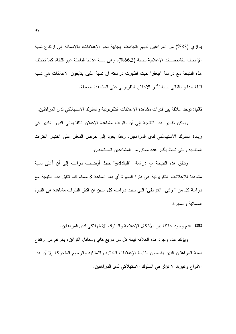يوازي (83%) من المراهقين لديهم اتجاهات إيجابية نحو الإعلانات، بالإضافة إلى ارتفاع نسبة الإعجاب بالشخصيات الإعلانية بنسبة (66.3%)، وهي نسبة عدتها الباحثة غير قليلة، كما تختلف هذه النتيجة مع دراسة "جعفر" حيث اظهرت دراسته ان نسبة الذين يتابعون الاعلانات هي نسبة قليلة جدا و بالتالي نسبة تأثير الاعلان التلفزيوني على المشاهدة ضعيفة.

**ثانيا:** نوجد علاقة بين فترات مشاهدة الإعلانات النلفزيونية والسلوك الاستهلاكي لدى المراهقين.

ويمكن تفسير هذه النتيجة إلى أن لفترات مشاهدة الإعلان التلفزيوني الدور الكبير في زيادة السلوك الاستهلاكي لدى المراهقين. وهذا يعود إلى حرص المعلن على اختيار الفترات المناسبة و التي تحظ بأكبر عدد ممكن من المشاهدين المستهدفين.

ونتفق هذه النتيجة مع دراسة "ا**لبغدادي**" حيث أوضحت دراسته إلى أن أعلى نسبة مشاهدة للإعلانات النِّلفزيونية هي فترة السهرة أي بعد الساعة 8 مساء.كما تتفق هذه النتيجة مع در اسة كل من " **زكي، العوادلي**" التي بينت در استه كل منهن ان اكثر الفتر ات مشاهدة هي الفترة المسائية والسهرة.

**ثالثًا:** عدم وجود علاقة بين الأشكال الإعلانية والسلوك الاستهلاكي لدى المراهقين.

ويؤكد عدم وجود هذه العلاقة قيمة كل من مربع كاي ومعامل النوافق، بالرغم من ارتفاع نسبة المراهقين الذين يفضلون متابعة الإعلانات الغنائية والتمثيلية والرسوم المتحركة إلا أن هذه الأنواع وغيرها لا نؤثر في السلوك الاستهلاكي لدى المراهقين.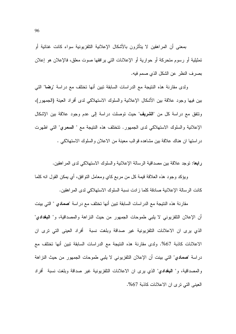بمعنى أن المراهقين لا يتأثرون بالأشكال الإعلانية التلفزيونية سواء كانت غنائية أو تمثيلية أو رسوم متحركة أو حوارية أو الإعلانات التي يرافقها صوت معلق، فالإعلان هو إعلان بصرف النظر عن الشكل الذي صمم فيه.

ولدى مقارنة هذه النتيجة مع الدراسات السابقة تبين أنها تختلف مع دراسة "رضا" التي بين فيها وجود علاقة بين الأشكال الإعلانية والسلوك الاستهلاكي لدى أفراد العينة (الجمهور)، ونتفق مع دراسة كل من "**الشريف**" حيث نوصلت دراسة إلى عدم وجود علاقة بين الإشكال الإعلانية والسلوك الاستهلاكي لدى الجمهور. نتختلف هذه النتيجة مع " السعرى" التي اظهرت در استها ان هناك علاقة بين مشاهده قو الب معبنة من الاعلان و السلوك الاستهلاكي .

رابعًا: توجد علاقة بين مصداقية الرسالة الإعلانية والسلوك الاستهلاكي لدى المراهقين.

ويؤكد وجود هذه العلاقة قيمة كل من مربع كاي ومعامل النوافق، أي يمكن القول انه كلما كانت الر سالة الإعلانية صادقة كلما ز ادت نسبة السلوك الاستهلاكي لدى المر اهقين.

مقارنة هذه النتيجة مع الدر اسات السابقة تبين أنها تختلف مع در اسة "صمادى " التي بينت أن الإعلان التلفزيوني لا يلبي طموحات الجمهور من حيث النزاهة والمصداقية، و" ا**لبغداد**ي" الذي يرى ان الاعلانات التلفزيونية غير صداقة وبلغت نسبة أفراد العيني التي ترى ان الإعلانات كاذبة 67%. ولدى مقارنة هذه النتيجة مع الدراسات السابقة تبين أنها تختلف مع دراسة "صمادي" التي بينت أن الإعلان التلفزيوني لا يلبي طموحات الجمهور من حيث النزاهة والمصداقية، و" ا**لبغدادي**" الذي يرى ان الاعلانات التلفزيونية غير صداقة وبلغت نسبة أفراد العيني التي ترى ان الاعلانات كاذبة 67%.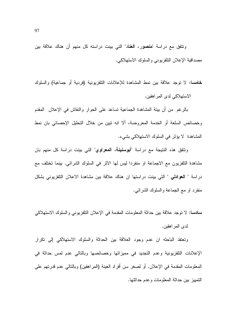وتتفق مع دراسة "**منصو**ر ، **العنا**د" التي بينت دراسته كل منهم أن هناك علاقة بين مصداقية الإعلان النلفزيوني والسلوك الاستهلاكي.

**خامسا:** لا توجد علاقة بين نمط المشاهدة للإعلانات التلفزيونية (فردية أو جماعية) والسلوك الاستهلاكي لدى المر اهقين.

بالرغم من أن بيئة المشاهدة الجماعية نساعد على الحوار والنقاش في الإعلان المقدم وخصائص السلعة أو الخدمة المعروضة، ألا انه نبين من خلال التحليل الإحصائي بان نمط المشاهدة لا بؤثر في السلوك الاستهلاكي بشيء.

ونتفق هذه النتيجة مع دراسة "أ**بوسنينة، المعراوي**" التي بينت دراسة كل منهم بان مشاهدة التلفزيون مع الاجماعة او منفردا ليس لها الاثر في السلوك الشرائي. بينما تختلف مع دراسة " ا**لـعوادلـى** " التـى بينت دراستها ان هناك علاقة بين مشاهدة الاعلان التلفزيونـى بشكل منفرد او مع الجماعة والسلوك الشرائبي.

سادسا: لا توجد علاقة بين حداثة المعلومات المقدمة في الإعلان التلفزيوني والسلوك الاستهلاكي لدى المر اهقين.

ونعتقد الباحثه ان عدم وجود العلاقة بين الحداثة والسلوك الاستهلاكي إلى نكرار الإعلانات النلفزيونية وعدم التجديد في مميزاتها وخصائصها وبالتالي عدم لمس حداثة في المعلومات المقدمة في الإعلان. أو لصغر سن أفراد العينة (المراهقين) وبالنالي عدم قدرتهم على التمييز بين حداثة المعلومات وعدم حداثتها.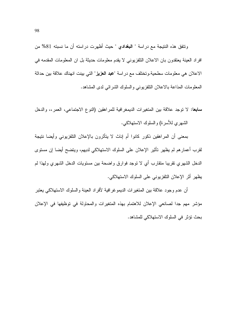ونتفق هذه النتيجة مع دراسة " ا**لبغداد**ى " حيث أظهرت دراسته أن ما نسبته 81% من افراد العينة يعتقدون بان الاعلان التلفزيوني لا يقدم معلومات حديثة بل ان المعلومات المقدمه في الاعلان هي معلومات سطحية وتختلف مع دراسة "ع**بد العزيز**" التي بينت انهناك علاقة بين حداثة المعلومات المذاعة بالاعلان التلفزيوني والسلوك الشرائبي لدى المشاهد.

سابعا: لا نوجد علاقة بين المتغيرات الديمغرافية للمراهقين (النوع الاجتماعي، العمر،، والدخل الشهري للأسرة) والسلوك الاستهلاكي.

بمعنى أن المر اهقبن ذكور كانوا أم إناث لا بتأثرون بالإعلان التلفزيوني وأبضا نتبجة لقرب أعمارهم لم يظهر نأثير الإعلان على السلوك الاستهلاكي لديهم، ويتضح أيضا إن مستوى الدخل الشهري نقريبا منقارب أي لا نوجد فوارق واضحة بين مستويات الدخل الشهري ولهذا لم يظهر أثر الإعلان التلفزيوني على السلوك الاستهلاكي.

أن عدم وجود علاقة بين المتغير ات الديمو غر افية لأفر اد العينة و السلوك الاستهلاكي يعتبر مؤشر مهم جدا لصانعي الإعلان للاهتمام بهذه المتغيرات والمحاولة في توظيفها في الإعلان بحث تؤثِّر في السلوك الاستهلاكي للمشاهد.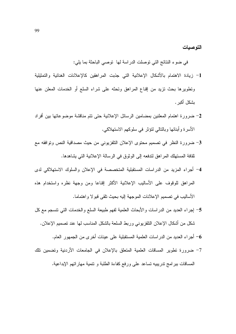التوصيات

في ضوء النتائج التي نوصلت الدراسة لها نوصبي الباحثة بما يلي:

- 1- زيادة الاهتمام بالأشكال الإعلانية التي جذبت المراهقين كالإعلانات الغنائية والتمثيلية ونطويرها بحث نزيد من إقناع المراهق ونحثه على شراء السلع أو الخدمات المعلن عنها يشكل أكبر .
- 2- ضرورة اهتمام المعلنين بمضامين الرسائل الإعلانية حتى نتم مناقشة موضوعاتها بين أفراد الأسر ة و أبنائها و بالنالي لتؤثر ً في سلوكهم الاستهلاكي.
- 3– ضرورة النظر في تصميم محتوى الإعلان التلفزيوني من حيث مصداقية النص وتوافقه مع نقافة المستهلك المراهق لندفعه إلى الوثوق في الرسالة الإعلانية التي يشاهدها.
- 4– أجراء المزيد من الدراسات المستقبلية المتخصصة في الإعلان والسلوك الاستهلاكي لدى المراهق للوقوف على الأساليب الإعلانية الأكثر إقناعا ومن وجهة نظره واستخدام هذه الأساليب في تصميم الإعلانات الموجهة إليه بحيث نلقى قبو لا واهتماما.
- 5– إجراء العديد من الدراسات والأبحاث العلمية لفهم طبيعة السلع والخدمات التي نتسجم مع كل شكل من أشكال الإعلان النلفزيوني وربط السلعة بالشكل المناسب لها عند نصميم الإعلان.

أجر اء العديد من الدر اسات العلمية المستقبلية على عينات أخر ي من الجمهور العام. • [صلح العام العام ا

7- ضرورة تطوير المساقات العلمية المتعلق بالإعلان في الجامعات الأردنية وتضمين تلك المساقات ببر امج ندريبيه نساعد على ورفع كفاءة الطلبة و نتمية مهار اتهم الإبداعية.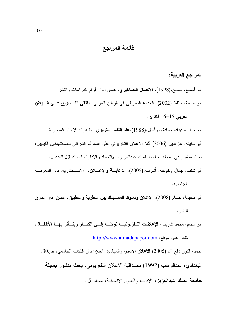قائمة المراجع

## المراجع العربية:

أبو أصبع، صالح.(1998). الاتصال الجماهيري. عمان: دار آرام للدراسات والنشر. أبو جمعة، حافظ.(2002). الخداع التسويقي في الوطن العربي. ملتقي التــــسويق فــــي الــــوطن ا**لعربي** 15–16 أكتوبر .

أبو حطب، فؤاد، صادق، وأمال.(1988).علم ا**لنفس التربوي.** القاهرة: الانجلو المصرية. أبو سنينة، عزالدين (2006) أثلا الاعلان النلفزيوني على السلوك الشرائي للمسكتهلكين الليبيين، بحث منشور في مجلَّة جامعة الملك عبدالعزيز، الاقتصاد والادارة، المجلد 20 العدد 1. أبو شنب، جمال وخوخة، أشرف.(2005). ا**لدعايــــة والإعــــلان**. الإســـكندرية: دار المعرفـــة الحامعية.

أبو طعيمة، حسام (2008). الإعلان وسلوك المستهلك بين النظرية والتطبيق. عمان: دار الفارق للنشر .

أبو ميسم، محمد شريف، الإعلانات التلفزيونيــــة توجّـــــه إلـــــى الكبــــار ويتــــأثر بـهــــا الأطفــــال، ظهر على موقع: http://www.almadapaper.com

أحمد، النور دفع الله (2005).الاعلان الاسس والعبادئ، العين: دار الكتاب الجامعي، ص30. البغدادي، عبدالوهاب (1992) مصداقية الاعلان التلفزيونـي، بـحث منشور **بمـجلـة** جامعة الملك عبدالعزيز، الاداب والعلوم الانسانية، مجلد 5.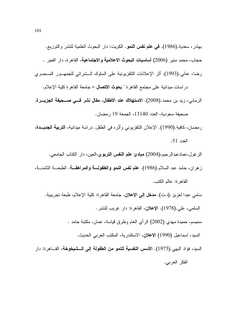بهادر، سعدية.(1986). في علم نفس النمو. الكويت: دار البحوث العلمية للنشر والتوزيع. حجاب، محمد منير (2006) أ**ساسيات البحوث الاعلامية والاجتماعية**، القاهرة، دار الفجر . رضا، عدلي.(1993). أثر الإعلانات التلفزيونية على السلوك الــشرائي للجمهــور المــصري

در اسات ميدانية على مجتمع القاهر ة " بحوث الاتصال – جامعة القاهر ة كلية الإعلام. الرماني، زيد بن محمد.(2008). الاستهلاك عند الأطفال، مقال نشر فــي صــحيفة الجزيــرة. صحيفة سعودية، العدد 13140، الجمعة 19 رمضان.

رمضان، كافية.(1990). الإعلان التلفزيوني وأثر ه في الطفل. در اسة ميدانية، ا**لتربية الجديــدة**، العدد 51.

الز غول،عمادعبدالرحيم،(2004) **مبادئ علم النفس التربو**ي،العين، دار الكتاب الجامعي.

زهران، حامد عبد السلام.(1986). علم نفس النمو والطفولة والمراهقة. الطبعــة الثامنـــة، القاهرة: عالم الكتب.

سامي عبدا لعزيز .(د.ت). **مدخل إلى الإعلان**. جامعة القاهرة: كلية الإعلام، طبعة تجريبية. السلمي، علي.(1978). الإعلان، القاهرة: دار غريب للنشر . سميسم، حميدة مهدى (2002) الرَّ أي العام وطرق قياسة، عمان، مكتبة حامد . السيد، اسماعيل (1990) الاعلان، الاسكندرية، المكتب العربي الحديث. السيد، فؤاد البهي.(1975). الأ**سس النفسية للنمو من الطفولة إلى الـــشيخوخة**، القـــاهرة: دار

الفكر العربي.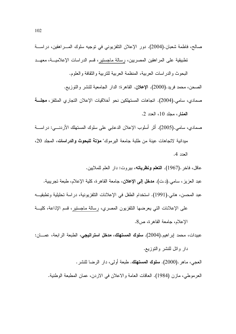- صـالـح، فاطمـة شعبان.(2004). دور الإعلان التلفزيونـي فـي توجيه سلوك المــــراهقين، دراســـة تطبيقية على المراهقين المصريين، رسالة ماجستير، قسم الدراسات الإعلاميـــة، معهـــد
	- البحوث والدراسات العربية، المنظمة العربية للتربية والثقافة والعلوم.
	- الصحن، محمد فريد.(2000). الإعلان. القاهرة: الدار الجامعية للنشر والنوزيع.

صمادى، سامي.(2004). اتجاهات المستهلكين نحو أخلاقيات الإعلان التجاري المتلفز، مجلسة المغار، مجلد 10، العدد 2.

- صمادي، سامي.(2005). أثر أسلوب الإعلان الدعابي على سلوك المستهلك الأردنـــي: در اســــة مبدانية لاتجاهات عبنة من طلبة جامعة البر موك" **مؤتة للبحوث والدراسات،** المجلد 20، العدد 4.
	- عاقل، فاخر .(1967). ا**لتعلم ونظرياته**، بيروت: دار العلم للملايين.
- عبد العزيز ، سامي.(د.ت). **مدخل إلى الإعلان**، جامعة القاهرة، كلية الإعلام، طبعة تجريبية. عبد المحسن، هانـي.(1991). استخدام الطفل فـي الإعلانات التلفزيونية، دراسة تحليلية وتطبقيـــه على الإعلانات التي يعرضها النلفزيون المصري، رسالة ماجستير، قسم الإذاعة، كليـــة الإعلام، جامعة القاهرة، ص8.

عبيدات، محمد إبراهيم.(2004). **سلوك المستهلك، مدخل استراتيجي،** الطبعة الرابعة، عمــــان:

دار وائل للنشر والنوزيع. العجي، ماهر .(2000). **سلوك المستهلك.** طبعة أولى، دار الرضا للنشر .

العرموطي، مازن (1984). العاقات العامة والاعلان في الاردن، عمان المطبعة الوطنية.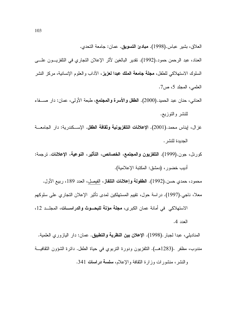العلاق، بشير عباس.(1998). مبادئ التسويق. عمان: جامعة التحدي. العناد، عبد الرحمن حمود.(1992). نقدير البالغين لأثر الإعلان التجاري في النلفزيـــون علــــي السلوك الاستهلاكي للطفل، **مجلة جامعة الملك عبدا لعزيز**، الآداب والعلوم الإنسانية، مركز النشر العلمي، المجلد 5، ص7.

العناني، حنان عبد الحميد.(2000). ا**لطفل والأسرة والمجتمع**، طبعة الأولى، عمان: دار صــــفاء للنشر والنوزيع.

غزال، ايناس محمد.(2001). **الإعلانات التلفزيونية وثقافة الطفل**. الإســكندرية: دار الجامعــة الجدبدة للنشر .

كورنل، جون.(1999). التلفزيون والمجتمع، الخصائص، التأثير، النوعية، الإعلانات. ترجمة: أديب خضورٍ ، (دمشق: المكتبة الإعلامية).

محمود، حمدي حسن.(1992). ا**لطفولة وإعلانات التلفاز**، الفيصل، العدد 189، ربيع الأول.

معلا، ناجي.(1997). دراسة حول، نقيبم المستهلكين لمدى تأثير الإعلان التجاري على سلوكهم الاستهلاكي في أمانة عمان الكبرى، **مجلة مؤتة للبحــوث والدراســـات**، المجلــد 12،

العدد 4.

المناديلي، عبدا لجبار .(1998). الإعلان **بين النظرية والتطبيق**. عمان: دار اليازوري العلمية. مندوب، مظفر .(1283هـــ). النلفزيون ودورة النربوي في حياة الطفل. دائرة الشؤون الثقافيـــة والنشر، منشورات وزارة النقافة والإعلام، سلسة دراسات 341.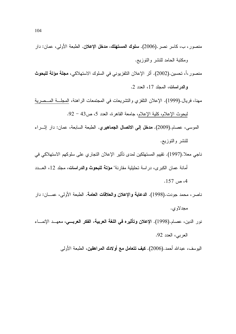- منصور ، ب، كاسر نصر .(2006). **سلوك المستهلك، مدخل الإعلان.** الطبعة الأولى، عمان: دار ومكتبة الحامد للنشر والنوزيع.
- منصور ،أ، تحسين.(2002). أثر الإعلان النلفزيوني في السلوك الاستهلاكي، **مجلة مؤتة للبحوث** والدراسات، المجلد 17، العدد 2.
- مهنا، فريال.(1999). الإعلان النلفزي والنشريعات في المجتمعات الراهنة، المجلَّــة المـــصرية لبحوث الإعلام، كلية الإعلام، جامعة القاهرة، العدد 5، ص43 – 92.
- الموسى، عصـام.(2009). **مدخل إلى الاتصال الجماهيري.** الطبعة السابعة، عمان: دار إثـــراء للنشر والنوزيع.
- ناجي معلا.(1997). تقييم المستهلكين لمدى تأثير الإعلان التجاري على سلوكهم الاستهلاكي في أمانة عمان الكبر ي، در اسة تحليلية مقارنة" **مؤتة للبحوث والدراسات**، مجلد 12، العـــدد  $.157 \rightarrow 4$
- ناصر، محمد جودت.(1998). ا**لدعاية والإعلان والعلاقات العامة**. الطبعة الأولى، عمـــان: دار مجدلاوي.
- نور الدين، عصـام.(1998). الإعلان وتأثيره في ا**للغة العربية**، ا**لفكر العربـــي**، معهــد الإنمـــاء العربي، العدد 92.

اليوسف، عبدالله أحمد.(2006). **كيف تتعامل مع أولادك المراهقين**، الطبعة الأولى